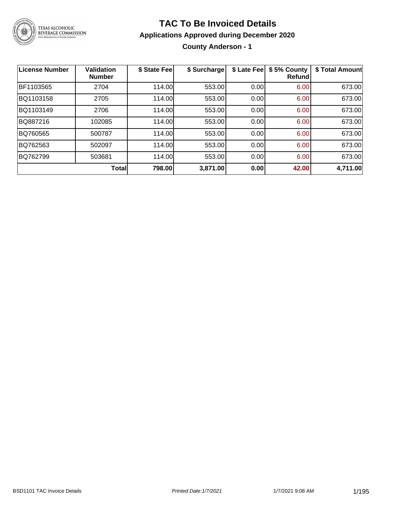

#### **TAC To Be Invoiced Details**

#### **Applications Approved during December 2020**

**County Anderson - 1**

| License Number | Validation<br><b>Number</b> | \$ State Fee | \$ Surcharge | \$ Late Fee | \$5% County<br>Refundl | \$ Total Amount |
|----------------|-----------------------------|--------------|--------------|-------------|------------------------|-----------------|
| BF1103565      | 2704                        | 114.00       | 553.00       | 0.00        | 6.00                   | 673.00          |
| BQ1103158      | 2705                        | 114.00       | 553.00       | 0.00        | 6.00                   | 673.00          |
| BQ1103149      | 2706                        | 114.00       | 553.00       | 0.00        | 6.00                   | 673.00          |
| BQ887216       | 102085                      | 114.00       | 553.00       | 0.00        | 6.00                   | 673.00          |
| BQ760565       | 500787                      | 114.00       | 553.00       | 0.00        | 6.00                   | 673.00          |
| BQ762563       | 502097                      | 114.00       | 553.00       | 0.00        | 6.00                   | 673.00          |
| BQ762799       | 503681                      | 114.00       | 553.00       | 0.00        | 6.00                   | 673.00          |
|                | <b>Total</b>                | 798.00       | 3,871.00     | 0.00        | 42.00                  | 4,711.00        |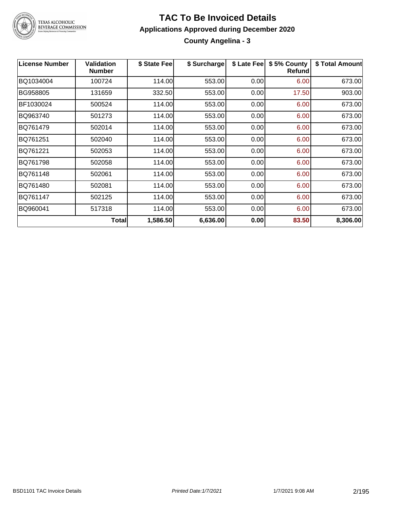

#### **TAC To Be Invoiced Details Applications Approved during December 2020 County Angelina - 3**

| <b>License Number</b> | <b>Validation</b><br><b>Number</b> | \$ State Fee | \$ Surcharge | \$ Late Fee | \$5% County<br><b>Refund</b> | \$ Total Amount |
|-----------------------|------------------------------------|--------------|--------------|-------------|------------------------------|-----------------|
| BQ1034004             | 100724                             | 114.00       | 553.00       | 0.00        | 6.00                         | 673.00          |
| BG958805              | 131659                             | 332.50       | 553.00       | 0.00        | 17.50                        | 903.00          |
| BF1030024             | 500524                             | 114.00       | 553.00       | 0.00        | 6.00                         | 673.00          |
| BQ963740              | 501273                             | 114.00       | 553.00       | 0.00        | 6.00                         | 673.00          |
| BQ761479              | 502014                             | 114.00       | 553.00       | 0.00        | 6.00                         | 673.00          |
| BQ761251              | 502040                             | 114.00       | 553.00       | 0.00        | 6.00                         | 673.00          |
| BQ761221              | 502053                             | 114.00       | 553.00       | 0.00        | 6.00                         | 673.00          |
| BQ761798              | 502058                             | 114.00       | 553.00       | 0.00        | 6.00                         | 673.00          |
| BQ761148              | 502061                             | 114.00       | 553.00       | 0.00        | 6.00                         | 673.00          |
| BQ761480              | 502081                             | 114.00       | 553.00       | 0.00        | 6.00                         | 673.00          |
| BQ761147              | 502125                             | 114.00       | 553.00       | 0.00        | 6.00                         | 673.00          |
| BQ960041              | 517318                             | 114.00       | 553.00       | 0.00        | 6.00                         | 673.00          |
|                       | <b>Total</b>                       | 1,586.50     | 6,636.00     | 0.00        | 83.50                        | 8,306.00        |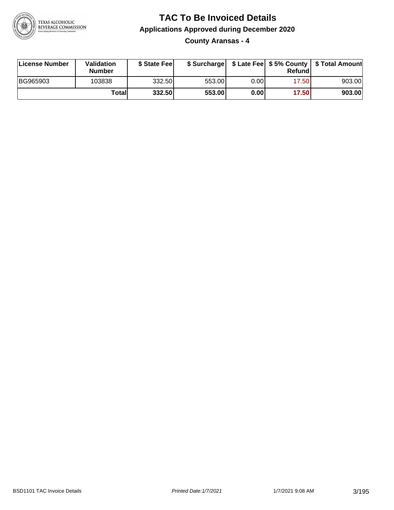

**County Aransas - 4**

| License Number | <b>Validation</b><br><b>Number</b> | \$ State Fee | \$ Surcharge |      | Refundl | \$ Late Fee   \$5% County   \$ Total Amount |
|----------------|------------------------------------|--------------|--------------|------|---------|---------------------------------------------|
| BG965903       | 103838                             | 332.50       | 553.00       | 0.00 | 17.501  | 903.00                                      |
|                | Totall                             | 332.50       | 553.00       | 0.00 | 17.50   | 903.00                                      |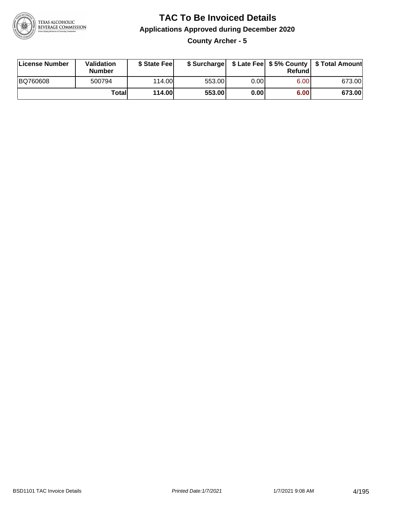

**County Archer - 5**

| License Number | <b>Validation</b><br>Number | \$ State Feel | \$ Surcharge |       | Refundl | \$ Late Fee   \$5% County   \$ Total Amount |
|----------------|-----------------------------|---------------|--------------|-------|---------|---------------------------------------------|
| BQ760608       | 500794                      | 114.00        | 553.00       | 0.001 | 6.00    | 673.00                                      |
|                | Totall                      | 114.00        | 553.00       | 0.00  | 6.00    | 673.00                                      |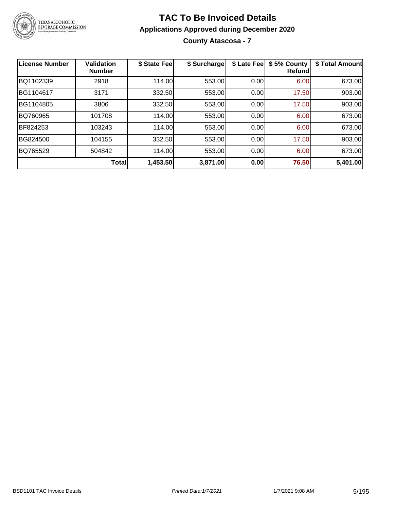

**County Atascosa - 7**

| License Number | Validation<br><b>Number</b> | \$ State Fee | \$ Surcharge | \$ Late Fee | \$5% County<br>Refundl | \$ Total Amount |
|----------------|-----------------------------|--------------|--------------|-------------|------------------------|-----------------|
| BQ1102339      | 2918                        | 114.00       | 553.00       | 0.00        | 6.00                   | 673.00          |
| BG1104617      | 3171                        | 332.50       | 553.00       | 0.00        | 17.50                  | 903.00          |
| BG1104805      | 3806                        | 332.50       | 553.00       | 0.00        | 17.50                  | 903.00          |
| BQ760965       | 101708                      | 114.00       | 553.00       | 0.00        | 6.00                   | 673.00          |
| BF824253       | 103243                      | 114.00       | 553.00       | 0.00        | 6.00                   | 673.00          |
| BG824500       | 104155                      | 332.50       | 553.00       | 0.00        | 17.50                  | 903.00          |
| BQ765529       | 504842                      | 114.00       | 553.00       | 0.00        | 6.00                   | 673.00          |
|                | <b>Total</b>                | 1,453.50     | 3,871.00     | 0.00        | 76.50                  | 5,401.00        |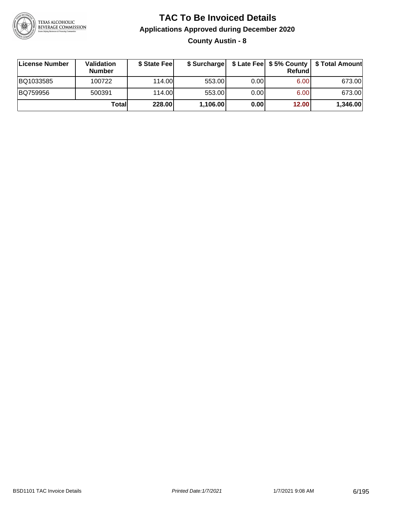

**County Austin - 8**

| ∣License Number | <b>Validation</b><br><b>Number</b> | \$ State Fee | \$ Surcharge |       | <b>Refund</b> | \$ Late Fee   \$5% County   \$ Total Amount |
|-----------------|------------------------------------|--------------|--------------|-------|---------------|---------------------------------------------|
| BQ1033585       | 100722                             | 114.00       | 553.00       | 0.001 | 6.00          | 673.00                                      |
| BQ759956        | 500391                             | 114.00       | 553.00       | 0.001 | 6.00          | 673.00                                      |
|                 | Totall                             | 228.00       | 1,106.00     | 0.00  | 12.00         | 1,346.00                                    |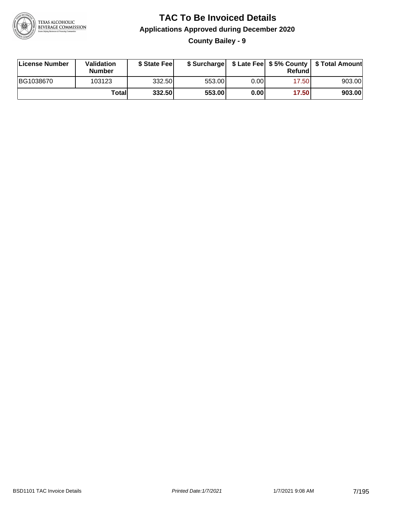

**County Bailey - 9**

| License Number | <b>Validation</b><br><b>Number</b> | \$ State Feel |        |       | Refundl | \$ Surcharge   \$ Late Fee   \$5% County   \$ Total Amount |
|----------------|------------------------------------|---------------|--------|-------|---------|------------------------------------------------------------|
| BG1038670      | 103123                             | 332.50        | 553.00 | 0.00I | 17.50   | 903.00                                                     |
|                | Totall                             | 332.50        | 553.00 | 0.00  | 17.50   | 903.00                                                     |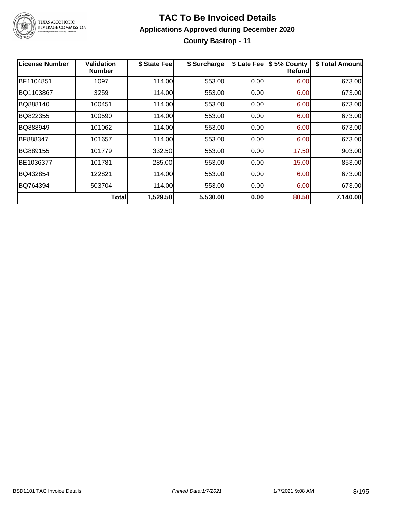

#### **TAC To Be Invoiced Details Applications Approved during December 2020 County Bastrop - 11**

| <b>License Number</b> | Validation<br><b>Number</b> | \$ State Fee | \$ Surcharge | \$ Late Fee | \$5% County<br>Refundl | \$ Total Amount |
|-----------------------|-----------------------------|--------------|--------------|-------------|------------------------|-----------------|
| BF1104851             | 1097                        | 114.00       | 553.00       | 0.00        | 6.00                   | 673.00          |
| BQ1103867             | 3259                        | 114.00       | 553.00       | 0.00        | 6.00                   | 673.00          |
| BQ888140              | 100451                      | 114.00       | 553.00       | 0.00        | 6.00                   | 673.00          |
| BQ822355              | 100590                      | 114.00       | 553.00       | 0.00        | 6.00                   | 673.00          |
| BQ888949              | 101062                      | 114.00       | 553.00       | 0.00        | 6.00                   | 673.00          |
| BF888347              | 101657                      | 114.00       | 553.00       | 0.00        | 6.00                   | 673.00          |
| BG889155              | 101779                      | 332.50       | 553.00       | 0.00        | 17.50                  | 903.00          |
| BE1036377             | 101781                      | 285.00       | 553.00       | 0.00        | 15.00                  | 853.00          |
| BQ432854              | 122821                      | 114.00       | 553.00       | 0.00        | 6.00                   | 673.00          |
| BQ764394              | 503704                      | 114.00       | 553.00       | 0.00        | 6.00                   | 673.00          |
|                       | Total                       | 1,529.50     | 5,530.00     | 0.00        | 80.50                  | 7,140.00        |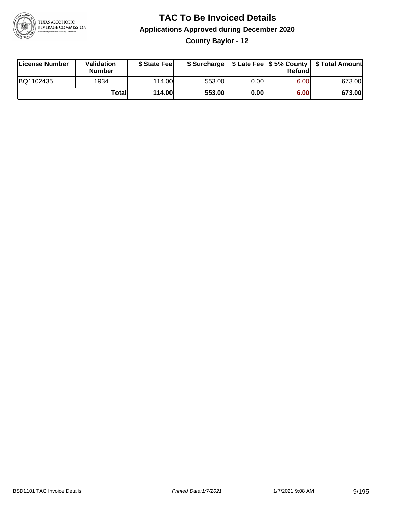

**County Baylor - 12**

| License Number | <b>Validation</b><br><b>Number</b> | \$ State Fee  | \$ Surcharge |      | Refundl |        |
|----------------|------------------------------------|---------------|--------------|------|---------|--------|
| BQ1102435      | 1934                               | 114.00L       | 553.00       | 0.00 | 6.00    | 673.00 |
|                | Totall                             | <b>114.00</b> | 553.00       | 0.00 | 6.00    | 673.00 |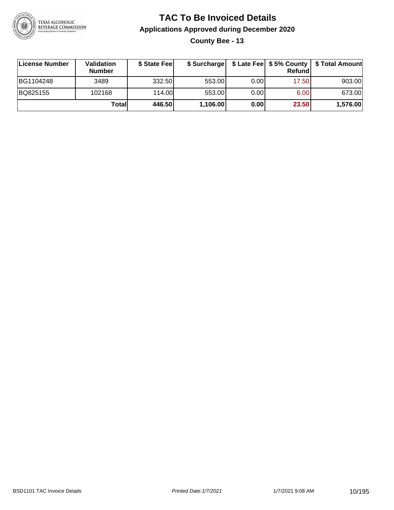

**County Bee - 13**

| ∣License Number | <b>Validation</b><br><b>Number</b> | \$ State Fee | \$ Surcharge |       | <b>Refund</b> | \$ Late Fee   \$5% County   \$ Total Amount |
|-----------------|------------------------------------|--------------|--------------|-------|---------------|---------------------------------------------|
| BG1104248       | 3489                               | 332.50       | 553.00       | 0.001 | 17.50         | 903.00                                      |
| BQ825155        | 102168                             | 114.00       | 553.00       | 0.001 | 6.00          | 673.00                                      |
|                 | Totall                             | 446.50       | 1,106.00     | 0.00  | 23.50         | 1,576.00                                    |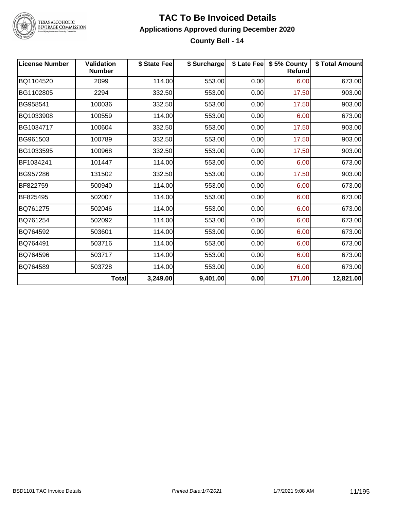

#### **TAC To Be Invoiced Details Applications Approved during December 2020 County Bell - 14**

| <b>License Number</b> | <b>Validation</b><br><b>Number</b> | \$ State Fee | \$ Surcharge |      | \$ Late Fee   \$5% County<br><b>Refund</b> | \$ Total Amount |
|-----------------------|------------------------------------|--------------|--------------|------|--------------------------------------------|-----------------|
| BQ1104520             | 2099                               | 114.00       | 553.00       | 0.00 | 6.00                                       | 673.00          |
| BG1102805             | 2294                               | 332.50       | 553.00       | 0.00 | 17.50                                      | 903.00          |
| BG958541              | 100036                             | 332.50       | 553.00       | 0.00 | 17.50                                      | 903.00          |
| BQ1033908             | 100559                             | 114.00       | 553.00       | 0.00 | 6.00                                       | 673.00          |
| BG1034717             | 100604                             | 332.50       | 553.00       | 0.00 | 17.50                                      | 903.00          |
| BG961503              | 100789                             | 332.50       | 553.00       | 0.00 | 17.50                                      | 903.00          |
| BG1033595             | 100968                             | 332.50       | 553.00       | 0.00 | 17.50                                      | 903.00          |
| BF1034241             | 101447                             | 114.00       | 553.00       | 0.00 | 6.00                                       | 673.00          |
| BG957286              | 131502                             | 332.50       | 553.00       | 0.00 | 17.50                                      | 903.00          |
| BF822759              | 500940                             | 114.00       | 553.00       | 0.00 | 6.00                                       | 673.00          |
| BF825495              | 502007                             | 114.00       | 553.00       | 0.00 | 6.00                                       | 673.00          |
| BQ761275              | 502046                             | 114.00       | 553.00       | 0.00 | 6.00                                       | 673.00          |
| BQ761254              | 502092                             | 114.00       | 553.00       | 0.00 | 6.00                                       | 673.00          |
| BQ764592              | 503601                             | 114.00       | 553.00       | 0.00 | 6.00                                       | 673.00          |
| BQ764491              | 503716                             | 114.00       | 553.00       | 0.00 | 6.00                                       | 673.00          |
| BQ764596              | 503717                             | 114.00       | 553.00       | 0.00 | 6.00                                       | 673.00          |
| BQ764589              | 503728                             | 114.00       | 553.00       | 0.00 | 6.00                                       | 673.00          |
|                       | <b>Total</b>                       | 3,249.00     | 9,401.00     | 0.00 | 171.00                                     | 12,821.00       |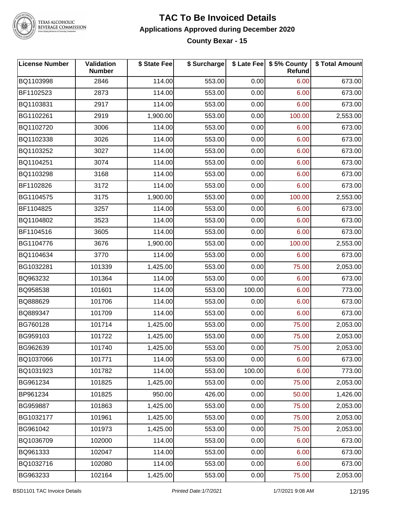

#### **TAC To Be Invoiced Details Applications Approved during December 2020 County Bexar - 15**

| <b>License Number</b> | Validation<br><b>Number</b> | \$ State Fee | \$ Surcharge |        | \$ Late Fee   \$5% County<br>Refund | \$ Total Amount |
|-----------------------|-----------------------------|--------------|--------------|--------|-------------------------------------|-----------------|
| BQ1103998             | 2846                        | 114.00       | 553.00       | 0.00   | 6.00                                | 673.00          |
| BF1102523             | 2873                        | 114.00       | 553.00       | 0.00   | 6.00                                | 673.00          |
| BQ1103831             | 2917                        | 114.00       | 553.00       | 0.00   | 6.00                                | 673.00          |
| BG1102261             | 2919                        | 1,900.00     | 553.00       | 0.00   | 100.00                              | 2,553.00        |
| BQ1102720             | 3006                        | 114.00       | 553.00       | 0.00   | 6.00                                | 673.00          |
| BQ1102338             | 3026                        | 114.00       | 553.00       | 0.00   | 6.00                                | 673.00          |
| BQ1103252             | 3027                        | 114.00       | 553.00       | 0.00   | 6.00                                | 673.00          |
| BQ1104251             | 3074                        | 114.00       | 553.00       | 0.00   | 6.00                                | 673.00          |
| BQ1103298             | 3168                        | 114.00       | 553.00       | 0.00   | 6.00                                | 673.00          |
| BF1102826             | 3172                        | 114.00       | 553.00       | 0.00   | 6.00                                | 673.00          |
| BG1104575             | 3175                        | 1,900.00     | 553.00       | 0.00   | 100.00                              | 2,553.00        |
| BF1104825             | 3257                        | 114.00       | 553.00       | 0.00   | 6.00                                | 673.00          |
| BQ1104802             | 3523                        | 114.00       | 553.00       | 0.00   | 6.00                                | 673.00          |
| BF1104516             | 3605                        | 114.00       | 553.00       | 0.00   | 6.00                                | 673.00          |
| BG1104776             | 3676                        | 1,900.00     | 553.00       | 0.00   | 100.00                              | 2,553.00        |
| BQ1104634             | 3770                        | 114.00       | 553.00       | 0.00   | 6.00                                | 673.00          |
| BG1032281             | 101339                      | 1,425.00     | 553.00       | 0.00   | 75.00                               | 2,053.00        |
| BQ963232              | 101364                      | 114.00       | 553.00       | 0.00   | 6.00                                | 673.00          |
| BQ958538              | 101601                      | 114.00       | 553.00       | 100.00 | 6.00                                | 773.00          |
| BQ888629              | 101706                      | 114.00       | 553.00       | 0.00   | 6.00                                | 673.00          |
| BQ889347              | 101709                      | 114.00       | 553.00       | 0.00   | 6.00                                | 673.00          |
| BG760128              | 101714                      | 1,425.00     | 553.00       | 0.00   | 75.00                               | 2,053.00        |
| BG959103              | 101722                      | 1,425.00     | 553.00       | 0.00   | 75.00                               | 2,053.00        |
| BG962639              | 101740                      | 1,425.00     | 553.00       | 0.00   | 75.00                               | 2,053.00        |
| BQ1037066             | 101771                      | 114.00       | 553.00       | 0.00   | 6.00                                | 673.00          |
| BQ1031923             | 101782                      | 114.00       | 553.00       | 100.00 | 6.00                                | 773.00          |
| BG961234              | 101825                      | 1,425.00     | 553.00       | 0.00   | 75.00                               | 2,053.00        |
| BP961234              | 101825                      | 950.00       | 426.00       | 0.00   | 50.00                               | 1,426.00        |
| BG959887              | 101863                      | 1,425.00     | 553.00       | 0.00   | 75.00                               | 2,053.00        |
| BG1032177             | 101961                      | 1,425.00     | 553.00       | 0.00   | 75.00                               | 2,053.00        |
| BG961042              | 101973                      | 1,425.00     | 553.00       | 0.00   | 75.00                               | 2,053.00        |
| BQ1036709             | 102000                      | 114.00       | 553.00       | 0.00   | 6.00                                | 673.00          |
| BQ961333              | 102047                      | 114.00       | 553.00       | 0.00   | 6.00                                | 673.00          |
| BQ1032716             | 102080                      | 114.00       | 553.00       | 0.00   | 6.00                                | 673.00          |
| BG963233              | 102164                      | 1,425.00     | 553.00       | 0.00   | 75.00                               | 2,053.00        |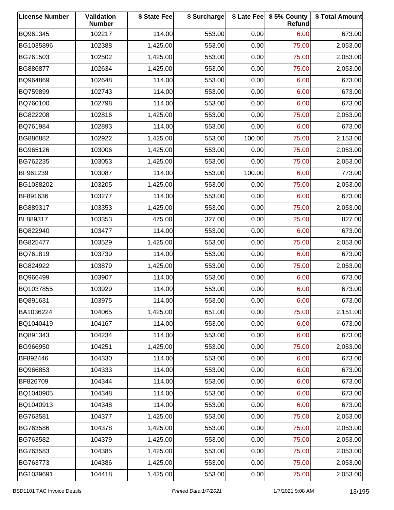| <b>License Number</b> | Validation<br><b>Number</b> | \$ State Fee | \$ Surcharge |        | \$ Late Fee   \$5% County<br>Refund | \$ Total Amount |
|-----------------------|-----------------------------|--------------|--------------|--------|-------------------------------------|-----------------|
| BQ961345              | 102217                      | 114.00       | 553.00       | 0.00   | 6.00                                | 673.00          |
| BG1035896             | 102388                      | 1,425.00     | 553.00       | 0.00   | 75.00                               | 2,053.00        |
| BG761503              | 102502                      | 1,425.00     | 553.00       | 0.00   | 75.00                               | 2,053.00        |
| BG886877              | 102634                      | 1,425.00     | 553.00       | 0.00   | 75.00                               | 2,053.00        |
| BQ964869              | 102648                      | 114.00       | 553.00       | 0.00   | 6.00                                | 673.00          |
| BQ759899              | 102743                      | 114.00       | 553.00       | 0.00   | 6.00                                | 673.00          |
| BQ760100              | 102798                      | 114.00       | 553.00       | 0.00   | 6.00                                | 673.00          |
| BG822208              | 102816                      | 1,425.00     | 553.00       | 0.00   | 75.00                               | 2,053.00        |
| BQ761984              | 102893                      | 114.00       | 553.00       | 0.00   | 6.00                                | 673.00          |
| BG886882              | 102922                      | 1,425.00     | 553.00       | 100.00 | 75.00                               | 2,153.00        |
| BG965126              | 103006                      | 1,425.00     | 553.00       | 0.00   | 75.00                               | 2,053.00        |
| BG762235              | 103053                      | 1,425.00     | 553.00       | 0.00   | 75.00                               | 2,053.00        |
| BF961239              | 103087                      | 114.00       | 553.00       | 100.00 | 6.00                                | 773.00          |
| BG1038202             | 103205                      | 1,425.00     | 553.00       | 0.00   | 75.00                               | 2,053.00        |
| BF891636              | 103277                      | 114.00       | 553.00       | 0.00   | 6.00                                | 673.00          |
| BG889317              | 103353                      | 1,425.00     | 553.00       | 0.00   | 75.00                               | 2,053.00        |
| BL889317              | 103353                      | 475.00       | 327.00       | 0.00   | 25.00                               | 827.00          |
| BQ822940              | 103477                      | 114.00       | 553.00       | 0.00   | 6.00                                | 673.00          |
| BG825477              | 103529                      | 1,425.00     | 553.00       | 0.00   | 75.00                               | 2,053.00        |
| BQ761819              | 103739                      | 114.00       | 553.00       | 0.00   | 6.00                                | 673.00          |
| BG824922              | 103879                      | 1,425.00     | 553.00       | 0.00   | 75.00                               | 2,053.00        |
| BQ966499              | 103907                      | 114.00       | 553.00       | 0.00   | 6.00                                | 673.00          |
| BQ1037855             | 103929                      | 114.00       | 553.00       | 0.00   | 6.00                                | 673.00          |
| BQ891631              | 103975                      | 114.00       | 553.00       | 0.00   | 6.00                                | 673.00          |
| BA1036224             | 104065                      | 1,425.00     | 651.00       | 0.00   | 75.00                               | 2,151.00        |
| BQ1040419             | 104167                      | 114.00       | 553.00       | 0.00   | 6.00                                | 673.00          |
| BQ891343              | 104234                      | 114.00       | 553.00       | 0.00   | 6.00                                | 673.00          |
| BG966950              | 104251                      | 1,425.00     | 553.00       | 0.00   | 75.00                               | 2,053.00        |
| BF892446              | 104330                      | 114.00       | 553.00       | 0.00   | 6.00                                | 673.00          |
| BQ966853              | 104333                      | 114.00       | 553.00       | 0.00   | 6.00                                | 673.00          |
| BF826709              | 104344                      | 114.00       | 553.00       | 0.00   | 6.00                                | 673.00          |
| BQ1040905             | 104348                      | 114.00       | 553.00       | 0.00   | 6.00                                | 673.00          |
| BQ1040913             | 104348                      | 114.00       | 553.00       | 0.00   | 6.00                                | 673.00          |
| BG763581              | 104377                      | 1,425.00     | 553.00       | 0.00   | 75.00                               | 2,053.00        |
| BG763586              | 104378                      | 1,425.00     | 553.00       | 0.00   | 75.00                               | 2,053.00        |
| BG763582              | 104379                      | 1,425.00     | 553.00       | 0.00   | 75.00                               | 2,053.00        |
| BG763583              | 104385                      | 1,425.00     | 553.00       | 0.00   | 75.00                               | 2,053.00        |
| BG763773              | 104386                      | 1,425.00     | 553.00       | 0.00   | 75.00                               | 2,053.00        |
| BG1039691             | 104418                      | 1,425.00     | 553.00       | 0.00   | 75.00                               | 2,053.00        |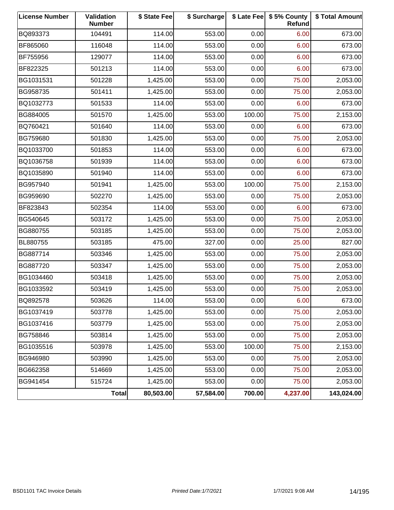| <b>License Number</b> | Validation<br><b>Number</b> | \$ State Fee | \$ Surcharge |        | \$ Late Fee   \$5% County<br><b>Refund</b> | \$ Total Amount |
|-----------------------|-----------------------------|--------------|--------------|--------|--------------------------------------------|-----------------|
| BQ893373              | 104491                      | 114.00       | 553.00       | 0.00   | 6.00                                       | 673.00          |
| BF865060              | 116048                      | 114.00       | 553.00       | 0.00   | 6.00                                       | 673.00          |
| BF755956              | 129077                      | 114.00       | 553.00       | 0.00   | 6.00                                       | 673.00          |
| BF822325              | 501213                      | 114.00       | 553.00       | 0.00   | 6.00                                       | 673.00          |
| BG1031531             | 501228                      | 1,425.00     | 553.00       | 0.00   | 75.00                                      | 2,053.00        |
| BG958735              | 501411                      | 1,425.00     | 553.00       | 0.00   | 75.00                                      | 2,053.00        |
| BQ1032773             | 501533                      | 114.00       | 553.00       | 0.00   | 6.00                                       | 673.00          |
| BG884005              | 501570                      | 1,425.00     | 553.00       | 100.00 | 75.00                                      | 2,153.00        |
| BQ760421              | 501640                      | 114.00       | 553.00       | 0.00   | 6.00                                       | 673.00          |
| BG759680              | 501830                      | 1,425.00     | 553.00       | 0.00   | 75.00                                      | 2,053.00        |
| BQ1033700             | 501853                      | 114.00       | 553.00       | 0.00   | 6.00                                       | 673.00          |
| BQ1036758             | 501939                      | 114.00       | 553.00       | 0.00   | 6.00                                       | 673.00          |
| BQ1035890             | 501940                      | 114.00       | 553.00       | 0.00   | 6.00                                       | 673.00          |
| BG957940              | 501941                      | 1,425.00     | 553.00       | 100.00 | 75.00                                      | 2,153.00        |
| BG959690              | 502270                      | 1,425.00     | 553.00       | 0.00   | 75.00                                      | 2,053.00        |
| BF823843              | 502354                      | 114.00       | 553.00       | 0.00   | 6.00                                       | 673.00          |
| BG540645              | 503172                      | 1,425.00     | 553.00       | 0.00   | 75.00                                      | 2,053.00        |
| BG880755              | 503185                      | 1,425.00     | 553.00       | 0.00   | 75.00                                      | 2,053.00        |
| BL880755              | 503185                      | 475.00       | 327.00       | 0.00   | 25.00                                      | 827.00          |
| BG887714              | 503346                      | 1,425.00     | 553.00       | 0.00   | 75.00                                      | 2,053.00        |
| BG887720              | 503347                      | 1,425.00     | 553.00       | 0.00   | 75.00                                      | 2,053.00        |
| BG1034460             | 503418                      | 1,425.00     | 553.00       | 0.00   | 75.00                                      | 2,053.00        |
| BG1033592             | 503419                      | 1,425.00     | 553.00       | 0.00   | 75.00                                      | 2,053.00        |
| BQ892578              | 503626                      | 114.00       | 553.00       | 0.00   | 6.00                                       | 673.00          |
| BG1037419             | 503778                      | 1,425.00     | 553.00       | 0.00   | 75.00                                      | 2,053.00        |
| BG1037416             | 503779                      | 1,425.00     | 553.00       | 0.00   | 75.00                                      | 2,053.00        |
| BG758846              | 503814                      | 1,425.00     | 553.00       | 0.00   | 75.00                                      | 2,053.00        |
| BG1035516             | 503978                      | 1,425.00     | 553.00       | 100.00 | 75.00                                      | 2,153.00        |
| BG946980              | 503990                      | 1,425.00     | 553.00       | 0.00   | 75.00                                      | 2,053.00        |
| BG662358              | 514669                      | 1,425.00     | 553.00       | 0.00   | 75.00                                      | 2,053.00        |
| BG941454              | 515724                      | 1,425.00     | 553.00       | 0.00   | 75.00                                      | 2,053.00        |
|                       | <b>Total</b>                | 80,503.00    | 57,584.00    | 700.00 | 4,237.00                                   | 143,024.00      |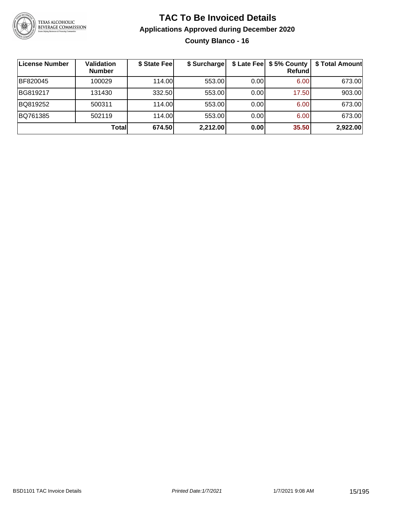

**County Blanco - 16**

| ∣License Number | <b>Validation</b><br><b>Number</b> | \$ State Fee | \$ Surcharge |      | \$ Late Fee   \$5% County<br><b>Refund</b> | \$ Total Amount |
|-----------------|------------------------------------|--------------|--------------|------|--------------------------------------------|-----------------|
| BF820045        | 100029                             | 114.00       | 553.00       | 0.00 | 6.00                                       | 673.00          |
| BG819217        | 131430                             | 332.50       | 553.00       | 0.00 | 17.50                                      | 903.00          |
| BQ819252        | 500311                             | 114.00       | 553.00       | 0.00 | 6.00                                       | 673.00          |
| BQ761385        | 502119                             | 114.00       | 553.00       | 0.00 | 6.00                                       | 673.00          |
|                 | Total                              | 674.50       | 2,212.00     | 0.00 | 35.50                                      | 2,922.00        |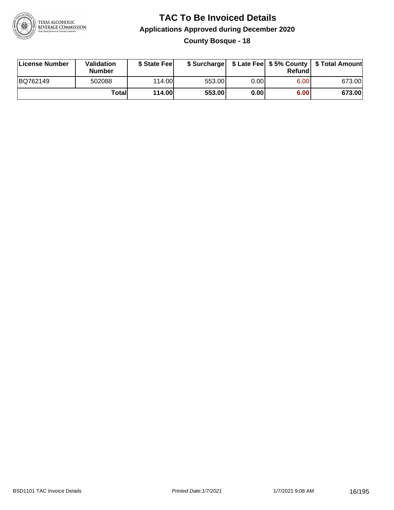

**County Bosque - 18**

| License Number | Validation<br><b>Number</b> | \$ State Fee  | \$ Surcharge |      | Refund | \$ Late Fee   \$5% County   \$ Total Amount |
|----------------|-----------------------------|---------------|--------------|------|--------|---------------------------------------------|
| BQ762149       | 502088                      | 114.00        | 553.00       | 0.00 | 6.00   | 673.00                                      |
|                | Totall                      | <b>114.00</b> | 553.00       | 0.00 | 6.00   | 673.00                                      |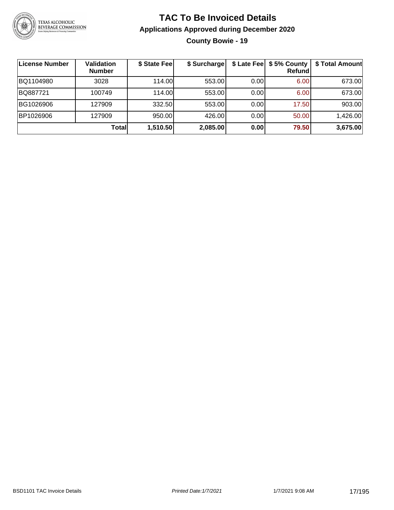

#### **TAC To Be Invoiced Details Applications Approved during December 2020 County Bowie - 19**

| License Number | <b>Validation</b><br><b>Number</b> | \$ State Fee | \$ Surcharge |      | \$ Late Fee   \$5% County  <br>Refundl | \$ Total Amount |
|----------------|------------------------------------|--------------|--------------|------|----------------------------------------|-----------------|
| BQ1104980      | 3028                               | 114.00       | 553.00       | 0.00 | 6.00 <sub>1</sub>                      | 673.00          |
| BQ887721       | 100749                             | 114.00L      | 553.00       | 0.00 | 6.00                                   | 673.00          |
| BG1026906      | 127909                             | 332.50       | 553.00       | 0.00 | 17.50                                  | 903.00          |
| BP1026906      | 127909                             | 950.00       | 426.00       | 0.00 | 50.00                                  | 1,426.00        |
|                | Total                              | 1,510.50     | 2,085.00     | 0.00 | 79.50                                  | 3,675.00        |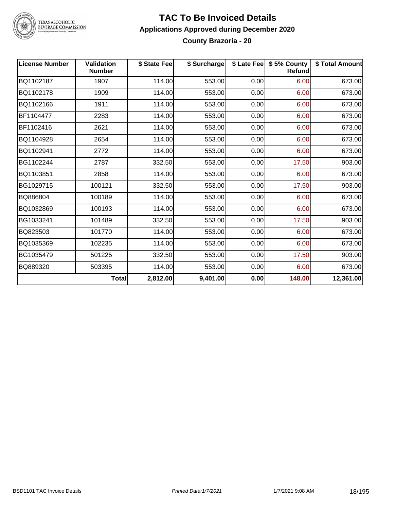

#### **TAC To Be Invoiced Details Applications Approved during December 2020 County Brazoria - 20**

| <b>License Number</b> | Validation<br><b>Number</b> | \$ State Fee | \$ Surcharge |      | \$ Late Fee   \$5% County<br>Refund | \$ Total Amount |
|-----------------------|-----------------------------|--------------|--------------|------|-------------------------------------|-----------------|
| BQ1102187             | 1907                        | 114.00       | 553.00       | 0.00 | 6.00                                | 673.00          |
| BQ1102178             | 1909                        | 114.00       | 553.00       | 0.00 | 6.00                                | 673.00          |
| BQ1102166             | 1911                        | 114.00       | 553.00       | 0.00 | 6.00                                | 673.00          |
| BF1104477             | 2283                        | 114.00       | 553.00       | 0.00 | 6.00                                | 673.00          |
| BF1102416             | 2621                        | 114.00       | 553.00       | 0.00 | 6.00                                | 673.00          |
| BQ1104928             | 2654                        | 114.00       | 553.00       | 0.00 | 6.00                                | 673.00          |
| BQ1102941             | 2772                        | 114.00       | 553.00       | 0.00 | 6.00                                | 673.00          |
| BG1102244             | 2787                        | 332.50       | 553.00       | 0.00 | 17.50                               | 903.00          |
| BQ1103851             | 2858                        | 114.00       | 553.00       | 0.00 | 6.00                                | 673.00          |
| BG1029715             | 100121                      | 332.50       | 553.00       | 0.00 | 17.50                               | 903.00          |
| BQ886804              | 100189                      | 114.00       | 553.00       | 0.00 | 6.00                                | 673.00          |
| BQ1032869             | 100193                      | 114.00       | 553.00       | 0.00 | 6.00                                | 673.00          |
| BG1033241             | 101489                      | 332.50       | 553.00       | 0.00 | 17.50                               | 903.00          |
| BQ823503              | 101770                      | 114.00       | 553.00       | 0.00 | 6.00                                | 673.00          |
| BQ1035369             | 102235                      | 114.00       | 553.00       | 0.00 | 6.00                                | 673.00          |
| BG1035479             | 501225                      | 332.50       | 553.00       | 0.00 | 17.50                               | 903.00          |
| BQ889320              | 503395                      | 114.00       | 553.00       | 0.00 | 6.00                                | 673.00          |
|                       | <b>Total</b>                | 2,812.00     | 9,401.00     | 0.00 | 148.00                              | 12,361.00       |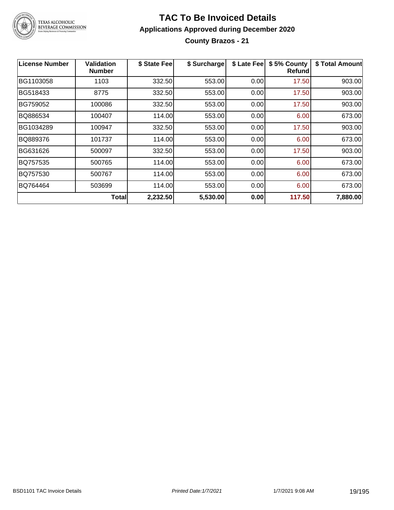

#### **TAC To Be Invoiced Details Applications Approved during December 2020 County Brazos - 21**

| License Number | Validation<br><b>Number</b> | \$ State Fee | \$ Surcharge | \$ Late Fee | \$5% County<br>Refundl | \$ Total Amount |
|----------------|-----------------------------|--------------|--------------|-------------|------------------------|-----------------|
| BG1103058      | 1103                        | 332.50       | 553.00       | 0.00        | 17.50                  | 903.00          |
| BG518433       | 8775                        | 332.50       | 553.00       | 0.00        | 17.50                  | 903.00          |
| BG759052       | 100086                      | 332.50       | 553.00       | 0.00        | 17.50                  | 903.00          |
| BQ886534       | 100407                      | 114.00       | 553.00       | 0.00        | 6.00                   | 673.00          |
| BG1034289      | 100947                      | 332.50       | 553.00       | 0.00        | 17.50                  | 903.00          |
| BQ889376       | 101737                      | 114.00       | 553.00       | 0.00        | 6.00                   | 673.00          |
| BG631626       | 500097                      | 332.50       | 553.00       | 0.00        | 17.50                  | 903.00          |
| BQ757535       | 500765                      | 114.00       | 553.00       | 0.00        | 6.00                   | 673.00          |
| BQ757530       | 500767                      | 114.00       | 553.00       | 0.00        | 6.00                   | 673.00          |
| BQ764464       | 503699                      | 114.00       | 553.00       | 0.00        | 6.00                   | 673.00          |
|                | <b>Total</b>                | 2,232.50     | 5,530.00     | 0.00        | 117.50                 | 7,880.00        |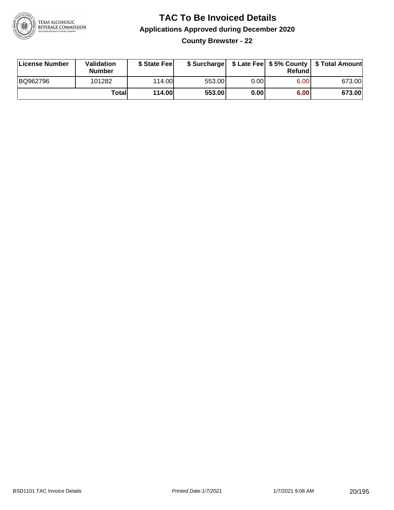

**County Brewster - 22**

| License Number | <b>Validation</b><br><b>Number</b> | \$ State Fee  | \$ Surcharge |       | Refundl | \$ Late Fee   \$5% County   \$ Total Amount |
|----------------|------------------------------------|---------------|--------------|-------|---------|---------------------------------------------|
| BQ962796       | 101282                             | 114.00        | 553.00       | 0.001 | 6.00    | 673.00                                      |
|                | Totall                             | <b>114.00</b> | 553.00       | 0.00  | 6.00    | 673.00                                      |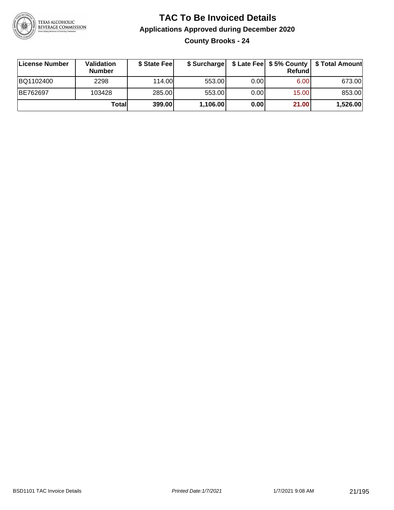

**County Brooks - 24**

| License Number | <b>Validation</b><br><b>Number</b> | \$ State Fee | \$ Surcharge |       | Refundl | \$ Late Fee   \$5% County   \$ Total Amount |
|----------------|------------------------------------|--------------|--------------|-------|---------|---------------------------------------------|
| BQ1102400      | 2298                               | 114.00       | 553.00       | 0.001 | 6.00    | 673.00                                      |
| BE762697       | 103428                             | 285.00       | 553.00       | 0.001 | 15.00   | 853.00                                      |
|                | Totall                             | 399.00       | 1,106.00     | 0.00  | 21.00   | 1,526.00                                    |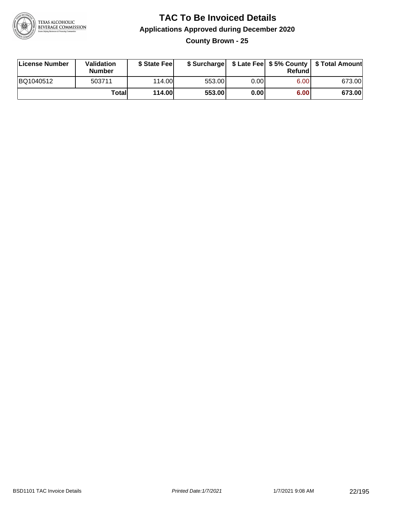

**County Brown - 25**

| License Number | Validation<br><b>Number</b> | \$ State Fee  | \$ Surcharge |      | Refundl | \$ Late Fee   \$5% County   \$ Total Amount |
|----------------|-----------------------------|---------------|--------------|------|---------|---------------------------------------------|
| BQ1040512      | 503711                      | 114.00        | 553.00       | 0.00 | 6.00    | 673.00                                      |
|                | Totall                      | <b>114.00</b> | 553.00       | 0.00 | 6.00    | 673.00                                      |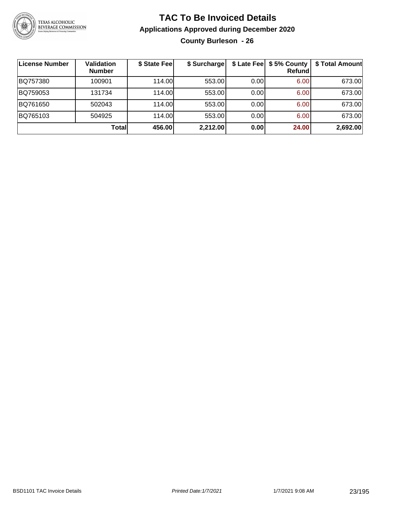

**County Burleson - 26**

| License Number | <b>Validation</b><br><b>Number</b> | \$ State Fee | \$ Surcharge |      | \$ Late Fee   \$5% County<br><b>Refund</b> | \$ Total Amount |
|----------------|------------------------------------|--------------|--------------|------|--------------------------------------------|-----------------|
| BQ757380       | 100901                             | 114.00       | 553.00       | 0.00 | 6.00                                       | 673.00          |
| BQ759053       | 131734                             | 114.00       | 553.00       | 0.00 | 6.00                                       | 673.00          |
| BQ761650       | 502043                             | 114.00       | 553.00       | 0.00 | 6.00                                       | 673.00          |
| BQ765103       | 504925                             | 114.00       | 553.00       | 0.00 | 6.00                                       | 673.00          |
|                | Totall                             | 456.00       | 2,212.00     | 0.00 | 24.00                                      | 2,692.00        |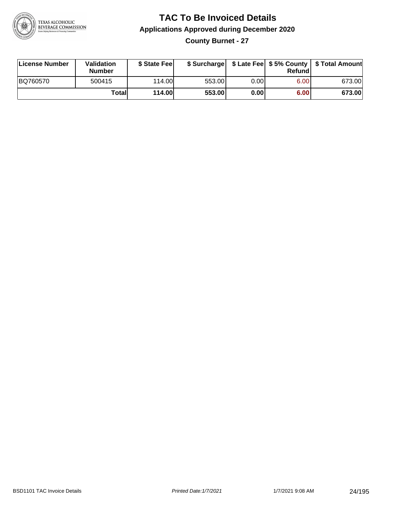

**County Burnet - 27**

| License Number | Validation<br><b>Number</b> | \$ State Fee  | \$ Surcharge |      | Refund | \$ Late Fee   \$5% County   \$ Total Amount |
|----------------|-----------------------------|---------------|--------------|------|--------|---------------------------------------------|
| BQ760570       | 500415                      | 114.00        | 553.00       | 0.00 | 6.00   | 673.00                                      |
|                | Totall                      | <b>114.00</b> | 553.00       | 0.00 | 6.00   | 673.00                                      |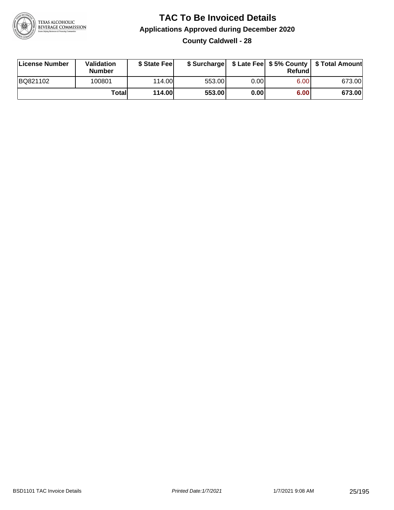

**County Caldwell - 28**

| License Number | <b>Validation</b><br><b>Number</b> | \$ State Fee  | \$ Surcharge |      | Refundl | \$ Late Fee   \$5% County   \$ Total Amount |
|----------------|------------------------------------|---------------|--------------|------|---------|---------------------------------------------|
| BQ821102       | 100801                             | 114.00L       | 553.00       | 0.00 | 6.00    | 673.00                                      |
|                | Totall                             | <b>114.00</b> | 553.00       | 0.00 | 6.00    | 673.00                                      |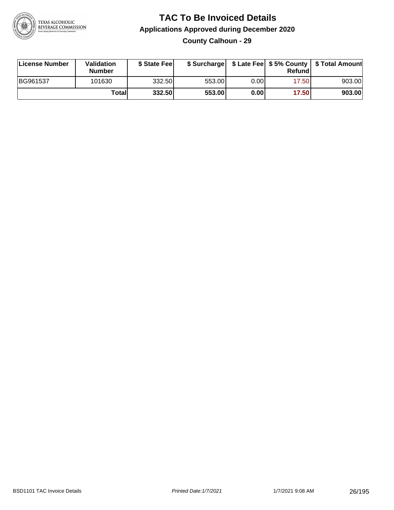

#### **TAC To Be Invoiced Details Applications Approved during December 2020 County Calhoun - 29**

| License Number | Validation<br>Number | \$ State Feel |        |       | Refundl | \$ Surcharge   \$ Late Fee   \$5% County   \$ Total Amount |
|----------------|----------------------|---------------|--------|-------|---------|------------------------------------------------------------|
| BG961537       | 101630               | 332.50        | 553.00 | 0.00  | 17.50   | 903.00                                                     |
|                | Totall               | 332.50        | 553.00 | 0.001 | 17.50   | 903.00                                                     |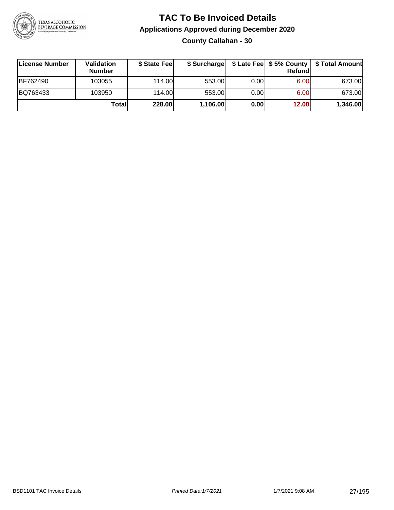

**County Callahan - 30**

| ∣License Number | <b>Validation</b><br><b>Number</b> | \$ State Fee | \$ Surcharge |       | <b>Refund</b> | \$ Late Fee   \$5% County   \$ Total Amount |
|-----------------|------------------------------------|--------------|--------------|-------|---------------|---------------------------------------------|
| <b>BF762490</b> | 103055                             | 114.00       | 553.00       | 0.001 | 6.00          | 673.00                                      |
| BQ763433        | 103950                             | 114.00       | 553.00       | 0.001 | 6.00          | 673.00                                      |
|                 | Totall                             | 228.00       | 1,106.00     | 0.00  | 12.00         | 1,346.00                                    |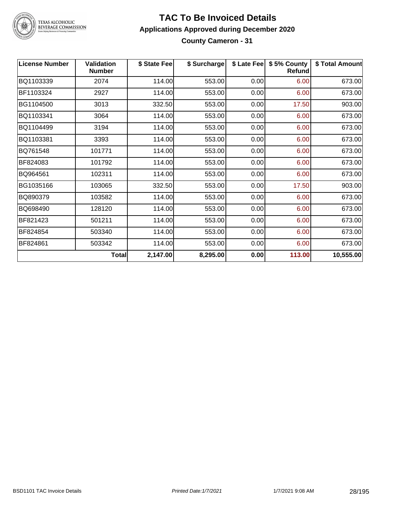

#### **TAC To Be Invoiced Details Applications Approved during December 2020 County Cameron - 31**

| <b>License Number</b> | <b>Validation</b><br><b>Number</b> | \$ State Fee | \$ Surcharge |      | \$ Late Fee   \$5% County<br><b>Refund</b> | \$ Total Amount |
|-----------------------|------------------------------------|--------------|--------------|------|--------------------------------------------|-----------------|
| BQ1103339             | 2074                               | 114.00       | 553.00       | 0.00 | 6.00                                       | 673.00          |
| BF1103324             | 2927                               | 114.00       | 553.00       | 0.00 | 6.00                                       | 673.00          |
| BG1104500             | 3013                               | 332.50       | 553.00       | 0.00 | 17.50                                      | 903.00          |
| BQ1103341             | 3064                               | 114.00       | 553.00       | 0.00 | 6.00                                       | 673.00          |
| BQ1104499             | 3194                               | 114.00       | 553.00       | 0.00 | 6.00                                       | 673.00          |
| BQ1103381             | 3393                               | 114.00       | 553.00       | 0.00 | 6.00                                       | 673.00          |
| BQ761548              | 101771                             | 114.00       | 553.00       | 0.00 | 6.00                                       | 673.00          |
| BF824083              | 101792                             | 114.00       | 553.00       | 0.00 | 6.00                                       | 673.00          |
| BQ964561              | 102311                             | 114.00       | 553.00       | 0.00 | 6.00                                       | 673.00          |
| BG1035166             | 103065                             | 332.50       | 553.00       | 0.00 | 17.50                                      | 903.00          |
| BQ890379              | 103582                             | 114.00       | 553.00       | 0.00 | 6.00                                       | 673.00          |
| BQ698490              | 128120                             | 114.00       | 553.00       | 0.00 | 6.00                                       | 673.00          |
| BF821423              | 501211                             | 114.00       | 553.00       | 0.00 | 6.00                                       | 673.00          |
| BF824854              | 503340                             | 114.00       | 553.00       | 0.00 | 6.00                                       | 673.00          |
| BF824861              | 503342                             | 114.00       | 553.00       | 0.00 | 6.00                                       | 673.00          |
|                       | <b>Total</b>                       | 2,147.00     | 8,295.00     | 0.00 | 113.00                                     | 10,555.00       |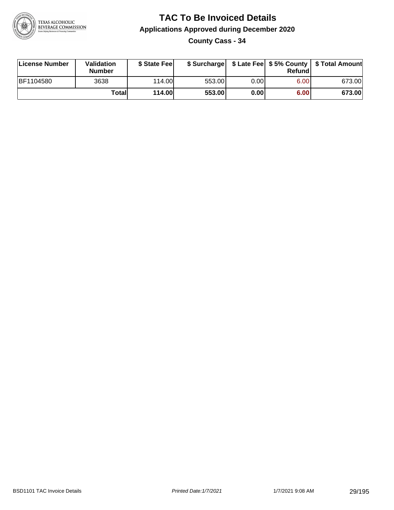

**County Cass - 34**

| License Number | Validation<br><b>Number</b> | \$ State Fee  | \$ Surcharge |       | Refundl |        |
|----------------|-----------------------------|---------------|--------------|-------|---------|--------|
| BF1104580      | 3638                        | 114.00        | 553.00       | 0.00I | 6.00    | 673.00 |
|                | Totall                      | <b>114.00</b> | 553.00       | 0.00  | 6.00    | 673.00 |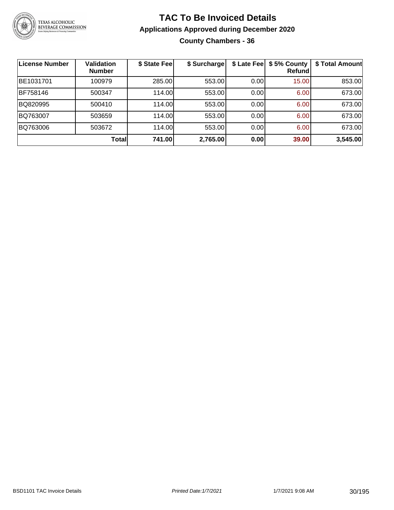

#### **TAC To Be Invoiced Details Applications Approved during December 2020 County Chambers - 36**

| <b>License Number</b> | <b>Validation</b><br><b>Number</b> | \$ State Fee | \$ Surcharge |      | \$ Late Fee   \$5% County<br>Refund | \$ Total Amount |
|-----------------------|------------------------------------|--------------|--------------|------|-------------------------------------|-----------------|
| BE1031701             | 100979                             | 285.00       | 553.00       | 0.00 | 15.00                               | 853.00          |
| BF758146              | 500347                             | 114.00       | 553.00       | 0.00 | 6.00                                | 673.00          |
| BQ820995              | 500410                             | 114.00       | 553.00       | 0.00 | 6.00                                | 673.00          |
| BQ763007              | 503659                             | 114.00       | 553.00       | 0.00 | 6.00                                | 673.00          |
| BQ763006              | 503672                             | 114.00       | 553.00       | 0.00 | 6.00                                | 673.00          |
|                       | Total                              | 741.00       | 2,765.00     | 0.00 | 39.00                               | 3,545.00        |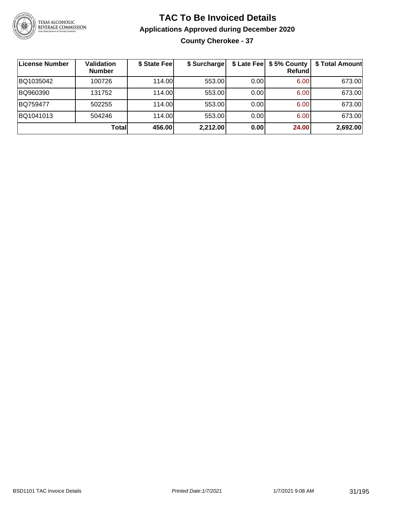

**County Cherokee - 37**

| License Number | <b>Validation</b><br><b>Number</b> | \$ State Fee | \$ Surcharge |      | \$ Late Fee   \$5% County  <br><b>Refund</b> | \$ Total Amount |
|----------------|------------------------------------|--------------|--------------|------|----------------------------------------------|-----------------|
| BQ1035042      | 100726                             | 114.00L      | 553.00       | 0.00 | 6.00                                         | 673.00          |
| BQ960390       | 131752                             | 114.00L      | 553.00       | 0.00 | 6.00                                         | 673.00          |
| BQ759477       | 502255                             | 114.00L      | 553.00       | 0.00 | 6.00                                         | 673.00          |
| BQ1041013      | 504246                             | 114.00       | 553.00       | 0.00 | 6.00                                         | 673.00          |
|                | Totall                             | 456.00       | 2,212.00     | 0.00 | 24.00                                        | 2,692.00        |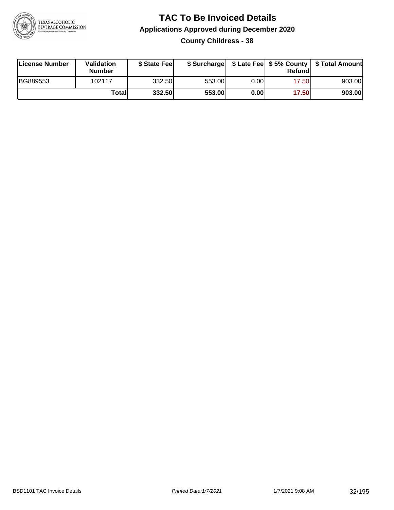

**County Childress - 38**

| License Number | <b>Validation</b><br><b>Number</b> | \$ State Fee | \$ Surcharge |      | Refundl |        |
|----------------|------------------------------------|--------------|--------------|------|---------|--------|
| BG889553       | 102117                             | 332.50       | 553.00       | 0.00 | 17.501  | 903.00 |
|                | Totall                             | 332.50       | 553.00       | 0.00 | 17.50   | 903.00 |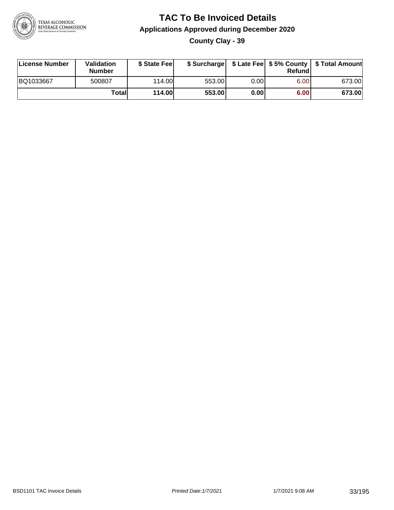

**County Clay - 39**

| License Number | Validation<br><b>Number</b> | \$ State Feel | \$ Surcharge |      | Refund | \$ Late Fee   \$5% County   \$ Total Amount |
|----------------|-----------------------------|---------------|--------------|------|--------|---------------------------------------------|
| BQ1033667      | 500807                      | 114.00        | 553.00       | 0.00 | 6.00   | 673.00                                      |
|                | Totall                      | <b>114.00</b> | 553.00       | 0.00 | 6.00   | 673.00                                      |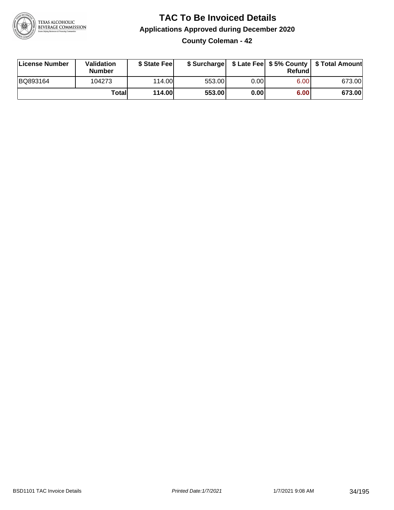

**County Coleman - 42**

| License Number | Validation<br><b>Number</b> | \$ State Feel | \$ Surcharge |      | Refund | \$ Late Fee   \$5% County   \$ Total Amount |
|----------------|-----------------------------|---------------|--------------|------|--------|---------------------------------------------|
| BQ893164       | 104273                      | 114.00        | 553.00       | 0.00 | 6.00   | 673.00                                      |
|                | Totall                      | <b>114.00</b> | 553.00       | 0.00 | 6.00   | 673.00                                      |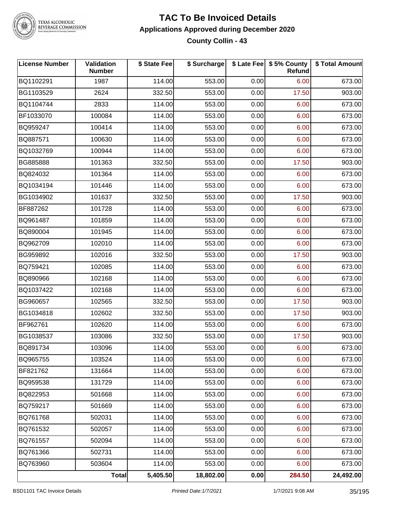

#### **TAC To Be Invoiced Details Applications Approved during December 2020 County Collin - 43**

| <b>License Number</b> | Validation<br><b>Number</b> | \$ State Fee | \$ Surcharge |      | \$ Late Fee   \$5% County<br><b>Refund</b> | \$ Total Amount |
|-----------------------|-----------------------------|--------------|--------------|------|--------------------------------------------|-----------------|
| BQ1102291             | 1987                        | 114.00       | 553.00       | 0.00 | 6.00                                       | 673.00          |
| BG1103529             | 2624                        | 332.50       | 553.00       | 0.00 | 17.50                                      | 903.00          |
| BQ1104744             | 2833                        | 114.00       | 553.00       | 0.00 | 6.00                                       | 673.00          |
| BF1033070             | 100084                      | 114.00       | 553.00       | 0.00 | 6.00                                       | 673.00          |
| BQ959247              | 100414                      | 114.00       | 553.00       | 0.00 | 6.00                                       | 673.00          |
| BQ887571              | 100630                      | 114.00       | 553.00       | 0.00 | 6.00                                       | 673.00          |
| BQ1032769             | 100944                      | 114.00       | 553.00       | 0.00 | 6.00                                       | 673.00          |
| BG885888              | 101363                      | 332.50       | 553.00       | 0.00 | 17.50                                      | 903.00          |
| BQ824032              | 101364                      | 114.00       | 553.00       | 0.00 | 6.00                                       | 673.00          |
| BQ1034194             | 101446                      | 114.00       | 553.00       | 0.00 | 6.00                                       | 673.00          |
| BG1034902             | 101637                      | 332.50       | 553.00       | 0.00 | 17.50                                      | 903.00          |
| BF887262              | 101728                      | 114.00       | 553.00       | 0.00 | 6.00                                       | 673.00          |
| BQ961487              | 101859                      | 114.00       | 553.00       | 0.00 | 6.00                                       | 673.00          |
| BQ890004              | 101945                      | 114.00       | 553.00       | 0.00 | 6.00                                       | 673.00          |
| BQ962709              | 102010                      | 114.00       | 553.00       | 0.00 | 6.00                                       | 673.00          |
| BG959892              | 102016                      | 332.50       | 553.00       | 0.00 | 17.50                                      | 903.00          |
| BQ759421              | 102085                      | 114.00       | 553.00       | 0.00 | 6.00                                       | 673.00          |
| BQ890966              | 102168                      | 114.00       | 553.00       | 0.00 | 6.00                                       | 673.00          |
| BQ1037422             | 102168                      | 114.00       | 553.00       | 0.00 | 6.00                                       | 673.00          |
| BG960657              | 102565                      | 332.50       | 553.00       | 0.00 | 17.50                                      | 903.00          |
| BG1034818             | 102602                      | 332.50       | 553.00       | 0.00 | 17.50                                      | 903.00          |
| BF962761              | 102620                      | 114.00       | 553.00       | 0.00 | 6.00                                       | 673.00          |
| BG1038537             | 103086                      | 332.50       | 553.00       | 0.00 | 17.50                                      | 903.00          |
| BQ891734              | 103096                      | 114.00       | 553.00       | 0.00 | 6.00                                       | 673.00          |
| BQ965755              | 103524                      | 114.00       | 553.00       | 0.00 | 6.00                                       | 673.00          |
| BF821762              | 131664                      | 114.00       | 553.00       | 0.00 | 6.00                                       | 673.00          |
| BQ959538              | 131729                      | 114.00       | 553.00       | 0.00 | 6.00                                       | 673.00          |
| BQ822953              | 501668                      | 114.00       | 553.00       | 0.00 | 6.00                                       | 673.00          |
| BQ759217              | 501669                      | 114.00       | 553.00       | 0.00 | 6.00                                       | 673.00          |
| BQ761768              | 502031                      | 114.00       | 553.00       | 0.00 | 6.00                                       | 673.00          |
| BQ761532              | 502057                      | 114.00       | 553.00       | 0.00 | 6.00                                       | 673.00          |
| BQ761557              | 502094                      | 114.00       | 553.00       | 0.00 | 6.00                                       | 673.00          |
| BQ761366              | 502731                      | 114.00       | 553.00       | 0.00 | 6.00                                       | 673.00          |
| BQ763960              | 503604                      | 114.00       | 553.00       | 0.00 | 6.00                                       | 673.00          |
|                       | <b>Total</b>                | 5,405.50     | 18,802.00    | 0.00 | 284.50                                     | 24,492.00       |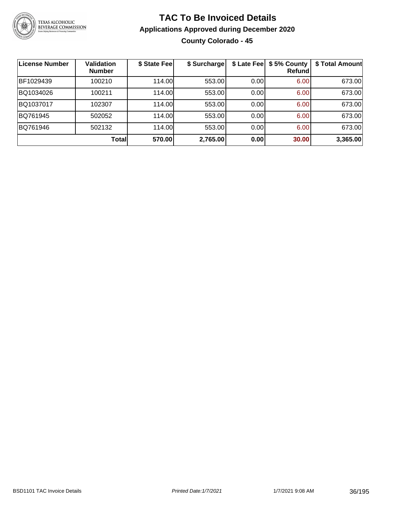

#### **TAC To Be Invoiced Details Applications Approved during December 2020 County Colorado - 45**

| License Number | <b>Validation</b><br><b>Number</b> | \$ State Fee | \$ Surcharge | \$ Late Fee | \$5% County<br>Refundl | \$ Total Amount |
|----------------|------------------------------------|--------------|--------------|-------------|------------------------|-----------------|
| BF1029439      | 100210                             | 114.00       | 553.00       | 0.00        | 6.00                   | 673.00          |
| BQ1034026      | 100211                             | 114.00L      | 553.00       | 0.00        | 6.00                   | 673.00          |
| BQ1037017      | 102307                             | 114.00       | 553.00       | 0.00        | 6.00                   | 673.00          |
| BQ761945       | 502052                             | 114.00       | 553.00       | 0.00        | 6.00                   | 673.00          |
| BQ761946       | 502132                             | 114.00       | 553.00       | 0.00        | 6.00                   | 673.00          |
|                | <b>Total</b>                       | 570.00       | 2,765.00     | 0.00        | 30.00                  | 3,365.00        |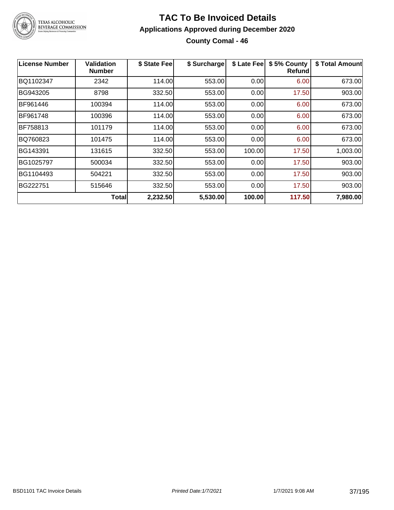

#### **TAC To Be Invoiced Details Applications Approved during December 2020 County Comal - 46**

| <b>License Number</b> | Validation<br><b>Number</b> | \$ State Fee | \$ Surcharge | \$ Late Fee | \$5% County<br><b>Refund</b> | \$ Total Amount |
|-----------------------|-----------------------------|--------------|--------------|-------------|------------------------------|-----------------|
| BQ1102347             | 2342                        | 114.00       | 553.00       | 0.00        | 6.00                         | 673.00          |
| BG943205              | 8798                        | 332.50       | 553.00       | 0.00        | 17.50                        | 903.00          |
| BF961446              | 100394                      | 114.00       | 553.00       | 0.00        | 6.00                         | 673.00          |
| BF961748              | 100396                      | 114.00       | 553.00       | 0.00        | 6.00                         | 673.00          |
| IBF758813             | 101179                      | 114.00       | 553.00       | 0.00        | 6.00                         | 673.00          |
| BQ760823              | 101475                      | 114.00       | 553.00       | 0.00        | 6.00                         | 673.00          |
| BG143391              | 131615                      | 332.50       | 553.00       | 100.00      | 17.50                        | 1,003.00        |
| BG1025797             | 500034                      | 332.50       | 553.00       | 0.00        | 17.50                        | 903.00          |
| BG1104493             | 504221                      | 332.50       | 553.00       | 0.00        | 17.50                        | 903.00          |
| BG222751              | 515646                      | 332.50       | 553.00       | 0.00        | 17.50                        | 903.00          |
|                       | <b>Total</b>                | 2,232.50     | 5,530.00     | 100.00      | 117.50                       | 7,980.00        |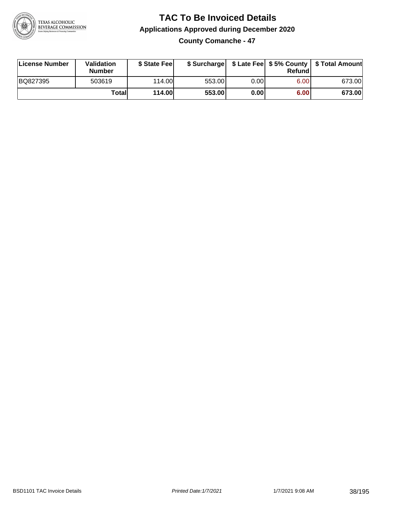

**County Comanche - 47**

| License Number | Validation<br><b>Number</b> | \$ State Fee  | \$ Surcharge |      | Refundl | \$ Late Fee   \$5% County   \$ Total Amount |
|----------------|-----------------------------|---------------|--------------|------|---------|---------------------------------------------|
| BQ827395       | 503619                      | 114.00        | 553.00       | 0.00 | 6.00    | 673.00                                      |
|                | Totall                      | <b>114.00</b> | 553.00       | 0.00 | 6.00    | 673.00                                      |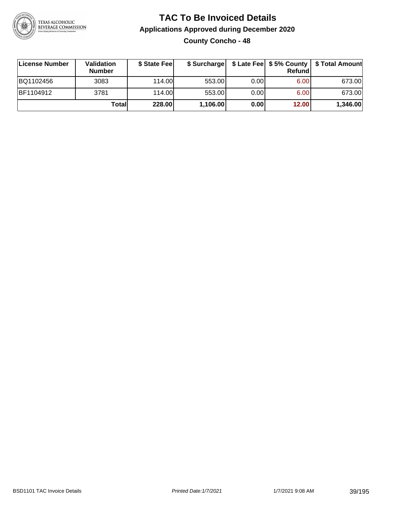

## **TAC To Be Invoiced Details Applications Approved during December 2020 County Concho - 48**

| License Number | Validation<br><b>Number</b> | \$ State Feel |          |      | <b>Refund</b> | \$ Surcharge   \$ Late Fee   \$5% County   \$ Total Amount |
|----------------|-----------------------------|---------------|----------|------|---------------|------------------------------------------------------------|
| BQ1102456      | 3083                        | 114.00L       | 553.00   | 0.00 | 6.00          | 673.00                                                     |
| BF1104912      | 3781                        | 114.00L       | 553.00   | 0.00 | 6.00          | 673.00                                                     |
|                | Totall                      | 228.00        | 1,106.00 | 0.00 | 12.00         | 1,346.00                                                   |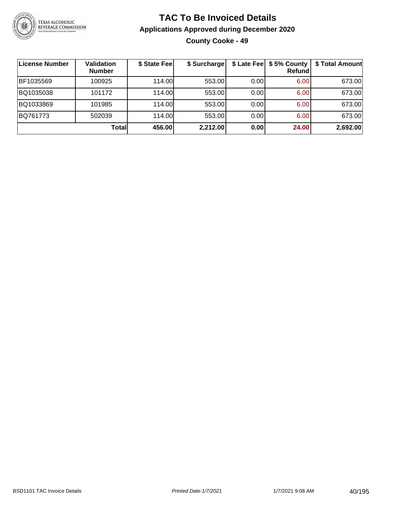

## **TAC To Be Invoiced Details Applications Approved during December 2020 County Cooke - 49**

| ∣License Number | Validation<br><b>Number</b> | \$ State Fee | \$ Surcharge |      | \$ Late Fee   \$5% County<br><b>Refund</b> | \$ Total Amount |
|-----------------|-----------------------------|--------------|--------------|------|--------------------------------------------|-----------------|
| BF1035569       | 100925                      | 114.00       | 553.00       | 0.00 | 6.00                                       | 673.00          |
| BQ1035038       | 101172                      | 114.00       | 553.00       | 0.00 | 6.00                                       | 673.00          |
| BQ1033869       | 101985                      | 114.00       | 553.00       | 0.00 | 6.00                                       | 673.00          |
| BQ761773        | 502039                      | 114.00       | 553.00       | 0.00 | 6.00                                       | 673.00          |
|                 | <b>Total</b>                | 456.00       | 2,212.00     | 0.00 | 24.00                                      | 2,692.00        |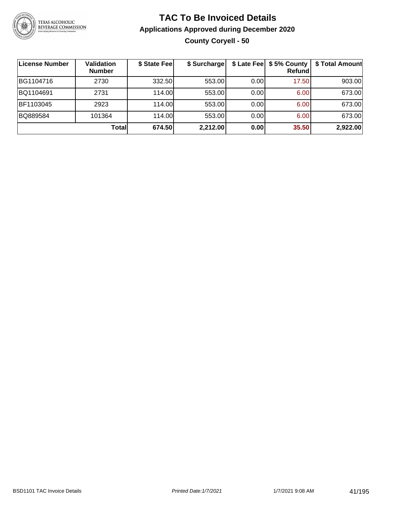

## **TAC To Be Invoiced Details Applications Approved during December 2020 County Coryell - 50**

| License Number | <b>Validation</b><br><b>Number</b> | \$ State Fee | \$ Surcharge |      | \$ Late Fee   \$5% County<br>Refundl | \$ Total Amount |
|----------------|------------------------------------|--------------|--------------|------|--------------------------------------|-----------------|
| BG1104716      | 2730                               | 332.50       | 553.00       | 0.00 | 17.50                                | 903.00          |
| BQ1104691      | 2731                               | 114.00       | 553.00       | 0.00 | 6.00                                 | 673.00          |
| BF1103045      | 2923                               | 114.00       | 553.00       | 0.00 | 6.00                                 | 673.00          |
| BQ889584       | 101364                             | 114.00       | 553.00       | 0.00 | 6.00                                 | 673.00          |
|                | Totall                             | 674.50       | 2,212.00     | 0.00 | 35.50                                | 2,922.00        |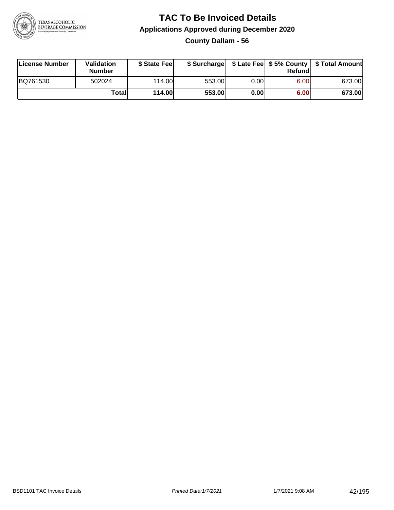

**County Dallam - 56**

| License Number | Validation<br><b>Number</b> | \$ State Fee  | \$ Surcharge |      | Refund | \$ Late Fee   \$5% County   \$ Total Amount |
|----------------|-----------------------------|---------------|--------------|------|--------|---------------------------------------------|
| BQ761530       | 502024                      | 114.00        | 553.00       | 0.00 | 6.00   | 673.00                                      |
|                | Totall                      | <b>114.00</b> | 553.00       | 0.00 | 6.00   | 673.00                                      |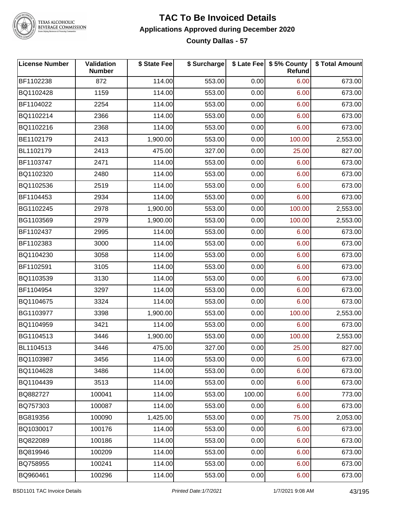

#### **TAC To Be Invoiced Details Applications Approved during December 2020 County Dallas - 57**

| <b>License Number</b> | Validation<br><b>Number</b> | \$ State Fee | \$ Surcharge |        | \$ Late Fee   \$5% County<br>Refund | \$ Total Amount |
|-----------------------|-----------------------------|--------------|--------------|--------|-------------------------------------|-----------------|
| BF1102238             | 872                         | 114.00       | 553.00       | 0.00   | 6.00                                | 673.00          |
| BQ1102428             | 1159                        | 114.00       | 553.00       | 0.00   | 6.00                                | 673.00          |
| BF1104022             | 2254                        | 114.00       | 553.00       | 0.00   | 6.00                                | 673.00          |
| BQ1102214             | 2366                        | 114.00       | 553.00       | 0.00   | 6.00                                | 673.00          |
| BQ1102216             | 2368                        | 114.00       | 553.00       | 0.00   | 6.00                                | 673.00          |
| BE1102179             | 2413                        | 1,900.00     | 553.00       | 0.00   | 100.00                              | 2,553.00        |
| BL1102179             | 2413                        | 475.00       | 327.00       | 0.00   | 25.00                               | 827.00          |
| BF1103747             | 2471                        | 114.00       | 553.00       | 0.00   | 6.00                                | 673.00          |
| BQ1102320             | 2480                        | 114.00       | 553.00       | 0.00   | 6.00                                | 673.00          |
| BQ1102536             | 2519                        | 114.00       | 553.00       | 0.00   | 6.00                                | 673.00          |
| BF1104453             | 2934                        | 114.00       | 553.00       | 0.00   | 6.00                                | 673.00          |
| BG1102245             | 2978                        | 1,900.00     | 553.00       | 0.00   | 100.00                              | 2,553.00        |
| BG1103569             | 2979                        | 1,900.00     | 553.00       | 0.00   | 100.00                              | 2,553.00        |
| BF1102437             | 2995                        | 114.00       | 553.00       | 0.00   | 6.00                                | 673.00          |
| BF1102383             | 3000                        | 114.00       | 553.00       | 0.00   | 6.00                                | 673.00          |
| BQ1104230             | 3058                        | 114.00       | 553.00       | 0.00   | 6.00                                | 673.00          |
| BF1102591             | 3105                        | 114.00       | 553.00       | 0.00   | 6.00                                | 673.00          |
| BQ1103539             | 3130                        | 114.00       | 553.00       | 0.00   | 6.00                                | 673.00          |
| BF1104954             | 3297                        | 114.00       | 553.00       | 0.00   | 6.00                                | 673.00          |
| BQ1104675             | 3324                        | 114.00       | 553.00       | 0.00   | 6.00                                | 673.00          |
| BG1103977             | 3398                        | 1,900.00     | 553.00       | 0.00   | 100.00                              | 2,553.00        |
| BQ1104959             | 3421                        | 114.00       | 553.00       | 0.00   | 6.00                                | 673.00          |
| BG1104513             | 3446                        | 1,900.00     | 553.00       | 0.00   | 100.00                              | 2,553.00        |
| BL1104513             | 3446                        | 475.00       | 327.00       | 0.00   | 25.00                               | 827.00          |
| BQ1103987             | 3456                        | 114.00       | 553.00       | 0.00   | 6.00                                | 673.00          |
| BQ1104628             | 3486                        | 114.00       | 553.00       | 0.00   | 6.00                                | 673.00          |
| BQ1104439             | 3513                        | 114.00       | 553.00       | 0.00   | 6.00                                | 673.00          |
| BQ882727              | 100041                      | 114.00       | 553.00       | 100.00 | 6.00                                | 773.00          |
| BQ757303              | 100087                      | 114.00       | 553.00       | 0.00   | 6.00                                | 673.00          |
| BG819356              | 100090                      | 1,425.00     | 553.00       | 0.00   | 75.00                               | 2,053.00        |
| BQ1030017             | 100176                      | 114.00       | 553.00       | 0.00   | 6.00                                | 673.00          |
| BQ822089              | 100186                      | 114.00       | 553.00       | 0.00   | 6.00                                | 673.00          |
| BQ819946              | 100209                      | 114.00       | 553.00       | 0.00   | 6.00                                | 673.00          |
| BQ758955              | 100241                      | 114.00       | 553.00       | 0.00   | 6.00                                | 673.00          |
| BQ960461              | 100296                      | 114.00       | 553.00       | 0.00   | 6.00                                | 673.00          |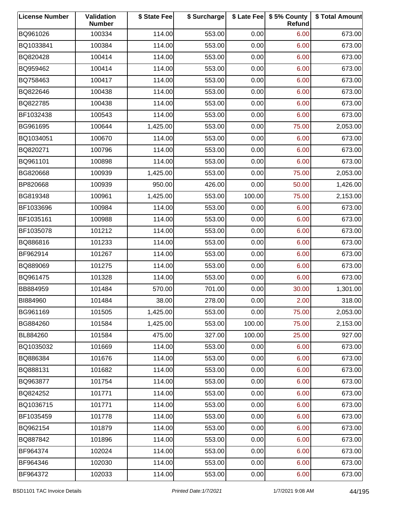| <b>License Number</b> | Validation<br><b>Number</b> | \$ State Fee | \$ Surcharge |        | \$ Late Fee   \$5% County<br>Refund | \$ Total Amount |
|-----------------------|-----------------------------|--------------|--------------|--------|-------------------------------------|-----------------|
| BQ961026              | 100334                      | 114.00       | 553.00       | 0.00   | 6.00                                | 673.00          |
| BQ1033841             | 100384                      | 114.00       | 553.00       | 0.00   | 6.00                                | 673.00          |
| BQ820428              | 100414                      | 114.00       | 553.00       | 0.00   | 6.00                                | 673.00          |
| BQ959462              | 100414                      | 114.00       | 553.00       | 0.00   | 6.00                                | 673.00          |
| BQ758463              | 100417                      | 114.00       | 553.00       | 0.00   | 6.00                                | 673.00          |
| BQ822646              | 100438                      | 114.00       | 553.00       | 0.00   | 6.00                                | 673.00          |
| BQ822785              | 100438                      | 114.00       | 553.00       | 0.00   | 6.00                                | 673.00          |
| BF1032438             | 100543                      | 114.00       | 553.00       | 0.00   | 6.00                                | 673.00          |
| BG961695              | 100644                      | 1,425.00     | 553.00       | 0.00   | 75.00                               | 2,053.00        |
| BQ1034051             | 100670                      | 114.00       | 553.00       | 0.00   | 6.00                                | 673.00          |
| BQ820271              | 100796                      | 114.00       | 553.00       | 0.00   | 6.00                                | 673.00          |
| BQ961101              | 100898                      | 114.00       | 553.00       | 0.00   | 6.00                                | 673.00          |
| BG820668              | 100939                      | 1,425.00     | 553.00       | 0.00   | 75.00                               | 2,053.00        |
| BP820668              | 100939                      | 950.00       | 426.00       | 0.00   | 50.00                               | 1,426.00        |
| BG819348              | 100961                      | 1,425.00     | 553.00       | 100.00 | 75.00                               | 2,153.00        |
| BF1033696             | 100984                      | 114.00       | 553.00       | 0.00   | 6.00                                | 673.00          |
| BF1035161             | 100988                      | 114.00       | 553.00       | 0.00   | 6.00                                | 673.00          |
| BF1035078             | 101212                      | 114.00       | 553.00       | 0.00   | 6.00                                | 673.00          |
| BQ886816              | 101233                      | 114.00       | 553.00       | 0.00   | 6.00                                | 673.00          |
| BF962914              | 101267                      | 114.00       | 553.00       | 0.00   | 6.00                                | 673.00          |
| BQ889069              | 101275                      | 114.00       | 553.00       | 0.00   | 6.00                                | 673.00          |
| BQ961475              | 101328                      | 114.00       | 553.00       | 0.00   | 6.00                                | 673.00          |
| BB884959              | 101484                      | 570.00       | 701.00       | 0.00   | 30.00                               | 1,301.00        |
| BI884960              | 101484                      | 38.00        | 278.00       | 0.00   | 2.00                                | 318.00          |
| BG961169              | 101505                      | 1,425.00     | 553.00       | 0.00   | 75.00                               | 2,053.00        |
| BG884260              | 101584                      | 1,425.00     | 553.00       | 100.00 | 75.00                               | 2,153.00        |
| BL884260              | 101584                      | 475.00       | 327.00       | 100.00 | 25.00                               | 927.00          |
| BQ1035032             | 101669                      | 114.00       | 553.00       | 0.00   | 6.00                                | 673.00          |
| BQ886384              | 101676                      | 114.00       | 553.00       | 0.00   | 6.00                                | 673.00          |
| BQ888131              | 101682                      | 114.00       | 553.00       | 0.00   | 6.00                                | 673.00          |
| BQ963877              | 101754                      | 114.00       | 553.00       | 0.00   | 6.00                                | 673.00          |
| BQ824252              | 101771                      | 114.00       | 553.00       | 0.00   | 6.00                                | 673.00          |
| BQ1036715             | 101771                      | 114.00       | 553.00       | 0.00   | 6.00                                | 673.00          |
| BF1035459             | 101778                      | 114.00       | 553.00       | 0.00   | 6.00                                | 673.00          |
| BQ962154              | 101879                      | 114.00       | 553.00       | 0.00   | 6.00                                | 673.00          |
| BQ887842              | 101896                      | 114.00       | 553.00       | 0.00   | 6.00                                | 673.00          |
| BF964374              | 102024                      | 114.00       | 553.00       | 0.00   | 6.00                                | 673.00          |
| BF964346              | 102030                      | 114.00       | 553.00       | 0.00   | 6.00                                | 673.00          |
| BF964372              | 102033                      | 114.00       | 553.00       | 0.00   | 6.00                                | 673.00          |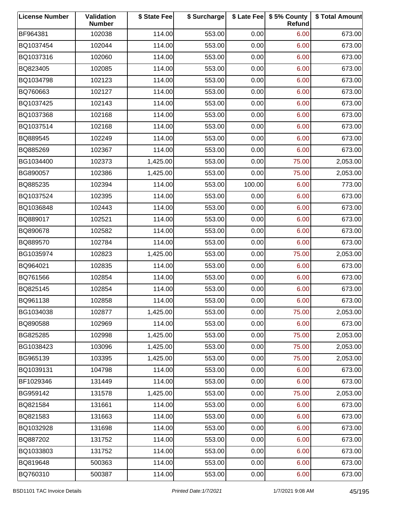| <b>License Number</b> | Validation<br><b>Number</b> | \$ State Fee | \$ Surcharge |        | \$ Late Fee   \$5% County<br>Refund | \$ Total Amount |
|-----------------------|-----------------------------|--------------|--------------|--------|-------------------------------------|-----------------|
| BF964381              | 102038                      | 114.00       | 553.00       | 0.00   | 6.00                                | 673.00          |
| BQ1037454             | 102044                      | 114.00       | 553.00       | 0.00   | 6.00                                | 673.00          |
| BQ1037316             | 102060                      | 114.00       | 553.00       | 0.00   | 6.00                                | 673.00          |
| BQ823405              | 102085                      | 114.00       | 553.00       | 0.00   | 6.00                                | 673.00          |
| BQ1034798             | 102123                      | 114.00       | 553.00       | 0.00   | 6.00                                | 673.00          |
| BQ760663              | 102127                      | 114.00       | 553.00       | 0.00   | 6.00                                | 673.00          |
| BQ1037425             | 102143                      | 114.00       | 553.00       | 0.00   | 6.00                                | 673.00          |
| BQ1037368             | 102168                      | 114.00       | 553.00       | 0.00   | 6.00                                | 673.00          |
| BQ1037514             | 102168                      | 114.00       | 553.00       | 0.00   | 6.00                                | 673.00          |
| BQ889545              | 102249                      | 114.00       | 553.00       | 0.00   | 6.00                                | 673.00          |
| BQ885269              | 102367                      | 114.00       | 553.00       | 0.00   | 6.00                                | 673.00          |
| BG1034400             | 102373                      | 1,425.00     | 553.00       | 0.00   | 75.00                               | 2,053.00        |
| BG890057              | 102386                      | 1,425.00     | 553.00       | 0.00   | 75.00                               | 2,053.00        |
| BQ885235              | 102394                      | 114.00       | 553.00       | 100.00 | 6.00                                | 773.00          |
| BQ1037524             | 102395                      | 114.00       | 553.00       | 0.00   | 6.00                                | 673.00          |
| BQ1036848             | 102443                      | 114.00       | 553.00       | 0.00   | 6.00                                | 673.00          |
| BQ889017              | 102521                      | 114.00       | 553.00       | 0.00   | 6.00                                | 673.00          |
| BQ890678              | 102582                      | 114.00       | 553.00       | 0.00   | 6.00                                | 673.00          |
| BQ889570              | 102784                      | 114.00       | 553.00       | 0.00   | 6.00                                | 673.00          |
| BG1035974             | 102823                      | 1,425.00     | 553.00       | 0.00   | 75.00                               | 2,053.00        |
| BQ964021              | 102835                      | 114.00       | 553.00       | 0.00   | 6.00                                | 673.00          |
| BQ761566              | 102854                      | 114.00       | 553.00       | 0.00   | 6.00                                | 673.00          |
| BQ825145              | 102854                      | 114.00       | 553.00       | 0.00   | 6.00                                | 673.00          |
| BQ961138              | 102858                      | 114.00       | 553.00       | 0.00   | 6.00                                | 673.00          |
| BG1034038             | 102877                      | 1,425.00     | 553.00       | 0.00   | 75.00                               | 2,053.00        |
| BQ890588              | 102969                      | 114.00       | 553.00       | 0.00   | 6.00                                | 673.00          |
| BG825285              | 102998                      | 1,425.00     | 553.00       | 0.00   | 75.00                               | 2,053.00        |
| BG1038423             | 103096                      | 1,425.00     | 553.00       | 0.00   | 75.00                               | 2,053.00        |
| BG965139              | 103395                      | 1,425.00     | 553.00       | 0.00   | 75.00                               | 2,053.00        |
| BQ1039131             | 104798                      | 114.00       | 553.00       | 0.00   | 6.00                                | 673.00          |
| BF1029346             | 131449                      | 114.00       | 553.00       | 0.00   | 6.00                                | 673.00          |
| BG959142              | 131578                      | 1,425.00     | 553.00       | 0.00   | 75.00                               | 2,053.00        |
| BQ821584              | 131661                      | 114.00       | 553.00       | 0.00   | 6.00                                | 673.00          |
| BQ821583              | 131663                      | 114.00       | 553.00       | 0.00   | 6.00                                | 673.00          |
| BQ1032928             | 131698                      | 114.00       | 553.00       | 0.00   | 6.00                                | 673.00          |
| BQ887202              | 131752                      | 114.00       | 553.00       | 0.00   | 6.00                                | 673.00          |
| BQ1033803             | 131752                      | 114.00       | 553.00       | 0.00   | 6.00                                | 673.00          |
| BQ819648              | 500363                      | 114.00       | 553.00       | 0.00   | 6.00                                | 673.00          |
| BQ760310              | 500387                      | 114.00       | 553.00       | 0.00   | 6.00                                | 673.00          |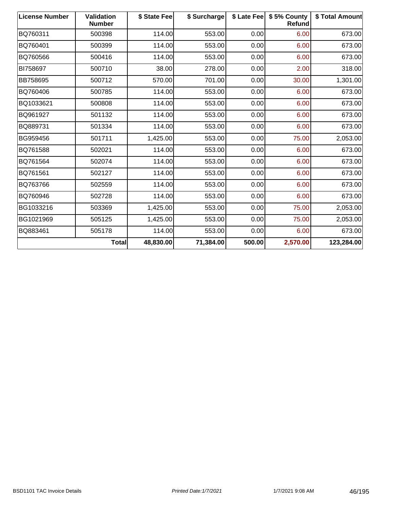| <b>License Number</b> | <b>Validation</b><br><b>Number</b> | \$ State Fee | \$ Surcharge | \$ Late Fee | \$5% County<br>Refund | \$ Total Amount |
|-----------------------|------------------------------------|--------------|--------------|-------------|-----------------------|-----------------|
| BQ760311              | 500398                             | 114.00       | 553.00       | 0.00        | 6.00                  | 673.00          |
| BQ760401              | 500399                             | 114.00       | 553.00       | 0.00        | 6.00                  | 673.00          |
| BQ760566              | 500416                             | 114.00       | 553.00       | 0.00        | 6.00                  | 673.00          |
| BI758697              | 500710                             | 38.00        | 278.00       | 0.00        | 2.00                  | 318.00          |
| BB758695              | 500712                             | 570.00       | 701.00       | 0.00        | 30.00                 | 1,301.00        |
| BQ760406              | 500785                             | 114.00       | 553.00       | 0.00        | 6.00                  | 673.00          |
| BQ1033621             | 500808                             | 114.00       | 553.00       | 0.00        | 6.00                  | 673.00          |
| BQ961927              | 501132                             | 114.00       | 553.00       | 0.00        | 6.00                  | 673.00          |
| BQ889731              | 501334                             | 114.00       | 553.00       | 0.00        | 6.00                  | 673.00          |
| BG959456              | 501711                             | 1,425.00     | 553.00       | 0.00        | 75.00                 | 2,053.00        |
| BQ761588              | 502021                             | 114.00       | 553.00       | 0.00        | 6.00                  | 673.00          |
| BQ761564              | 502074                             | 114.00       | 553.00       | 0.00        | 6.00                  | 673.00          |
| BQ761561              | 502127                             | 114.00       | 553.00       | 0.00        | 6.00                  | 673.00          |
| BQ763766              | 502559                             | 114.00       | 553.00       | 0.00        | 6.00                  | 673.00          |
| BQ760946              | 502728                             | 114.00       | 553.00       | 0.00        | 6.00                  | 673.00          |
| BG1033216             | 503369                             | 1,425.00     | 553.00       | 0.00        | 75.00                 | 2,053.00        |
| BG1021969             | 505125                             | 1,425.00     | 553.00       | 0.00        | 75.00                 | 2,053.00        |
| BQ883461              | 505178                             | 114.00       | 553.00       | 0.00        | 6.00                  | 673.00          |
|                       | <b>Total</b>                       | 48,830.00    | 71,384.00    | 500.00      | 2,570.00              | 123,284.00      |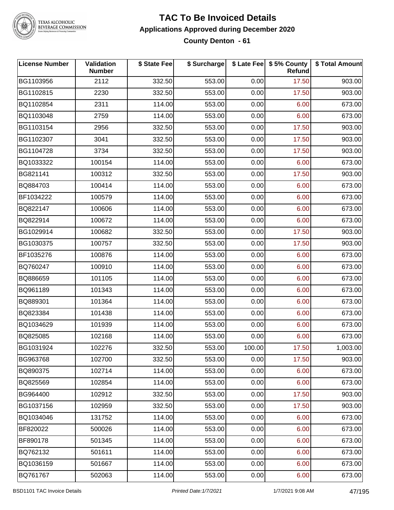

#### **TAC To Be Invoiced Details Applications Approved during December 2020 County Denton - 61**

| <b>License Number</b> | Validation<br><b>Number</b> | \$ State Fee | \$ Surcharge |        | \$ Late Fee   \$5% County<br>Refund | \$ Total Amount |
|-----------------------|-----------------------------|--------------|--------------|--------|-------------------------------------|-----------------|
| BG1103956             | 2112                        | 332.50       | 553.00       | 0.00   | 17.50                               | 903.00          |
| BG1102815             | 2230                        | 332.50       | 553.00       | 0.00   | 17.50                               | 903.00          |
| BQ1102854             | 2311                        | 114.00       | 553.00       | 0.00   | 6.00                                | 673.00          |
| BQ1103048             | 2759                        | 114.00       | 553.00       | 0.00   | 6.00                                | 673.00          |
| BG1103154             | 2956                        | 332.50       | 553.00       | 0.00   | 17.50                               | 903.00          |
| BG1102307             | 3041                        | 332.50       | 553.00       | 0.00   | 17.50                               | 903.00          |
| BG1104728             | 3734                        | 332.50       | 553.00       | 0.00   | 17.50                               | 903.00          |
| BQ1033322             | 100154                      | 114.00       | 553.00       | 0.00   | 6.00                                | 673.00          |
| BG821141              | 100312                      | 332.50       | 553.00       | 0.00   | 17.50                               | 903.00          |
| BQ884703              | 100414                      | 114.00       | 553.00       | 0.00   | 6.00                                | 673.00          |
| BF1034222             | 100579                      | 114.00       | 553.00       | 0.00   | 6.00                                | 673.00          |
| BQ822147              | 100606                      | 114.00       | 553.00       | 0.00   | 6.00                                | 673.00          |
| BQ822914              | 100672                      | 114.00       | 553.00       | 0.00   | 6.00                                | 673.00          |
| BG1029914             | 100682                      | 332.50       | 553.00       | 0.00   | 17.50                               | 903.00          |
| BG1030375             | 100757                      | 332.50       | 553.00       | 0.00   | 17.50                               | 903.00          |
| BF1035276             | 100876                      | 114.00       | 553.00       | 0.00   | 6.00                                | 673.00          |
| BQ760247              | 100910                      | 114.00       | 553.00       | 0.00   | 6.00                                | 673.00          |
| BQ886659              | 101105                      | 114.00       | 553.00       | 0.00   | 6.00                                | 673.00          |
| BQ961189              | 101343                      | 114.00       | 553.00       | 0.00   | 6.00                                | 673.00          |
| BQ889301              | 101364                      | 114.00       | 553.00       | 0.00   | 6.00                                | 673.00          |
| BQ823384              | 101438                      | 114.00       | 553.00       | 0.00   | 6.00                                | 673.00          |
| BQ1034629             | 101939                      | 114.00       | 553.00       | 0.00   | 6.00                                | 673.00          |
| BQ825085              | 102168                      | 114.00       | 553.00       | 0.00   | 6.00                                | 673.00          |
| BG1031924             | 102276                      | 332.50       | 553.00       | 100.00 | 17.50                               | 1,003.00        |
| BG963768              | 102700                      | 332.50       | 553.00       | 0.00   | 17.50                               | 903.00          |
| BQ890375              | 102714                      | 114.00       | 553.00       | 0.00   | 6.00                                | 673.00          |
| BQ825569              | 102854                      | 114.00       | 553.00       | 0.00   | 6.00                                | 673.00          |
| BG964400              | 102912                      | 332.50       | 553.00       | 0.00   | 17.50                               | 903.00          |
| BG1037156             | 102959                      | 332.50       | 553.00       | 0.00   | 17.50                               | 903.00          |
| BQ1034046             | 131752                      | 114.00       | 553.00       | 0.00   | 6.00                                | 673.00          |
| BF820022              | 500026                      | 114.00       | 553.00       | 0.00   | 6.00                                | 673.00          |
| BF890178              | 501345                      | 114.00       | 553.00       | 0.00   | 6.00                                | 673.00          |
| BQ762132              | 501611                      | 114.00       | 553.00       | 0.00   | 6.00                                | 673.00          |
| BQ1036159             | 501667                      | 114.00       | 553.00       | 0.00   | 6.00                                | 673.00          |
| BQ761767              | 502063                      | 114.00       | 553.00       | 0.00   | 6.00                                | 673.00          |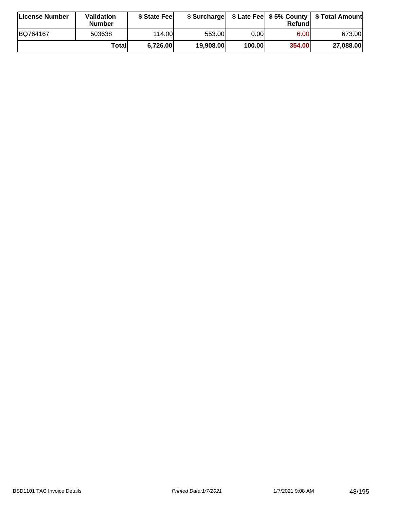| License Number | <b>Validation</b><br><b>Number</b> | \$ State Fee |           |        | Refundl           | \$ Surcharge   \$ Late Fee   \$5% County   \$ Total Amount |
|----------------|------------------------------------|--------------|-----------|--------|-------------------|------------------------------------------------------------|
| BQ764167       | 503638                             | 114.00       | 553.001   | 0.001  | 6.00 <sub>1</sub> | 673.00                                                     |
|                | Totall                             | 6,726.00     | 19,908.00 | 100.00 | 354.00            | 27,088.00                                                  |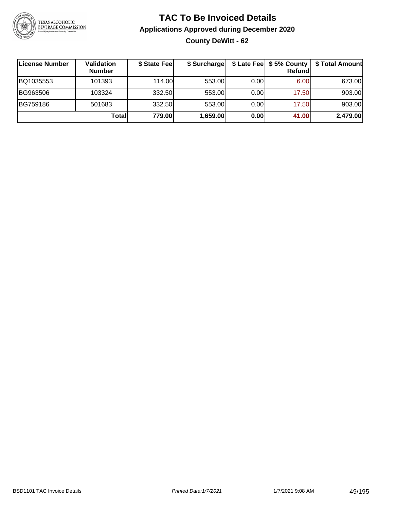

## **TAC To Be Invoiced Details Applications Approved during December 2020 County DeWitt - 62**

| License Number | Validation<br><b>Number</b> | \$ State Fee | \$ Surcharge |       | $$$ Late Fee $$5%$ County<br>Refund | \$ Total Amount |
|----------------|-----------------------------|--------------|--------------|-------|-------------------------------------|-----------------|
| BQ1035553      | 101393                      | 114.00       | 553.00       | 0.001 | 6.00                                | 673.00          |
| BG963506       | 103324                      | 332.50       | 553.00       | 0.001 | 17.50                               | 903.00          |
| BG759186       | 501683                      | 332.50       | 553.00       | 0.001 | 17.50                               | 903.00          |
|                | Totall                      | 779.00       | 1,659.00     | 0.00  | 41.00                               | 2,479.00        |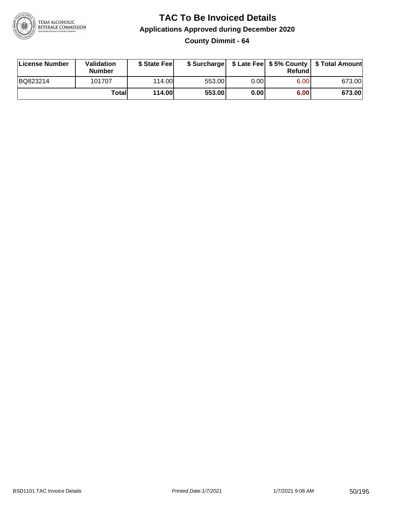

**County Dimmit - 64**

| License Number | Validation<br><b>Number</b> | \$ State Fee  | \$ Surcharge |      | Refundl |        |
|----------------|-----------------------------|---------------|--------------|------|---------|--------|
| BQ823214       | 101707                      | 114.00        | 553.00       | 0.00 | 6.00    | 673.00 |
|                | Totall                      | <b>114.00</b> | 553.00       | 0.00 | 6.00    | 673.00 |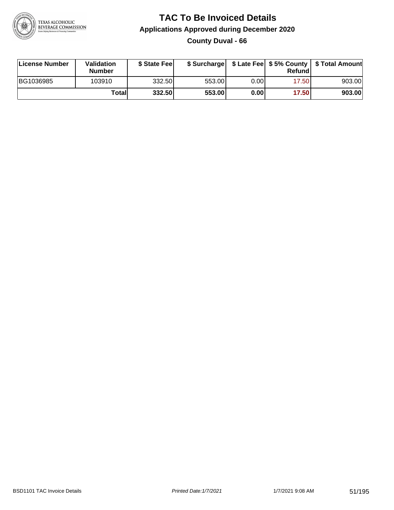

### **TAC To Be Invoiced Details Applications Approved during December 2020 County Duval - 66**

| License Number | Validation<br>Number | \$ State Fee |        |      | Refund | \$ Surcharge   \$ Late Fee   \$5% County   \$ Total Amount |
|----------------|----------------------|--------------|--------|------|--------|------------------------------------------------------------|
| BG1036985      | 103910               | 332.50       | 553.00 | 0.00 | 17.50  | 903.00                                                     |
|                | Totall               | 332.50       | 553.00 | 0.00 | 17.50  | 903.00                                                     |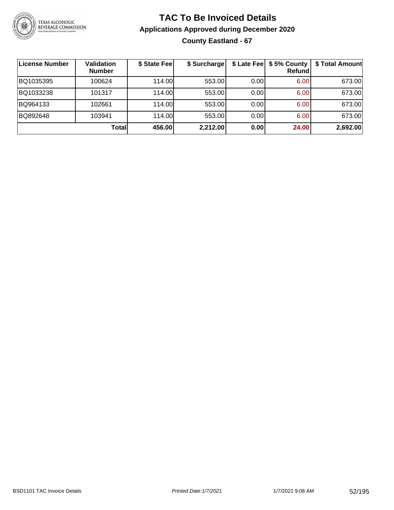

## **TAC To Be Invoiced Details Applications Approved during December 2020 County Eastland - 67**

| ∣License Number | <b>Validation</b><br><b>Number</b> | \$ State Fee | \$ Surcharge |      | \$ Late Fee   \$5% County  <br><b>Refund</b> | \$ Total Amount |
|-----------------|------------------------------------|--------------|--------------|------|----------------------------------------------|-----------------|
| BQ1035395       | 100624                             | 114.00       | 553.00       | 0.00 | 6.00                                         | 673.00          |
| BQ1033238       | 101317                             | 114.00       | 553.00       | 0.00 | 6.00                                         | 673.00          |
| BQ964133        | 102661                             | 114.00       | 553.00       | 0.00 | 6.00                                         | 673.00          |
| BQ892648        | 103941                             | 114.00       | 553.00       | 0.00 | 6.00                                         | 673.00          |
|                 | <b>Total</b>                       | 456.00       | 2,212.00     | 0.00 | 24.00                                        | 2,692.00        |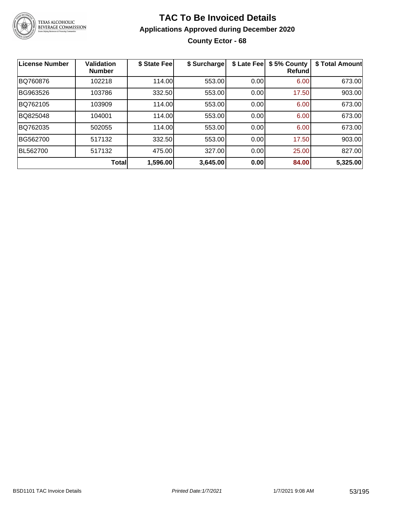

## **TAC To Be Invoiced Details Applications Approved during December 2020 County Ector - 68**

| <b>License Number</b> | <b>Validation</b><br><b>Number</b> | \$ State Fee | \$ Surcharge | \$ Late Fee | \$5% County<br><b>Refund</b> | \$ Total Amount |
|-----------------------|------------------------------------|--------------|--------------|-------------|------------------------------|-----------------|
| BQ760876              | 102218                             | 114.00       | 553.00       | 0.00        | 6.00                         | 673.00          |
| BG963526              | 103786                             | 332.50       | 553.00       | 0.00        | 17.50                        | 903.00          |
| BQ762105              | 103909                             | 114.00       | 553.00       | 0.00        | 6.00                         | 673.00          |
| BQ825048              | 104001                             | 114.00       | 553.00       | 0.00        | 6.00                         | 673.00          |
| BQ762035              | 502055                             | 114.00       | 553.00       | 0.00        | 6.00                         | 673.00          |
| BG562700              | 517132                             | 332.50       | 553.00       | 0.00        | 17.50                        | 903.00          |
| BL562700              | 517132                             | 475.00       | 327.00       | 0.00        | 25.00                        | 827.00          |
|                       | Total                              | 1,596.00     | 3,645.00     | 0.00        | 84.00                        | 5,325.00        |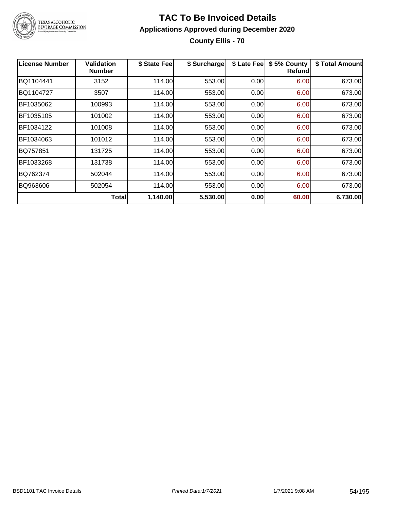

### **TAC To Be Invoiced Details Applications Approved during December 2020 County Ellis - 70**

| <b>License Number</b> | Validation<br><b>Number</b> | \$ State Fee | \$ Surcharge | \$ Late Fee | \$5% County<br>Refundl | \$ Total Amount |
|-----------------------|-----------------------------|--------------|--------------|-------------|------------------------|-----------------|
| BQ1104441             | 3152                        | 114.00       | 553.00       | 0.00        | 6.00                   | 673.00          |
| BQ1104727             | 3507                        | 114.00       | 553.00       | 0.00        | 6.00                   | 673.00          |
| BF1035062             | 100993                      | 114.00       | 553.00       | 0.00        | 6.00                   | 673.00          |
| BF1035105             | 101002                      | 114.00       | 553.00       | 0.00        | 6.00                   | 673.00          |
| BF1034122             | 101008                      | 114.00       | 553.00       | 0.00        | 6.00                   | 673.00          |
| BF1034063             | 101012                      | 114.00       | 553.00       | 0.00        | 6.00                   | 673.00          |
| BQ757851              | 131725                      | 114.00       | 553.00       | 0.00        | 6.00                   | 673.00          |
| BF1033268             | 131738                      | 114.00       | 553.00       | 0.00        | 6.00                   | 673.00          |
| BQ762374              | 502044                      | 114.00       | 553.00       | 0.00        | 6.00                   | 673.00          |
| BQ963606              | 502054                      | 114.00       | 553.00       | 0.00        | 6.00                   | 673.00          |
|                       | Total                       | 1,140.00     | 5,530.00     | 0.00        | 60.00                  | 6,730.00        |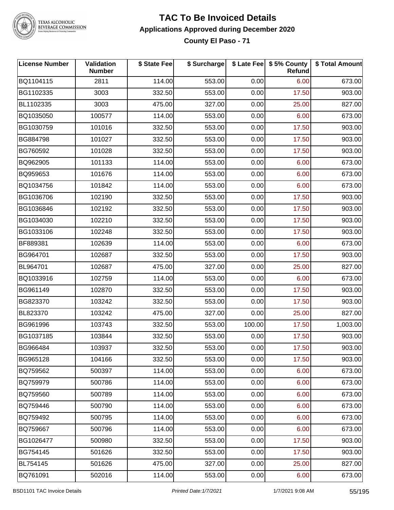

#### **TAC To Be Invoiced Details Applications Approved during December 2020 County El Paso - 71**

| <b>License Number</b> | <b>Validation</b><br><b>Number</b> | \$ State Fee | \$ Surcharge |        | \$ Late Fee   \$5% County<br><b>Refund</b> | \$ Total Amount |
|-----------------------|------------------------------------|--------------|--------------|--------|--------------------------------------------|-----------------|
| BQ1104115             | 2811                               | 114.00       | 553.00       | 0.00   | 6.00                                       | 673.00          |
| BG1102335             | 3003                               | 332.50       | 553.00       | 0.00   | 17.50                                      | 903.00          |
| BL1102335             | 3003                               | 475.00       | 327.00       | 0.00   | 25.00                                      | 827.00          |
| BQ1035050             | 100577                             | 114.00       | 553.00       | 0.00   | 6.00                                       | 673.00          |
| BG1030759             | 101016                             | 332.50       | 553.00       | 0.00   | 17.50                                      | 903.00          |
| BG884798              | 101027                             | 332.50       | 553.00       | 0.00   | 17.50                                      | 903.00          |
| BG760592              | 101028                             | 332.50       | 553.00       | 0.00   | 17.50                                      | 903.00          |
| BQ962905              | 101133                             | 114.00       | 553.00       | 0.00   | 6.00                                       | 673.00          |
| BQ959653              | 101676                             | 114.00       | 553.00       | 0.00   | 6.00                                       | 673.00          |
| BQ1034756             | 101842                             | 114.00       | 553.00       | 0.00   | 6.00                                       | 673.00          |
| BG1036706             | 102190                             | 332.50       | 553.00       | 0.00   | 17.50                                      | 903.00          |
| BG1036846             | 102192                             | 332.50       | 553.00       | 0.00   | 17.50                                      | 903.00          |
| BG1034030             | 102210                             | 332.50       | 553.00       | 0.00   | 17.50                                      | 903.00          |
| BG1033106             | 102248                             | 332.50       | 553.00       | 0.00   | 17.50                                      | 903.00          |
| BF889381              | 102639                             | 114.00       | 553.00       | 0.00   | 6.00                                       | 673.00          |
| BG964701              | 102687                             | 332.50       | 553.00       | 0.00   | 17.50                                      | 903.00          |
| BL964701              | 102687                             | 475.00       | 327.00       | 0.00   | 25.00                                      | 827.00          |
| BQ1033916             | 102759                             | 114.00       | 553.00       | 0.00   | 6.00                                       | 673.00          |
| BG961149              | 102870                             | 332.50       | 553.00       | 0.00   | 17.50                                      | 903.00          |
| BG823370              | 103242                             | 332.50       | 553.00       | 0.00   | 17.50                                      | 903.00          |
| BL823370              | 103242                             | 475.00       | 327.00       | 0.00   | 25.00                                      | 827.00          |
| BG961996              | 103743                             | 332.50       | 553.00       | 100.00 | 17.50                                      | 1,003.00        |
| BG1037185             | 103844                             | 332.50       | 553.00       | 0.00   | 17.50                                      | 903.00          |
| BG966484              | 103937                             | 332.50       | 553.00       | 0.00   | 17.50                                      | 903.00          |
| BG965128              | 104166                             | 332.50       | 553.00       | 0.00   | 17.50                                      | 903.00          |
| BQ759562              | 500397                             | 114.00       | 553.00       | 0.00   | 6.00                                       | 673.00          |
| BQ759979              | 500786                             | 114.00       | 553.00       | 0.00   | 6.00                                       | 673.00          |
| BQ759560              | 500789                             | 114.00       | 553.00       | 0.00   | 6.00                                       | 673.00          |
| BQ759446              | 500790                             | 114.00       | 553.00       | 0.00   | 6.00                                       | 673.00          |
| BQ759492              | 500795                             | 114.00       | 553.00       | 0.00   | 6.00                                       | 673.00          |
| BQ759667              | 500796                             | 114.00       | 553.00       | 0.00   | 6.00                                       | 673.00          |
| BG1026477             | 500980                             | 332.50       | 553.00       | 0.00   | 17.50                                      | 903.00          |
| BG754145              | 501626                             | 332.50       | 553.00       | 0.00   | 17.50                                      | 903.00          |
| BL754145              | 501626                             | 475.00       | 327.00       | 0.00   | 25.00                                      | 827.00          |
| BQ761091              | 502016                             | 114.00       | 553.00       | 0.00   | 6.00                                       | 673.00          |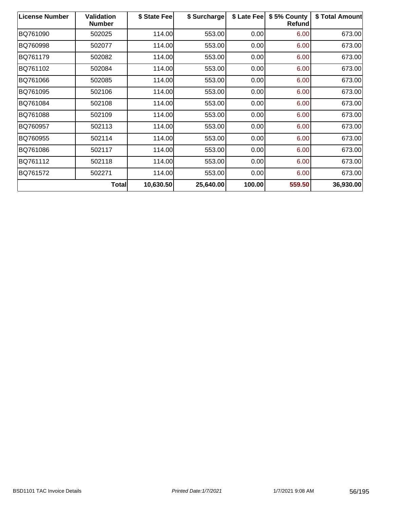| <b>License Number</b> | Validation<br><b>Number</b> | \$ State Fee | \$ Surcharge | \$ Late Fee | \$5% County<br>Refund | \$ Total Amount |
|-----------------------|-----------------------------|--------------|--------------|-------------|-----------------------|-----------------|
| BQ761090              | 502025                      | 114.00       | 553.00       | 0.00        | 6.00                  | 673.00          |
| BQ760998              | 502077                      | 114.00       | 553.00       | 0.00        | 6.00                  | 673.00          |
| BQ761179              | 502082                      | 114.00       | 553.00       | 0.00        | 6.00                  | 673.00          |
| BQ761102              | 502084                      | 114.00       | 553.00       | 0.00        | 6.00                  | 673.00          |
| BQ761066              | 502085                      | 114.00       | 553.00       | 0.00        | 6.00                  | 673.00          |
| BQ761095              | 502106                      | 114.00       | 553.00       | 0.00        | 6.00                  | 673.00          |
| BQ761084              | 502108                      | 114.00       | 553.00       | 0.00        | 6.00                  | 673.00          |
| BQ761088              | 502109                      | 114.00       | 553.00       | 0.00        | 6.00                  | 673.00          |
| BQ760957              | 502113                      | 114.00       | 553.00       | 0.00        | 6.00                  | 673.00          |
| BQ760955              | 502114                      | 114.00       | 553.00       | 0.00        | 6.00                  | 673.00          |
| BQ761086              | 502117                      | 114.00       | 553.00       | 0.00        | 6.00                  | 673.00          |
| BQ761112              | 502118                      | 114.00       | 553.00       | 0.00        | 6.00                  | 673.00          |
| BQ761572              | 502271                      | 114.00       | 553.00       | 0.00        | 6.00                  | 673.00          |
|                       | Total                       | 10,630.50    | 25,640.00    | 100.00      | 559.50                | 36,930.00       |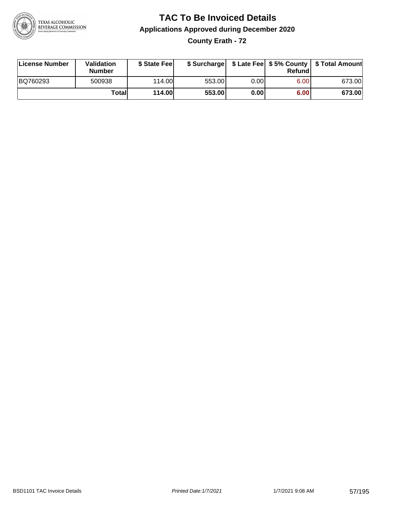

**County Erath - 72**

| License Number | Validation<br><b>Number</b> | \$ State Fee  | \$ Surcharge |      | Refundl | \$ Late Fee   \$5% County   \$ Total Amount |
|----------------|-----------------------------|---------------|--------------|------|---------|---------------------------------------------|
| BQ760293       | 500938                      | 114.00        | 553.00       | 0.00 | 6.00    | 673.00                                      |
|                | Totall                      | <b>114.00</b> | 553.00       | 0.00 | 6.00    | 673.00                                      |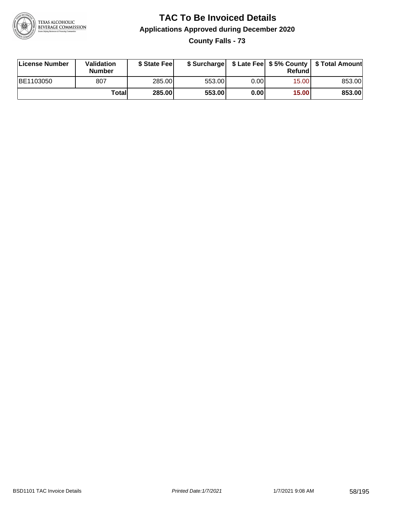

**County Falls - 73**

| License Number | Validation<br><b>Number</b> | \$ State Feel | \$ Surcharge |      | Refund | \$ Late Fee   \$5% County   \$ Total Amount |
|----------------|-----------------------------|---------------|--------------|------|--------|---------------------------------------------|
| BE1103050      | 807                         | 285.00        | 553.00       | 0.00 | 15.00  | 853.00                                      |
|                | Totall                      | <b>285.00</b> | 553.00       | 0.00 | 15.00  | 853.00                                      |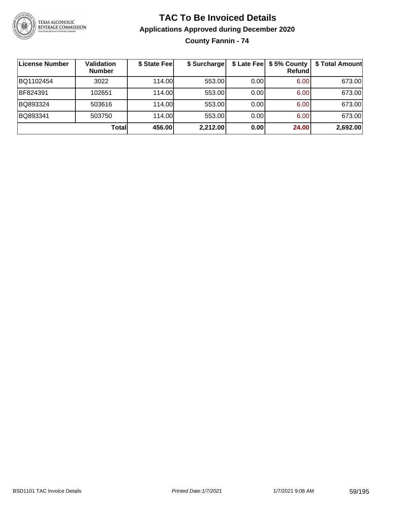

**County Fannin - 74**

| ∣License Number | <b>Validation</b><br><b>Number</b> | \$ State Fee | \$ Surcharge |      | \$ Late Fee   \$5% County<br>Refundl | \$ Total Amount |
|-----------------|------------------------------------|--------------|--------------|------|--------------------------------------|-----------------|
| BQ1102454       | 3022                               | 114.00       | 553.00       | 0.00 | 6.00                                 | 673.00          |
| BF824391        | 102651                             | 114.00       | 553.00       | 0.00 | 6.00                                 | 673.00          |
| BQ893324        | 503616                             | 114.00       | 553.00       | 0.00 | 6.00                                 | 673.00          |
| BQ893341        | 503750                             | 114.00       | 553.00       | 0.00 | 6.00                                 | 673.00          |
|                 | Totall                             | 456.00       | 2,212.00     | 0.00 | 24.00                                | 2,692.00        |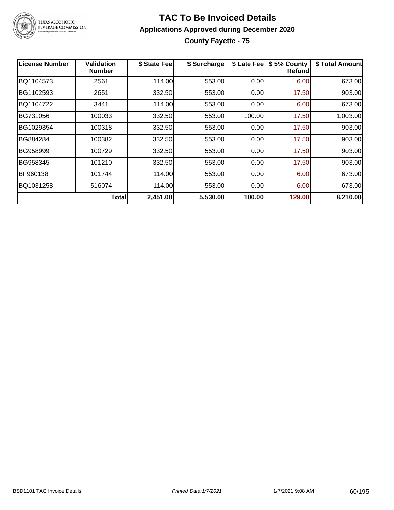

#### **TAC To Be Invoiced Details Applications Approved during December 2020 County Fayette - 75**

| <b>License Number</b> | Validation<br><b>Number</b> | \$ State Fee | \$ Surcharge | \$ Late Fee | \$5% County<br>Refund | \$ Total Amount |
|-----------------------|-----------------------------|--------------|--------------|-------------|-----------------------|-----------------|
| BQ1104573             | 2561                        | 114.00       | 553.00       | 0.00        | 6.00                  | 673.00          |
| BG1102593             | 2651                        | 332.50       | 553.00       | 0.00        | 17.50                 | 903.00          |
| BQ1104722             | 3441                        | 114.00       | 553.00       | 0.00        | 6.00                  | 673.00          |
| BG731056              | 100033                      | 332.50       | 553.00       | 100.00      | 17.50                 | 1,003.00        |
| BG1029354             | 100318                      | 332.50       | 553.00       | 0.00        | 17.50                 | 903.00          |
| BG884284              | 100382                      | 332.50       | 553.00       | 0.00        | 17.50                 | 903.00          |
| BG958999              | 100729                      | 332.50       | 553.00       | 0.00        | 17.50                 | 903.00          |
| BG958345              | 101210                      | 332.50       | 553.00       | 0.00        | 17.50                 | 903.00          |
| BF960138              | 101744                      | 114.00       | 553.00       | 0.00        | 6.00                  | 673.00          |
| BQ1031258             | 516074                      | 114.00       | 553.00       | 0.00        | 6.00                  | 673.00          |
|                       | Totall                      | 2,451.00     | 5,530.00     | 100.00      | 129.00                | 8,210.00        |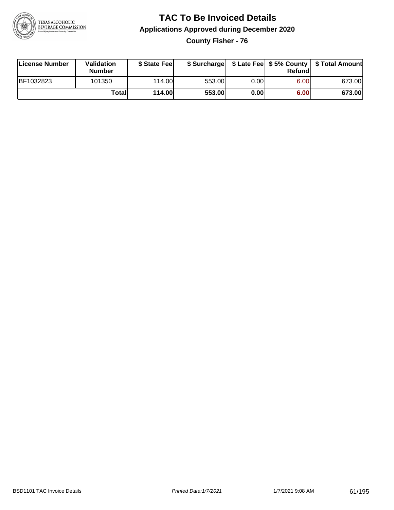

**County Fisher - 76**

| License Number | <b>Validation</b><br><b>Number</b> | \$ State Fee  | \$ Surcharge |      | Refundl |        |
|----------------|------------------------------------|---------------|--------------|------|---------|--------|
| BF1032823      | 101350                             | 114.00L       | 553.00       | 0.00 | 6.00    | 673.00 |
|                | Totall                             | <b>114.00</b> | 553.00       | 0.00 | 6.00    | 673.00 |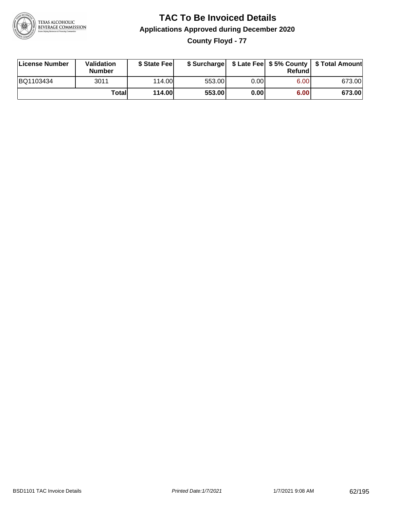

**County Floyd - 77**

| License Number | Validation<br><b>Number</b> | \$ State Fee  | \$ Surcharge |      | Refundl |        |
|----------------|-----------------------------|---------------|--------------|------|---------|--------|
| BQ1103434      | 3011                        | 114.00        | 553.00       | 0.00 | 6.00    | 673.00 |
|                | Totall                      | <b>114.00</b> | 553.00       | 0.00 | 6.00    | 673.00 |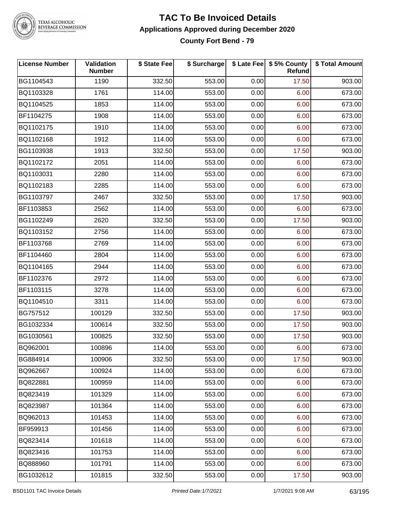

#### **TAC To Be Invoiced Details Applications Approved during December 2020 County Fort Bend - 79**

| <b>License Number</b> | <b>Validation</b><br><b>Number</b> | \$ State Fee | \$ Surcharge |      | \$ Late Fee   \$5% County<br>Refund | \$ Total Amount |
|-----------------------|------------------------------------|--------------|--------------|------|-------------------------------------|-----------------|
| BG1104543             | 1190                               | 332.50       | 553.00       | 0.00 | 17.50                               | 903.00          |
| BQ1103328             | 1761                               | 114.00       | 553.00       | 0.00 | 6.00                                | 673.00          |
| BQ1104525             | 1853                               | 114.00       | 553.00       | 0.00 | 6.00                                | 673.00          |
| BF1104275             | 1908                               | 114.00       | 553.00       | 0.00 | 6.00                                | 673.00          |
| BQ1102175             | 1910                               | 114.00       | 553.00       | 0.00 | 6.00                                | 673.00          |
| BQ1102168             | 1912                               | 114.00       | 553.00       | 0.00 | 6.00                                | 673.00          |
| BG1103938             | 1913                               | 332.50       | 553.00       | 0.00 | 17.50                               | 903.00          |
| BQ1102172             | 2051                               | 114.00       | 553.00       | 0.00 | 6.00                                | 673.00          |
| BQ1103031             | 2280                               | 114.00       | 553.00       | 0.00 | 6.00                                | 673.00          |
| BQ1102183             | 2285                               | 114.00       | 553.00       | 0.00 | 6.00                                | 673.00          |
| BG1103797             | 2467                               | 332.50       | 553.00       | 0.00 | 17.50                               | 903.00          |
| BF1103853             | 2562                               | 114.00       | 553.00       | 0.00 | 6.00                                | 673.00          |
| BG1102249             | 2620                               | 332.50       | 553.00       | 0.00 | 17.50                               | 903.00          |
| BQ1103152             | 2756                               | 114.00       | 553.00       | 0.00 | 6.00                                | 673.00          |
| BF1103768             | 2769                               | 114.00       | 553.00       | 0.00 | 6.00                                | 673.00          |
| BF1104460             | 2804                               | 114.00       | 553.00       | 0.00 | 6.00                                | 673.00          |
| BQ1104165             | 2944                               | 114.00       | 553.00       | 0.00 | 6.00                                | 673.00          |
| BF1102376             | 2972                               | 114.00       | 553.00       | 0.00 | 6.00                                | 673.00          |
| BF1103115             | 3278                               | 114.00       | 553.00       | 0.00 | 6.00                                | 673.00          |
| BQ1104510             | 3311                               | 114.00       | 553.00       | 0.00 | 6.00                                | 673.00          |
| BG757512              | 100129                             | 332.50       | 553.00       | 0.00 | 17.50                               | 903.00          |
| BG1032334             | 100614                             | 332.50       | 553.00       | 0.00 | 17.50                               | 903.00          |
| BG1030561             | 100825                             | 332.50       | 553.00       | 0.00 | 17.50                               | 903.00          |
| BQ962001              | 100896                             | 114.00       | 553.00       | 0.00 | 6.00                                | 673.00          |
| BG884914              | 100906                             | 332.50       | 553.00       | 0.00 | 17.50                               | 903.00          |
| BQ962667              | 100924                             | 114.00       | 553.00       | 0.00 | 6.00                                | 673.00          |
| BQ822881              | 100959                             | 114.00       | 553.00       | 0.00 | 6.00                                | 673.00          |
| BQ823419              | 101329                             | 114.00       | 553.00       | 0.00 | 6.00                                | 673.00          |
| BQ823987              | 101364                             | 114.00       | 553.00       | 0.00 | 6.00                                | 673.00          |
| BQ962013              | 101453                             | 114.00       | 553.00       | 0.00 | 6.00                                | 673.00          |
| BF959913              | 101456                             | 114.00       | 553.00       | 0.00 | 6.00                                | 673.00          |
| BQ823414              | 101618                             | 114.00       | 553.00       | 0.00 | 6.00                                | 673.00          |
| BQ823416              | 101753                             | 114.00       | 553.00       | 0.00 | 6.00                                | 673.00          |
| BQ888960              | 101791                             | 114.00       | 553.00       | 0.00 | 6.00                                | 673.00          |
| BG1032612             | 101815                             | 332.50       | 553.00       | 0.00 | 17.50                               | 903.00          |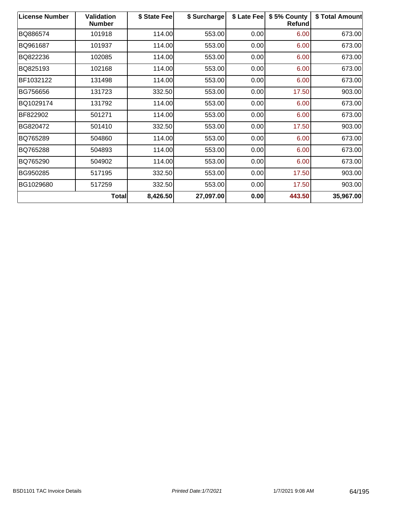| <b>License Number</b> | <b>Validation</b><br><b>Number</b> | \$ State Fee | \$ Surcharge | \$ Late Fee | \$5% County<br>Refund | \$ Total Amount |
|-----------------------|------------------------------------|--------------|--------------|-------------|-----------------------|-----------------|
| BQ886574              | 101918                             | 114.00       | 553.00       | 0.00        | 6.00                  | 673.00          |
| BQ961687              | 101937                             | 114.00       | 553.00       | 0.00        | 6.00                  | 673.00          |
| BQ822236              | 102085                             | 114.00       | 553.00       | 0.00        | 6.00                  | 673.00          |
| BQ825193              | 102168                             | 114.00       | 553.00       | 0.00        | 6.00                  | 673.00          |
| BF1032122             | 131498                             | 114.00       | 553.00       | 0.00        | 6.00                  | 673.00          |
| BG756656              | 131723                             | 332.50       | 553.00       | 0.00        | 17.50                 | 903.00          |
| BQ1029174             | 131792                             | 114.00       | 553.00       | 0.00        | 6.00                  | 673.00          |
| BF822902              | 501271                             | 114.00       | 553.00       | 0.00        | 6.00                  | 673.00          |
| BG820472              | 501410                             | 332.50       | 553.00       | 0.00        | 17.50                 | 903.00          |
| BQ765289              | 504860                             | 114.00       | 553.00       | 0.00        | 6.00                  | 673.00          |
| BQ765288              | 504893                             | 114.00       | 553.00       | 0.00        | 6.00                  | 673.00          |
| BQ765290              | 504902                             | 114.00       | 553.00       | 0.00        | 6.00                  | 673.00          |
| BG950285              | 517195                             | 332.50       | 553.00       | 0.00        | 17.50                 | 903.00          |
| BG1029680             | 517259                             | 332.50       | 553.00       | 0.00        | 17.50                 | 903.00          |
|                       | Total                              | 8,426.50     | 27,097.00    | 0.00        | 443.50                | 35,967.00       |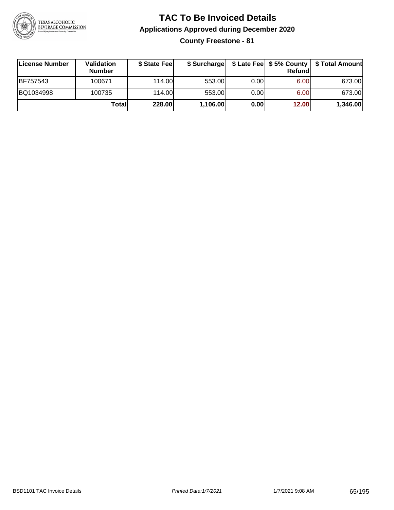

**County Freestone - 81**

| ∣License Number | <b>Validation</b><br><b>Number</b> | \$ State Fee | \$ Surcharge |       | <b>Refund</b> | \$ Late Fee   \$5% County   \$ Total Amount |
|-----------------|------------------------------------|--------------|--------------|-------|---------------|---------------------------------------------|
| BF757543        | 100671                             | 114.00       | 553.00       | 0.001 | 6.00          | 673.00                                      |
| BQ1034998       | 100735                             | 114.00       | 553.00       | 0.001 | 6.00          | 673.00                                      |
|                 | Totall                             | 228.00       | 1,106.00     | 0.00  | 12.00         | 1,346.00                                    |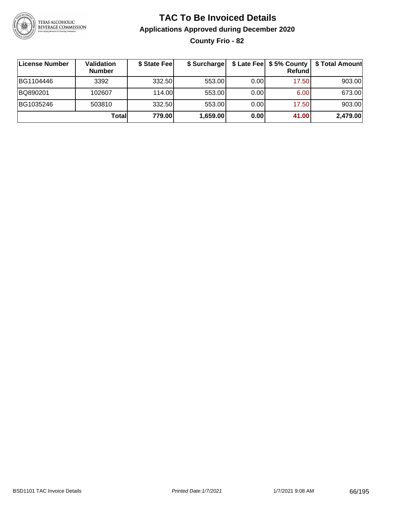

## **TAC To Be Invoiced Details Applications Approved during December 2020 County Frio - 82**

| License Number | Validation<br><b>Number</b> | \$ State Fee | \$ Surcharge |      | $$$ Late Fee $$5%$ County<br>Refund | \$ Total Amount |
|----------------|-----------------------------|--------------|--------------|------|-------------------------------------|-----------------|
| BG1104446      | 3392                        | 332.50       | 553.00       | 0.00 | 17.50                               | 903.00          |
| BQ890201       | 102607                      | 114.00L      | 553.00       | 0.00 | 6.00                                | 673.00          |
| BG1035246      | 503810                      | 332.50       | 553.00       | 0.00 | 17.50                               | 903.00          |
|                | Totall                      | 779.00       | 1,659.00     | 0.00 | 41.00                               | 2,479.00        |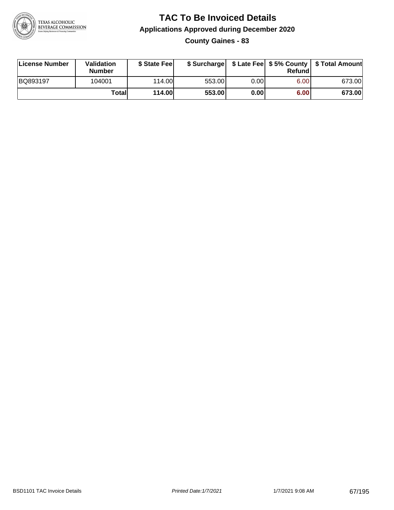

**County Gaines - 83**

| License Number | <b>Validation</b><br><b>Number</b> | \$ State Feel | \$ Surcharge |       | Refundl |        |
|----------------|------------------------------------|---------------|--------------|-------|---------|--------|
| BQ893197       | 104001                             | 114.00L       | 553.00       | 0.001 | 6.00    | 673.00 |
|                | Totall                             | <b>114.00</b> | 553.00       | 0.00  | 6.00    | 673.00 |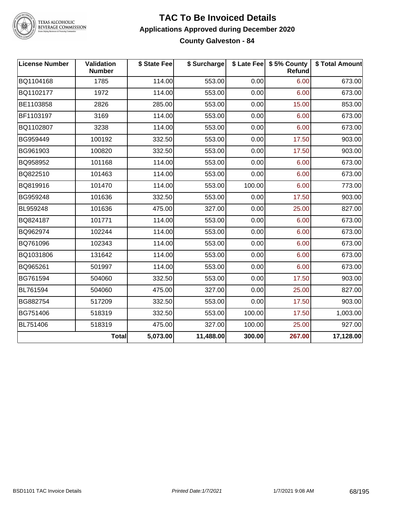

#### **TAC To Be Invoiced Details Applications Approved during December 2020 County Galveston - 84**

| <b>License Number</b> | <b>Validation</b><br><b>Number</b> | \$ State Fee | \$ Surcharge |        | \$ Late Fee   \$5% County<br>Refund | \$ Total Amount |
|-----------------------|------------------------------------|--------------|--------------|--------|-------------------------------------|-----------------|
| BQ1104168             | 1785                               | 114.00       | 553.00       | 0.00   | 6.00                                | 673.00          |
| BQ1102177             | 1972                               | 114.00       | 553.00       | 0.00   | 6.00                                | 673.00          |
| BE1103858             | 2826                               | 285.00       | 553.00       | 0.00   | 15.00                               | 853.00          |
| BF1103197             | 3169                               | 114.00       | 553.00       | 0.00   | 6.00                                | 673.00          |
| BQ1102807             | 3238                               | 114.00       | 553.00       | 0.00   | 6.00                                | 673.00          |
| BG959449              | 100192                             | 332.50       | 553.00       | 0.00   | 17.50                               | 903.00          |
| BG961903              | 100820                             | 332.50       | 553.00       | 0.00   | 17.50                               | 903.00          |
| BQ958952              | 101168                             | 114.00       | 553.00       | 0.00   | 6.00                                | 673.00          |
| BQ822510              | 101463                             | 114.00       | 553.00       | 0.00   | 6.00                                | 673.00          |
| BQ819916              | 101470                             | 114.00       | 553.00       | 100.00 | 6.00                                | 773.00          |
| BG959248              | 101636                             | 332.50       | 553.00       | 0.00   | 17.50                               | 903.00          |
| BL959248              | 101636                             | 475.00       | 327.00       | 0.00   | 25.00                               | 827.00          |
| BQ824187              | 101771                             | 114.00       | 553.00       | 0.00   | 6.00                                | 673.00          |
| BQ962974              | 102244                             | 114.00       | 553.00       | 0.00   | 6.00                                | 673.00          |
| BQ761096              | 102343                             | 114.00       | 553.00       | 0.00   | 6.00                                | 673.00          |
| BQ1031806             | 131642                             | 114.00       | 553.00       | 0.00   | 6.00                                | 673.00          |
| BQ965261              | 501997                             | 114.00       | 553.00       | 0.00   | 6.00                                | 673.00          |
| BG761594              | 504060                             | 332.50       | 553.00       | 0.00   | 17.50                               | 903.00          |
| BL761594              | 504060                             | 475.00       | 327.00       | 0.00   | 25.00                               | 827.00          |
| BG882754              | 517209                             | 332.50       | 553.00       | 0.00   | 17.50                               | 903.00          |
| BG751406              | 518319                             | 332.50       | 553.00       | 100.00 | 17.50                               | 1,003.00        |
| BL751406              | 518319                             | 475.00       | 327.00       | 100.00 | 25.00                               | 927.00          |
|                       | <b>Total</b>                       | 5,073.00     | 11,488.00    | 300.00 | 267.00                              | 17,128.00       |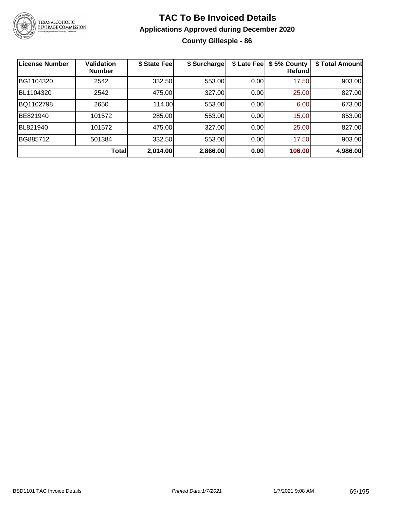

## **TAC To Be Invoiced Details Applications Approved during December 2020 County Gillespie - 86**

| <b>License Number</b> | <b>Validation</b><br><b>Number</b> | \$ State Fee | \$ Surcharge | \$ Late Fee | \$5% County<br>Refundl | \$ Total Amount |
|-----------------------|------------------------------------|--------------|--------------|-------------|------------------------|-----------------|
| BG1104320             | 2542                               | 332.50       | 553.00       | 0.00        | 17.50                  | 903.00          |
| BL1104320             | 2542                               | 475.00       | 327.00       | 0.00        | 25.00                  | 827.00          |
| BQ1102798             | 2650                               | 114.00       | 553.00       | 0.00        | 6.00                   | 673.00          |
| BE821940              | 101572                             | 285.00       | 553.00       | 0.00        | 15.00                  | 853.00          |
| BL821940              | 101572                             | 475.00       | 327.00       | 0.00        | 25.00                  | 827.00          |
| BG885712              | 501384                             | 332.50       | 553.00       | 0.00        | 17.50                  | 903.00          |
|                       | <b>Total</b>                       | 2,014.00     | 2,866.00     | 0.00        | 106.00                 | 4,986.00        |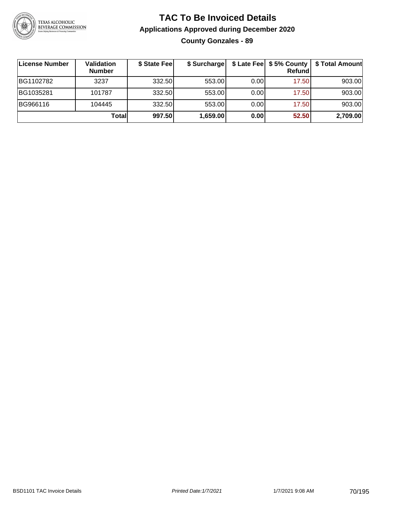

## **TAC To Be Invoiced Details Applications Approved during December 2020 County Gonzales - 89**

| License Number | Validation<br><b>Number</b> | \$ State Fee | \$ Surcharge |      | \$ Late Fee   \$5% County  <br>Refund | \$ Total Amount |
|----------------|-----------------------------|--------------|--------------|------|---------------------------------------|-----------------|
| BG1102782      | 3237                        | 332.50       | 553.00       | 0.00 | 17.50                                 | 903.00          |
| BG1035281      | 101787                      | 332.50       | 553.00       | 0.00 | 17.50                                 | 903.00          |
| BG966116       | 104445                      | 332.50       | 553.00       | 0.00 | 17.50                                 | 903.00          |
|                | Totall                      | 997.50       | 1,659.00     | 0.00 | 52.50                                 | 2,709.00        |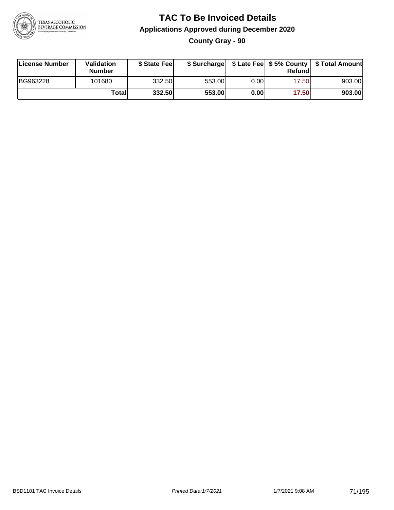

### **TAC To Be Invoiced Details Applications Approved during December 2020 County Gray - 90**

| <b>License Number</b> | <b>Validation</b><br><b>Number</b> | \$ State Fee | \$ Surcharge |      | Refundl | \$ Late Fee   \$5% County   \$ Total Amount |
|-----------------------|------------------------------------|--------------|--------------|------|---------|---------------------------------------------|
| BG963228              | 101680                             | 332.50       | 553.00       | 0.00 | 17.50   | 903.00                                      |
|                       | Totall                             | 332.50       | 553.00       | 0.00 | 17.50   | 903.00                                      |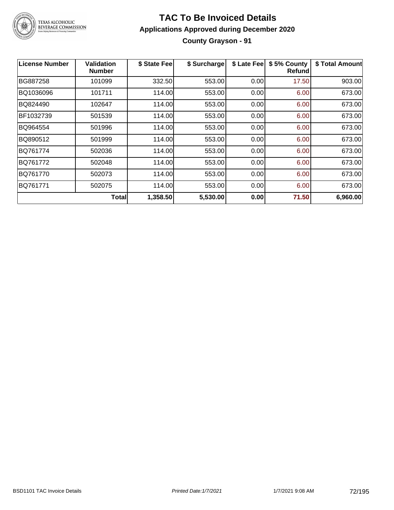

## **TAC To Be Invoiced Details Applications Approved during December 2020 County Grayson - 91**

| <b>License Number</b> | Validation<br><b>Number</b> | \$ State Fee | \$ Surcharge | \$ Late Fee | \$5% County<br>Refundl | \$ Total Amount |
|-----------------------|-----------------------------|--------------|--------------|-------------|------------------------|-----------------|
| BG887258              | 101099                      | 332.50       | 553.00       | 0.00        | 17.50                  | 903.00          |
| BQ1036096             | 101711                      | 114.00       | 553.00       | 0.00        | 6.00                   | 673.00          |
| BQ824490              | 102647                      | 114.00       | 553.00       | 0.00        | 6.00                   | 673.00          |
| BF1032739             | 501539                      | 114.00       | 553.00       | 0.00        | 6.00                   | 673.00          |
| BQ964554              | 501996                      | 114.00       | 553.00       | 0.00        | 6.00                   | 673.00          |
| BQ890512              | 501999                      | 114.00       | 553.00       | 0.00        | 6.00                   | 673.00          |
| BQ761774              | 502036                      | 114.00       | 553.00       | 0.00        | 6.00                   | 673.00          |
| BQ761772              | 502048                      | 114.00       | 553.00       | 0.00        | 6.00                   | 673.00          |
| BQ761770              | 502073                      | 114.00       | 553.00       | 0.00        | 6.00                   | 673.00          |
| BQ761771              | 502075                      | 114.00       | 553.00       | 0.00        | 6.00                   | 673.00          |
|                       | Totall                      | 1,358.50     | 5,530.00     | 0.00        | 71.50                  | 6,960.00        |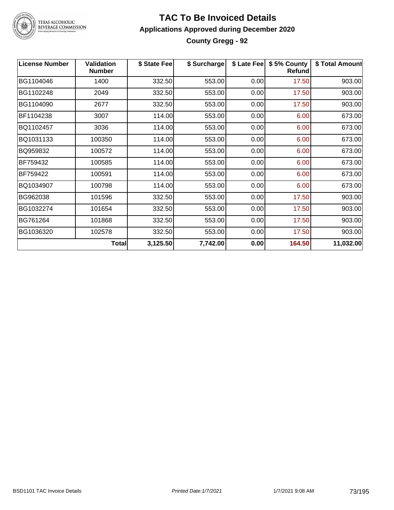

TEXAS ALCOHOLIC<br>BEVERAGE COMMISSION

#### **TAC To Be Invoiced Details Applications Approved during December 2020 County Gregg - 92**

| <b>License Number</b> | <b>Validation</b><br><b>Number</b> | \$ State Fee | \$ Surcharge | \$ Late Fee | \$5% County<br><b>Refund</b> | \$ Total Amount |
|-----------------------|------------------------------------|--------------|--------------|-------------|------------------------------|-----------------|
| BG1104046             | 1400                               | 332.50       | 553.00       | 0.00        | 17.50                        | 903.00          |
| BG1102248             | 2049                               | 332.50       | 553.00       | 0.00        | 17.50                        | 903.00          |
| BG1104090             | 2677                               | 332.50       | 553.00       | 0.00        | 17.50                        | 903.00          |
| BF1104238             | 3007                               | 114.00       | 553.00       | 0.00        | 6.00                         | 673.00          |
| BQ1102457             | 3036                               | 114.00       | 553.00       | 0.00        | 6.00                         | 673.00          |
| BQ1031133             | 100350                             | 114.00       | 553.00       | 0.00        | 6.00                         | 673.00          |
| BQ959832              | 100572                             | 114.00       | 553.00       | 0.00        | 6.00                         | 673.00          |
| BF759432              | 100585                             | 114.00       | 553.00       | 0.00        | 6.00                         | 673.00          |
| BF759422              | 100591                             | 114.00       | 553.00       | 0.00        | 6.00                         | 673.00          |
| BQ1034907             | 100798                             | 114.00       | 553.00       | 0.00        | 6.00                         | 673.00          |
| BG962038              | 101596                             | 332.50       | 553.00       | 0.00        | 17.50                        | 903.00          |
| BG1032274             | 101654                             | 332.50       | 553.00       | 0.00        | 17.50                        | 903.00          |
| BG761264              | 101868                             | 332.50       | 553.00       | 0.00        | 17.50                        | 903.00          |
| BG1036320             | 102578                             | 332.50       | 553.00       | 0.00        | 17.50                        | 903.00          |
|                       | <b>Total</b>                       | 3,125.50     | 7,742.00     | 0.00        | 164.50                       | 11,032.00       |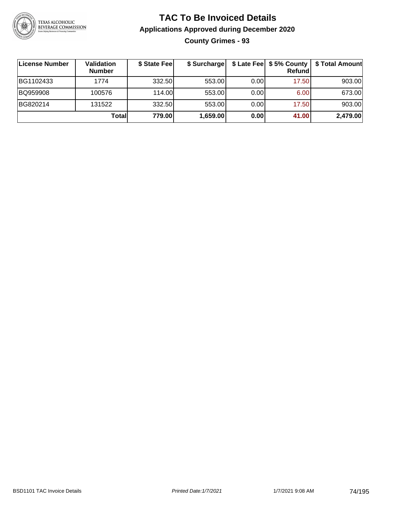

**County Grimes - 93**

| ∣License Number | Validation<br><b>Number</b> | \$ State Fee | \$ Surcharge |      | Refundl | \$ Late Fee   \$5% County   \$ Total Amount |
|-----------------|-----------------------------|--------------|--------------|------|---------|---------------------------------------------|
| BG1102433       | 1774                        | 332.50       | 553.00       | 0.00 | 17.50   | 903.00                                      |
| BQ959908        | 100576                      | 114.00       | 553.00       | 0.00 | 6.00    | 673.00                                      |
| BG820214        | 131522                      | 332.50       | 553.00       | 0.00 | 17.50   | 903.00                                      |
|                 | <b>Total</b>                | 779.00       | 1,659.00     | 0.00 | 41.00   | 2,479.00                                    |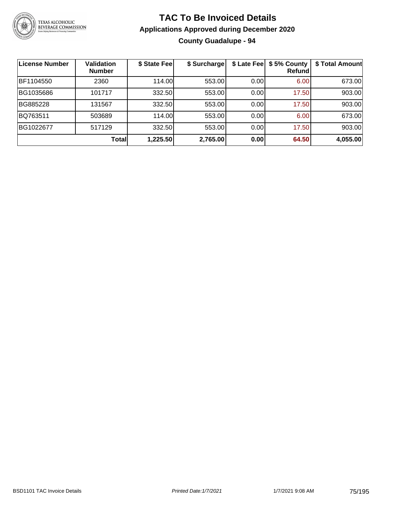

#### **TAC To Be Invoiced Details Applications Approved during December 2020 County Guadalupe - 94**

**License Number Validation Number \$ State Fee \$ Surcharge \$ Late Fee \$ 5% County Refund \$ Total Amount** BF1104550 | 2360 | 114.00| 553.00| 0.00| 6.00| 673.00 BG1035686 | 101717 | 332.50| 553.00| 0.00| 17.50| 903.00 BG885228 | 131567 | 332.50| 553.00| 0.00| 17.50| 903.00 BQ763511 | 503689 | 114.00| 553.00| 0.00| 6.00| 673.00 BG1022677 | 517129 | 332.50| 553.00| 0.00| 17.50| 903.00 **Total 1,225.50 2,765.00 0.00 64.50 4,055.00**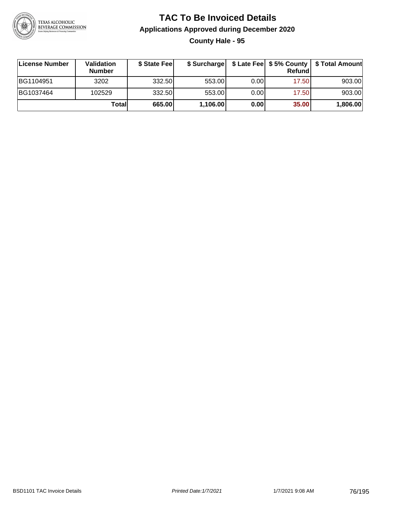

### **TAC To Be Invoiced Details Applications Approved during December 2020 County Hale - 95**

| License Number | <b>Validation</b><br><b>Number</b> | \$ State Fee | \$ Surcharge |       | <b>Refund</b> | \$ Late Fee   \$5% County   \$ Total Amount |
|----------------|------------------------------------|--------------|--------------|-------|---------------|---------------------------------------------|
| BG1104951      | 3202                               | 332.50       | 553.00       | 0.001 | 17.50         | 903.00                                      |
| BG1037464      | 102529                             | 332.50       | 553.00       | 0.00  | 17.50         | 903.00                                      |
|                | Totall                             | 665.00       | 1,106.00     | 0.00  | 35.00         | 1,806.00                                    |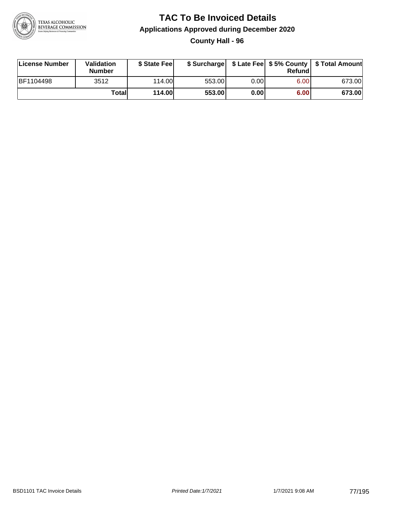

### **TAC To Be Invoiced Details Applications Approved during December 2020 County Hall - 96**

| License Number   | Validation<br><b>Number</b> | \$ State Feel |        |      | Refund | \$ Surcharge   \$ Late Fee   \$5% County   \$ Total Amount |
|------------------|-----------------------------|---------------|--------|------|--------|------------------------------------------------------------|
| <b>BF1104498</b> | 3512                        | 114.00        | 553.00 | 0.00 | 6.00   | 673.00                                                     |
|                  | Totall                      | 114.00        | 553.00 | 0.00 | 6.00   | 673.00                                                     |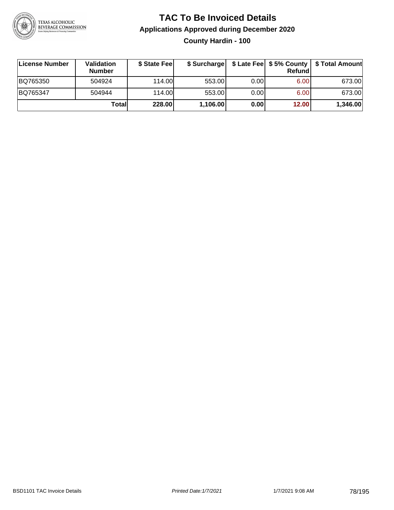

### **TAC To Be Invoiced Details Applications Approved during December 2020 County Hardin - 100**

| License Number | <b>Validation</b><br><b>Number</b> | \$ State Fee |          |       | Refundl | \$ Surcharge   \$ Late Fee   \$5% County   \$ Total Amount |
|----------------|------------------------------------|--------------|----------|-------|---------|------------------------------------------------------------|
| BQ765350       | 504924                             | 114.00       | 553.00   | 0.001 | 6.00    | 673.00                                                     |
| BQ765347       | 504944                             | 114.00       | 553.00   | 0.00  | 6.00    | 673.00                                                     |
|                | Totall                             | 228.00       | 1,106.00 | 0.00  | 12.00   | 1,346.00                                                   |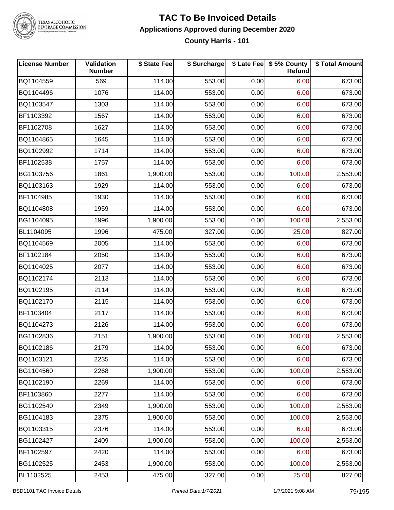

TEXAS ALCOHOLIC<br>BEVERAGE COMMISSION

#### **TAC To Be Invoiced Details Applications Approved during December 2020 County Harris - 101**

| <b>License Number</b> | Validation<br><b>Number</b> | \$ State Fee | \$ Surcharge |      | \$ Late Fee   \$5% County<br>Refund | \$ Total Amount |
|-----------------------|-----------------------------|--------------|--------------|------|-------------------------------------|-----------------|
| BQ1104559             | 569                         | 114.00       | 553.00       | 0.00 | 6.00                                | 673.00          |
| BQ1104496             | 1076                        | 114.00       | 553.00       | 0.00 | 6.00                                | 673.00          |
| BQ1103547             | 1303                        | 114.00       | 553.00       | 0.00 | 6.00                                | 673.00          |
| BF1103392             | 1567                        | 114.00       | 553.00       | 0.00 | 6.00                                | 673.00          |
| BF1102708             | 1627                        | 114.00       | 553.00       | 0.00 | 6.00                                | 673.00          |
| BQ1104865             | 1645                        | 114.00       | 553.00       | 0.00 | 6.00                                | 673.00          |
| BQ1102992             | 1714                        | 114.00       | 553.00       | 0.00 | 6.00                                | 673.00          |
| BF1102538             | 1757                        | 114.00       | 553.00       | 0.00 | 6.00                                | 673.00          |
| BG1103756             | 1861                        | 1,900.00     | 553.00       | 0.00 | 100.00                              | 2,553.00        |
| BQ1103163             | 1929                        | 114.00       | 553.00       | 0.00 | 6.00                                | 673.00          |
| BF1104985             | 1930                        | 114.00       | 553.00       | 0.00 | 6.00                                | 673.00          |
| BQ1104808             | 1959                        | 114.00       | 553.00       | 0.00 | 6.00                                | 673.00          |
| BG1104095             | 1996                        | 1,900.00     | 553.00       | 0.00 | 100.00                              | 2,553.00        |
| BL1104095             | 1996                        | 475.00       | 327.00       | 0.00 | 25.00                               | 827.00          |
| BQ1104569             | 2005                        | 114.00       | 553.00       | 0.00 | 6.00                                | 673.00          |
| BF1102184             | 2050                        | 114.00       | 553.00       | 0.00 | 6.00                                | 673.00          |
| BQ1104025             | 2077                        | 114.00       | 553.00       | 0.00 | 6.00                                | 673.00          |
| BQ1102174             | 2113                        | 114.00       | 553.00       | 0.00 | 6.00                                | 673.00          |
| BQ1102195             | 2114                        | 114.00       | 553.00       | 0.00 | 6.00                                | 673.00          |
| BQ1102170             | 2115                        | 114.00       | 553.00       | 0.00 | 6.00                                | 673.00          |
| BF1103404             | 2117                        | 114.00       | 553.00       | 0.00 | 6.00                                | 673.00          |
| BQ1104273             | 2126                        | 114.00       | 553.00       | 0.00 | 6.00                                | 673.00          |
| BG1102836             | 2151                        | 1,900.00     | 553.00       | 0.00 | 100.00                              | 2,553.00        |
| BQ1102186             | 2179                        | 114.00       | 553.00       | 0.00 | 6.00                                | 673.00          |
| BQ1103121             | 2235                        | 114.00       | 553.00       | 0.00 | 6.00                                | 673.00          |
| BG1104560             | 2268                        | 1,900.00     | 553.00       | 0.00 | 100.00                              | 2,553.00        |
| BQ1102190             | 2269                        | 114.00       | 553.00       | 0.00 | 6.00                                | 673.00          |
| BF1103860             | 2277                        | 114.00       | 553.00       | 0.00 | 6.00                                | 673.00          |
| BG1102540             | 2349                        | 1,900.00     | 553.00       | 0.00 | 100.00                              | 2,553.00        |
| BG1104183             | 2375                        | 1,900.00     | 553.00       | 0.00 | 100.00                              | 2,553.00        |
| BQ1103315             | 2376                        | 114.00       | 553.00       | 0.00 | 6.00                                | 673.00          |
| BG1102427             | 2409                        | 1,900.00     | 553.00       | 0.00 | 100.00                              | 2,553.00        |
| BF1102597             | 2420                        | 114.00       | 553.00       | 0.00 | 6.00                                | 673.00          |
| BG1102525             | 2453                        | 1,900.00     | 553.00       | 0.00 | 100.00                              | 2,553.00        |
| BL1102525             | 2453                        | 475.00       | 327.00       | 0.00 | 25.00                               | 827.00          |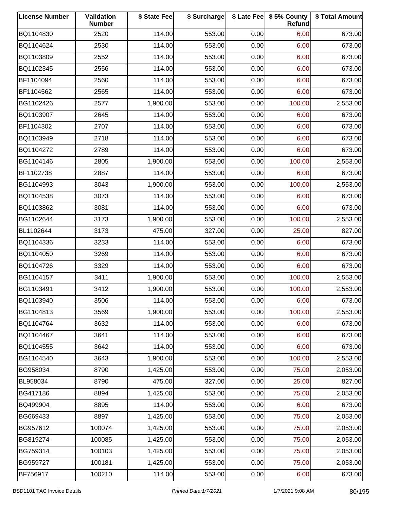| <b>License Number</b> | Validation<br><b>Number</b> | \$ State Fee | \$ Surcharge |      | \$ Late Fee   \$5% County<br>Refund | \$ Total Amount |
|-----------------------|-----------------------------|--------------|--------------|------|-------------------------------------|-----------------|
| BQ1104830             | 2520                        | 114.00       | 553.00       | 0.00 | 6.00                                | 673.00          |
| BQ1104624             | 2530                        | 114.00       | 553.00       | 0.00 | 6.00                                | 673.00          |
| BQ1103809             | 2552                        | 114.00       | 553.00       | 0.00 | 6.00                                | 673.00          |
| BQ1102345             | 2556                        | 114.00       | 553.00       | 0.00 | 6.00                                | 673.00          |
| BF1104094             | 2560                        | 114.00       | 553.00       | 0.00 | 6.00                                | 673.00          |
| BF1104562             | 2565                        | 114.00       | 553.00       | 0.00 | 6.00                                | 673.00          |
| BG1102426             | 2577                        | 1,900.00     | 553.00       | 0.00 | 100.00                              | 2,553.00        |
| BQ1103907             | 2645                        | 114.00       | 553.00       | 0.00 | 6.00                                | 673.00          |
| BF1104302             | 2707                        | 114.00       | 553.00       | 0.00 | 6.00                                | 673.00          |
| BQ1103949             | 2718                        | 114.00       | 553.00       | 0.00 | 6.00                                | 673.00          |
| BQ1104272             | 2789                        | 114.00       | 553.00       | 0.00 | 6.00                                | 673.00          |
| BG1104146             | 2805                        | 1,900.00     | 553.00       | 0.00 | 100.00                              | 2,553.00        |
| BF1102738             | 2887                        | 114.00       | 553.00       | 0.00 | 6.00                                | 673.00          |
| BG1104993             | 3043                        | 1,900.00     | 553.00       | 0.00 | 100.00                              | 2,553.00        |
| BQ1104538             | 3073                        | 114.00       | 553.00       | 0.00 | 6.00                                | 673.00          |
| BQ1103862             | 3081                        | 114.00       | 553.00       | 0.00 | 6.00                                | 673.00          |
| BG1102644             | 3173                        | 1,900.00     | 553.00       | 0.00 | 100.00                              | 2,553.00        |
| BL1102644             | 3173                        | 475.00       | 327.00       | 0.00 | 25.00                               | 827.00          |
| BQ1104336             | 3233                        | 114.00       | 553.00       | 0.00 | 6.00                                | 673.00          |
| BQ1104050             | 3269                        | 114.00       | 553.00       | 0.00 | 6.00                                | 673.00          |
| BQ1104726             | 3329                        | 114.00       | 553.00       | 0.00 | 6.00                                | 673.00          |
| BG1104157             | 3411                        | 1,900.00     | 553.00       | 0.00 | 100.00                              | 2,553.00        |
| BG1103491             | 3412                        | 1,900.00     | 553.00       | 0.00 | 100.00                              | 2,553.00        |
| BQ1103940             | 3506                        | 114.00       | 553.00       | 0.00 | 6.00                                | 673.00          |
| BG1104813             | 3569                        | 1,900.00     | 553.00       | 0.00 | 100.00                              | 2,553.00        |
| BQ1104764             | 3632                        | 114.00       | 553.00       | 0.00 | 6.00                                | 673.00          |
| BQ1104467             | 3641                        | 114.00       | 553.00       | 0.00 | 6.00                                | 673.00          |
| BQ1104555             | 3642                        | 114.00       | 553.00       | 0.00 | 6.00                                | 673.00          |
| BG1104540             | 3643                        | 1,900.00     | 553.00       | 0.00 | 100.00                              | 2,553.00        |
| BG958034              | 8790                        | 1,425.00     | 553.00       | 0.00 | 75.00                               | 2,053.00        |
| BL958034              | 8790                        | 475.00       | 327.00       | 0.00 | 25.00                               | 827.00          |
| BG417186              | 8894                        | 1,425.00     | 553.00       | 0.00 | 75.00                               | 2,053.00        |
| BQ499904              | 8895                        | 114.00       | 553.00       | 0.00 | 6.00                                | 673.00          |
| BG669433              | 8897                        | 1,425.00     | 553.00       | 0.00 | 75.00                               | 2,053.00        |
| BG957612              | 100074                      | 1,425.00     | 553.00       | 0.00 | 75.00                               | 2,053.00        |
| BG819274              | 100085                      | 1,425.00     | 553.00       | 0.00 | 75.00                               | 2,053.00        |
| BG759314              | 100103                      | 1,425.00     | 553.00       | 0.00 | 75.00                               | 2,053.00        |
| BG959727              | 100181                      | 1,425.00     | 553.00       | 0.00 | 75.00                               | 2,053.00        |
| BF756917              | 100210                      | 114.00       | 553.00       | 0.00 | 6.00                                | 673.00          |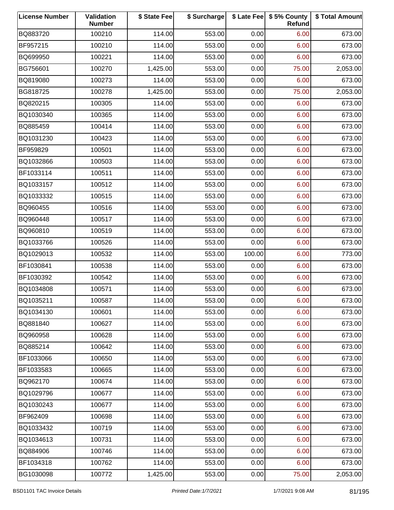| <b>License Number</b> | Validation<br><b>Number</b> | \$ State Fee | \$ Surcharge |        | \$ Late Fee   \$5% County<br>Refund | \$ Total Amount |
|-----------------------|-----------------------------|--------------|--------------|--------|-------------------------------------|-----------------|
| BQ883720              | 100210                      | 114.00       | 553.00       | 0.00   | 6.00                                | 673.00          |
| BF957215              | 100210                      | 114.00       | 553.00       | 0.00   | 6.00                                | 673.00          |
| BQ699950              | 100221                      | 114.00       | 553.00       | 0.00   | 6.00                                | 673.00          |
| BG756601              | 100270                      | 1,425.00     | 553.00       | 0.00   | 75.00                               | 2,053.00        |
| BQ819080              | 100273                      | 114.00       | 553.00       | 0.00   | 6.00                                | 673.00          |
| BG818725              | 100278                      | 1,425.00     | 553.00       | 0.00   | 75.00                               | 2,053.00        |
| BQ820215              | 100305                      | 114.00       | 553.00       | 0.00   | 6.00                                | 673.00          |
| BQ1030340             | 100365                      | 114.00       | 553.00       | 0.00   | 6.00                                | 673.00          |
| BQ885459              | 100414                      | 114.00       | 553.00       | 0.00   | 6.00                                | 673.00          |
| BQ1031230             | 100423                      | 114.00       | 553.00       | 0.00   | 6.00                                | 673.00          |
| BF959829              | 100501                      | 114.00       | 553.00       | 0.00   | 6.00                                | 673.00          |
| BQ1032866             | 100503                      | 114.00       | 553.00       | 0.00   | 6.00                                | 673.00          |
| BF1033114             | 100511                      | 114.00       | 553.00       | 0.00   | 6.00                                | 673.00          |
| BQ1033157             | 100512                      | 114.00       | 553.00       | 0.00   | 6.00                                | 673.00          |
| BQ1033332             | 100515                      | 114.00       | 553.00       | 0.00   | 6.00                                | 673.00          |
| BQ960455              | 100516                      | 114.00       | 553.00       | 0.00   | 6.00                                | 673.00          |
| BQ960448              | 100517                      | 114.00       | 553.00       | 0.00   | 6.00                                | 673.00          |
| BQ960810              | 100519                      | 114.00       | 553.00       | 0.00   | 6.00                                | 673.00          |
| BQ1033766             | 100526                      | 114.00       | 553.00       | 0.00   | 6.00                                | 673.00          |
| BQ1029013             | 100532                      | 114.00       | 553.00       | 100.00 | 6.00                                | 773.00          |
| BF1030841             | 100538                      | 114.00       | 553.00       | 0.00   | 6.00                                | 673.00          |
| BF1030392             | 100542                      | 114.00       | 553.00       | 0.00   | 6.00                                | 673.00          |
| BQ1034808             | 100571                      | 114.00       | 553.00       | 0.00   | 6.00                                | 673.00          |
| BQ1035211             | 100587                      | 114.00       | 553.00       | 0.00   | 6.00                                | 673.00          |
| BQ1034130             | 100601                      | 114.00       | 553.00       | 0.00   | 6.00                                | 673.00          |
| BQ881840              | 100627                      | 114.00       | 553.00       | 0.00   | 6.00                                | 673.00          |
| BQ960958              | 100628                      | 114.00       | 553.00       | 0.00   | 6.00                                | 673.00          |
| BQ885214              | 100642                      | 114.00       | 553.00       | 0.00   | 6.00                                | 673.00          |
| BF1033066             | 100650                      | 114.00       | 553.00       | 0.00   | 6.00                                | 673.00          |
| BF1033583             | 100665                      | 114.00       | 553.00       | 0.00   | 6.00                                | 673.00          |
| BQ962170              | 100674                      | 114.00       | 553.00       | 0.00   | 6.00                                | 673.00          |
| BQ1029796             | 100677                      | 114.00       | 553.00       | 0.00   | 6.00                                | 673.00          |
| BQ1030243             | 100677                      | 114.00       | 553.00       | 0.00   | 6.00                                | 673.00          |
| BF962409              | 100698                      | 114.00       | 553.00       | 0.00   | 6.00                                | 673.00          |
| BQ1033432             | 100719                      | 114.00       | 553.00       | 0.00   | 6.00                                | 673.00          |
| BQ1034613             | 100731                      | 114.00       | 553.00       | 0.00   | 6.00                                | 673.00          |
| BQ884906              | 100746                      | 114.00       | 553.00       | 0.00   | 6.00                                | 673.00          |
| BF1034318             | 100762                      | 114.00       | 553.00       | 0.00   | 6.00                                | 673.00          |
| BG1030098             | 100772                      | 1,425.00     | 553.00       | 0.00   | 75.00                               | 2,053.00        |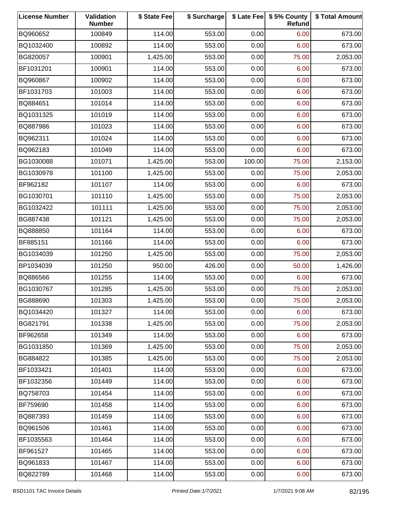| <b>License Number</b> | Validation<br><b>Number</b> | \$ State Fee | \$ Surcharge |        | \$ Late Fee   \$5% County<br>Refund | \$ Total Amount |
|-----------------------|-----------------------------|--------------|--------------|--------|-------------------------------------|-----------------|
| BQ960652              | 100849                      | 114.00       | 553.00       | 0.00   | 6.00                                | 673.00          |
| BQ1032400             | 100892                      | 114.00       | 553.00       | 0.00   | 6.00                                | 673.00          |
| BG820057              | 100901                      | 1,425.00     | 553.00       | 0.00   | 75.00                               | 2,053.00        |
| BF1031201             | 100901                      | 114.00       | 553.00       | 0.00   | 6.00                                | 673.00          |
| BQ960867              | 100902                      | 114.00       | 553.00       | 0.00   | 6.00                                | 673.00          |
| BF1031703             | 101003                      | 114.00       | 553.00       | 0.00   | 6.00                                | 673.00          |
| BQ884651              | 101014                      | 114.00       | 553.00       | 0.00   | 6.00                                | 673.00          |
| BQ1031325             | 101019                      | 114.00       | 553.00       | 0.00   | 6.00                                | 673.00          |
| BQ887986              | 101023                      | 114.00       | 553.00       | 0.00   | 6.00                                | 673.00          |
| BQ962311              | 101024                      | 114.00       | 553.00       | 0.00   | 6.00                                | 673.00          |
| BQ962183              | 101049                      | 114.00       | 553.00       | 0.00   | 6.00                                | 673.00          |
| BG1030088             | 101071                      | 1,425.00     | 553.00       | 100.00 | 75.00                               | 2,153.00        |
| BG1030978             | 101100                      | 1,425.00     | 553.00       | 0.00   | 75.00                               | 2,053.00        |
| BF962182              | 101107                      | 114.00       | 553.00       | 0.00   | 6.00                                | 673.00          |
| BG1030701             | 101110                      | 1,425.00     | 553.00       | 0.00   | 75.00                               | 2,053.00        |
| BG1032422             | 101111                      | 1,425.00     | 553.00       | 0.00   | 75.00                               | 2,053.00        |
| BG887438              | 101121                      | 1,425.00     | 553.00       | 0.00   | 75.00                               | 2,053.00        |
| BQ888850              | 101164                      | 114.00       | 553.00       | 0.00   | 6.00                                | 673.00          |
| BF885151              | 101166                      | 114.00       | 553.00       | 0.00   | 6.00                                | 673.00          |
| BG1034039             | 101250                      | 1,425.00     | 553.00       | 0.00   | 75.00                               | 2,053.00        |
| BP1034039             | 101250                      | 950.00       | 426.00       | 0.00   | 50.00                               | 1,426.00        |
| BQ886566              | 101255                      | 114.00       | 553.00       | 0.00   | 6.00                                | 673.00          |
| BG1030767             | 101285                      | 1,425.00     | 553.00       | 0.00   | 75.00                               | 2,053.00        |
| BG888690              | 101303                      | 1,425.00     | 553.00       | 0.00   | 75.00                               | 2,053.00        |
| BQ1034420             | 101327                      | 114.00       | 553.00       | 0.00   | 6.00                                | 673.00          |
| BG821791              | 101338                      | 1,425.00     | 553.00       | 0.00   | 75.00                               | 2,053.00        |
| BF962658              | 101349                      | 114.00       | 553.00       | 0.00   | 6.00                                | 673.00          |
| BG1031850             | 101369                      | 1,425.00     | 553.00       | 0.00   | 75.00                               | 2,053.00        |
| BG884822              | 101385                      | 1,425.00     | 553.00       | 0.00   | 75.00                               | 2,053.00        |
| BF1033421             | 101401                      | 114.00       | 553.00       | 0.00   | 6.00                                | 673.00          |
| BF1032356             | 101449                      | 114.00       | 553.00       | 0.00   | 6.00                                | 673.00          |
| BQ758703              | 101454                      | 114.00       | 553.00       | 0.00   | 6.00                                | 673.00          |
| BF759690              | 101458                      | 114.00       | 553.00       | 0.00   | 6.00                                | 673.00          |
| BQ887393              | 101459                      | 114.00       | 553.00       | 0.00   | 6.00                                | 673.00          |
| BQ961506              | 101461                      | 114.00       | 553.00       | 0.00   | 6.00                                | 673.00          |
| BF1035563             | 101464                      | 114.00       | 553.00       | 0.00   | 6.00                                | 673.00          |
| BF961527              | 101465                      | 114.00       | 553.00       | 0.00   | 6.00                                | 673.00          |
| BQ961833              | 101467                      | 114.00       | 553.00       | 0.00   | 6.00                                | 673.00          |
| BQ822789              | 101468                      | 114.00       | 553.00       | 0.00   | 6.00                                | 673.00          |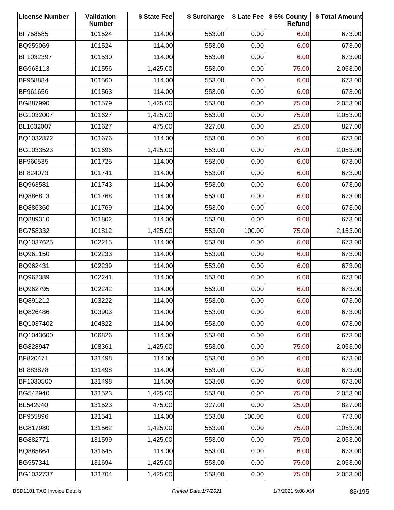| <b>License Number</b> | Validation<br><b>Number</b> | \$ State Fee | \$ Surcharge |        | \$ Late Fee   \$5% County<br>Refund | \$ Total Amount |
|-----------------------|-----------------------------|--------------|--------------|--------|-------------------------------------|-----------------|
| BF758585              | 101524                      | 114.00       | 553.00       | 0.00   | 6.00                                | 673.00          |
| BQ959069              | 101524                      | 114.00       | 553.00       | 0.00   | 6.00                                | 673.00          |
| BF1032397             | 101530                      | 114.00       | 553.00       | 0.00   | 6.00                                | 673.00          |
| BG963113              | 101556                      | 1,425.00     | 553.00       | 0.00   | 75.00                               | 2,053.00        |
| BF958884              | 101560                      | 114.00       | 553.00       | 0.00   | 6.00                                | 673.00          |
| BF961656              | 101563                      | 114.00       | 553.00       | 0.00   | 6.00                                | 673.00          |
| BG887990              | 101579                      | 1,425.00     | 553.00       | 0.00   | 75.00                               | 2,053.00        |
| BG1032007             | 101627                      | 1,425.00     | 553.00       | 0.00   | 75.00                               | 2,053.00        |
| BL1032007             | 101627                      | 475.00       | 327.00       | 0.00   | 25.00                               | 827.00          |
| BQ1032872             | 101676                      | 114.00       | 553.00       | 0.00   | 6.00                                | 673.00          |
| BG1033523             | 101696                      | 1,425.00     | 553.00       | 0.00   | 75.00                               | 2,053.00        |
| BF960535              | 101725                      | 114.00       | 553.00       | 0.00   | 6.00                                | 673.00          |
| BF824073              | 101741                      | 114.00       | 553.00       | 0.00   | 6.00                                | 673.00          |
| BQ963581              | 101743                      | 114.00       | 553.00       | 0.00   | 6.00                                | 673.00          |
| BQ886813              | 101768                      | 114.00       | 553.00       | 0.00   | 6.00                                | 673.00          |
| BQ886360              | 101769                      | 114.00       | 553.00       | 0.00   | 6.00                                | 673.00          |
| BQ889310              | 101802                      | 114.00       | 553.00       | 0.00   | 6.00                                | 673.00          |
| BG758332              | 101812                      | 1,425.00     | 553.00       | 100.00 | 75.00                               | 2,153.00        |
| BQ1037625             | 102215                      | 114.00       | 553.00       | 0.00   | 6.00                                | 673.00          |
| BQ961150              | 102233                      | 114.00       | 553.00       | 0.00   | 6.00                                | 673.00          |
| BQ962431              | 102239                      | 114.00       | 553.00       | 0.00   | 6.00                                | 673.00          |
| BQ962389              | 102241                      | 114.00       | 553.00       | 0.00   | 6.00                                | 673.00          |
| BQ962795              | 102242                      | 114.00       | 553.00       | 0.00   | 6.00                                | 673.00          |
| BQ891212              | 103222                      | 114.00       | 553.00       | 0.00   | 6.00                                | 673.00          |
| BQ826486              | 103903                      | 114.00       | 553.00       | 0.00   | 6.00                                | 673.00          |
| BQ1037402             | 104822                      | 114.00       | 553.00       | 0.00   | 6.00                                | 673.00          |
| BQ1043600             | 106826                      | 114.00       | 553.00       | 0.00   | 6.00                                | 673.00          |
| BG828947              | 108361                      | 1,425.00     | 553.00       | 0.00   | 75.00                               | 2,053.00        |
| BF820471              | 131498                      | 114.00       | 553.00       | 0.00   | 6.00                                | 673.00          |
| BF883878              | 131498                      | 114.00       | 553.00       | 0.00   | 6.00                                | 673.00          |
| BF1030500             | 131498                      | 114.00       | 553.00       | 0.00   | 6.00                                | 673.00          |
| BG542940              | 131523                      | 1,425.00     | 553.00       | 0.00   | 75.00                               | 2,053.00        |
| BL542940              | 131523                      | 475.00       | 327.00       | 0.00   | 25.00                               | 827.00          |
| BF955896              | 131541                      | 114.00       | 553.00       | 100.00 | 6.00                                | 773.00          |
| BG817980              | 131562                      | 1,425.00     | 553.00       | 0.00   | 75.00                               | 2,053.00        |
| BG882771              | 131599                      | 1,425.00     | 553.00       | 0.00   | 75.00                               | 2,053.00        |
| BQ885864              | 131645                      | 114.00       | 553.00       | 0.00   | 6.00                                | 673.00          |
| BG957341              | 131694                      | 1,425.00     | 553.00       | 0.00   | 75.00                               | 2,053.00        |
| BG1032737             | 131704                      | 1,425.00     | 553.00       | 0.00   | 75.00                               | 2,053.00        |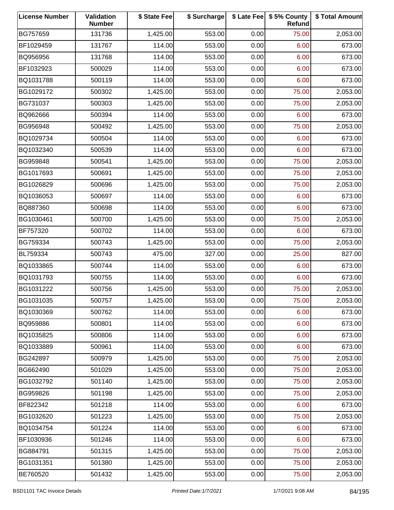| <b>License Number</b> | Validation<br><b>Number</b> | \$ State Fee | \$ Surcharge |      | \$ Late Fee   \$5% County<br>Refund | \$ Total Amount |
|-----------------------|-----------------------------|--------------|--------------|------|-------------------------------------|-----------------|
| BG757659              | 131736                      | 1,425.00     | 553.00       | 0.00 | 75.00                               | 2,053.00        |
| BF1029459             | 131767                      | 114.00       | 553.00       | 0.00 | 6.00                                | 673.00          |
| BQ956956              | 131768                      | 114.00       | 553.00       | 0.00 | 6.00                                | 673.00          |
| BF1032923             | 500029                      | 114.00       | 553.00       | 0.00 | 6.00                                | 673.00          |
| BQ1031788             | 500119                      | 114.00       | 553.00       | 0.00 | 6.00                                | 673.00          |
| BG1029172             | 500302                      | 1,425.00     | 553.00       | 0.00 | 75.00                               | 2,053.00        |
| BG731037              | 500303                      | 1,425.00     | 553.00       | 0.00 | 75.00                               | 2,053.00        |
| BQ962666              | 500394                      | 114.00       | 553.00       | 0.00 | 6.00                                | 673.00          |
| BG956948              | 500492                      | 1,425.00     | 553.00       | 0.00 | 75.00                               | 2,053.00        |
| BQ1029734             | 500504                      | 114.00       | 553.00       | 0.00 | 6.00                                | 673.00          |
| BQ1032340             | 500539                      | 114.00       | 553.00       | 0.00 | 6.00                                | 673.00          |
| BG959848              | 500541                      | 1,425.00     | 553.00       | 0.00 | 75.00                               | 2,053.00        |
| BG1017693             | 500691                      | 1,425.00     | 553.00       | 0.00 | 75.00                               | 2,053.00        |
| BG1026829             | 500696                      | 1,425.00     | 553.00       | 0.00 | 75.00                               | 2,053.00        |
| BQ1036053             | 500697                      | 114.00       | 553.00       | 0.00 | 6.00                                | 673.00          |
| BQ887360              | 500698                      | 114.00       | 553.00       | 0.00 | 6.00                                | 673.00          |
| BG1030461             | 500700                      | 1,425.00     | 553.00       | 0.00 | 75.00                               | 2,053.00        |
| BF757320              | 500702                      | 114.00       | 553.00       | 0.00 | 6.00                                | 673.00          |
| BG759334              | 500743                      | 1,425.00     | 553.00       | 0.00 | 75.00                               | 2,053.00        |
| BL759334              | 500743                      | 475.00       | 327.00       | 0.00 | 25.00                               | 827.00          |
| BQ1033865             | 500744                      | 114.00       | 553.00       | 0.00 | 6.00                                | 673.00          |
| BQ1031793             | 500755                      | 114.00       | 553.00       | 0.00 | 6.00                                | 673.00          |
| BG1031222             | 500756                      | 1,425.00     | 553.00       | 0.00 | 75.00                               | 2,053.00        |
| BG1031035             | 500757                      | 1,425.00     | 553.00       | 0.00 | 75.00                               | 2,053.00        |
| BQ1030369             | 500762                      | 114.00       | 553.00       | 0.00 | 6.00                                | 673.00          |
| BQ959886              | 500801                      | 114.00       | 553.00       | 0.00 | 6.00                                | 673.00          |
| BQ1035825             | 500806                      | 114.00       | 553.00       | 0.00 | 6.00                                | 673.00          |
| BQ1033889             | 500961                      | 114.00       | 553.00       | 0.00 | 6.00                                | 673.00          |
| BG242897              | 500979                      | 1,425.00     | 553.00       | 0.00 | 75.00                               | 2,053.00        |
| BG662490              | 501029                      | 1,425.00     | 553.00       | 0.00 | 75.00                               | 2,053.00        |
| BG1032792             | 501140                      | 1,425.00     | 553.00       | 0.00 | 75.00                               | 2,053.00        |
| BG959826              | 501198                      | 1,425.00     | 553.00       | 0.00 | 75.00                               | 2,053.00        |
| BF822342              | 501218                      | 114.00       | 553.00       | 0.00 | 6.00                                | 673.00          |
| BG1032620             | 501223                      | 1,425.00     | 553.00       | 0.00 | 75.00                               | 2,053.00        |
| BQ1034754             | 501224                      | 114.00       | 553.00       | 0.00 | 6.00                                | 673.00          |
| BF1030936             | 501246                      | 114.00       | 553.00       | 0.00 | 6.00                                | 673.00          |
| BG884791              | 501315                      | 1,425.00     | 553.00       | 0.00 | 75.00                               | 2,053.00        |
| BG1031351             | 501380                      | 1,425.00     | 553.00       | 0.00 | 75.00                               | 2,053.00        |
| BE760520              | 501432                      | 1,425.00     | 553.00       | 0.00 | 75.00                               | 2,053.00        |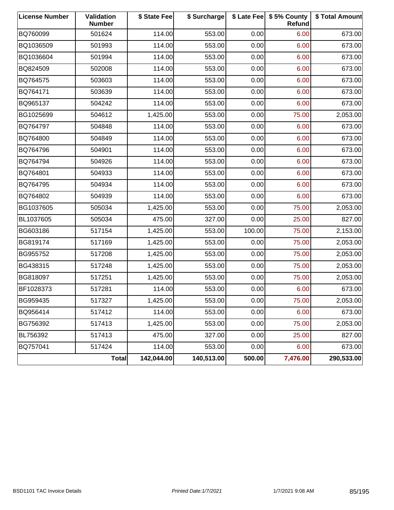| <b>License Number</b> | Validation<br><b>Number</b> | \$ State Fee | \$ Surcharge |        | \$ Late Fee   \$5% County<br><b>Refund</b> | \$ Total Amount |
|-----------------------|-----------------------------|--------------|--------------|--------|--------------------------------------------|-----------------|
| BQ760099              | 501624                      | 114.00       | 553.00       | 0.00   | 6.00                                       | 673.00          |
| BQ1036509             | 501993                      | 114.00       | 553.00       | 0.00   | 6.00                                       | 673.00          |
| BQ1036604             | 501994                      | 114.00       | 553.00       | 0.00   | 6.00                                       | 673.00          |
| BQ824509              | 502008                      | 114.00       | 553.00       | 0.00   | 6.00                                       | 673.00          |
| BQ764575              | 503603                      | 114.00       | 553.00       | 0.00   | 6.00                                       | 673.00          |
| BQ764171              | 503639                      | 114.00       | 553.00       | 0.00   | 6.00                                       | 673.00          |
| BQ965137              | 504242                      | 114.00       | 553.00       | 0.00   | 6.00                                       | 673.00          |
| BG1025699             | 504612                      | 1,425.00     | 553.00       | 0.00   | 75.00                                      | 2,053.00        |
| BQ764797              | 504848                      | 114.00       | 553.00       | 0.00   | 6.00                                       | 673.00          |
| BQ764800              | 504849                      | 114.00       | 553.00       | 0.00   | 6.00                                       | 673.00          |
| BQ764796              | 504901                      | 114.00       | 553.00       | 0.00   | 6.00                                       | 673.00          |
| BQ764794              | 504926                      | 114.00       | 553.00       | 0.00   | 6.00                                       | 673.00          |
| BQ764801              | 504933                      | 114.00       | 553.00       | 0.00   | 6.00                                       | 673.00          |
| BQ764795              | 504934                      | 114.00       | 553.00       | 0.00   | 6.00                                       | 673.00          |
| BQ764802              | 504939                      | 114.00       | 553.00       | 0.00   | 6.00                                       | 673.00          |
| BG1037605             | 505034                      | 1,425.00     | 553.00       | 0.00   | 75.00                                      | 2,053.00        |
| BL1037605             | 505034                      | 475.00       | 327.00       | 0.00   | 25.00                                      | 827.00          |
| BG603186              | 517154                      | 1,425.00     | 553.00       | 100.00 | 75.00                                      | 2,153.00        |
| BG819174              | 517169                      | 1,425.00     | 553.00       | 0.00   | 75.00                                      | 2,053.00        |
| BG955752              | 517208                      | 1,425.00     | 553.00       | 0.00   | 75.00                                      | 2,053.00        |
| BG438315              | 517248                      | 1,425.00     | 553.00       | 0.00   | 75.00                                      | 2,053.00        |
| BG818097              | 517251                      | 1,425.00     | 553.00       | 0.00   | 75.00                                      | 2,053.00        |
| BF1028373             | 517281                      | 114.00       | 553.00       | 0.00   | 6.00                                       | 673.00          |
| BG959435              | 517327                      | 1,425.00     | 553.00       | 0.00   | 75.00                                      | 2,053.00        |
| BQ956414              | 517412                      | 114.00       | 553.00       | 0.00   | 6.00                                       | 673.00          |
| BG756392              | 517413                      | 1,425.00     | 553.00       | 0.00   | 75.00                                      | 2,053.00        |
| BL756392              | 517413                      | 475.00       | 327.00       | 0.00   | 25.00                                      | 827.00          |
| BQ757041              | 517424                      | 114.00       | 553.00       | 0.00   | 6.00                                       | 673.00          |
|                       | <b>Total</b>                | 142,044.00   | 140,513.00   | 500.00 | 7,476.00                                   | 290,533.00      |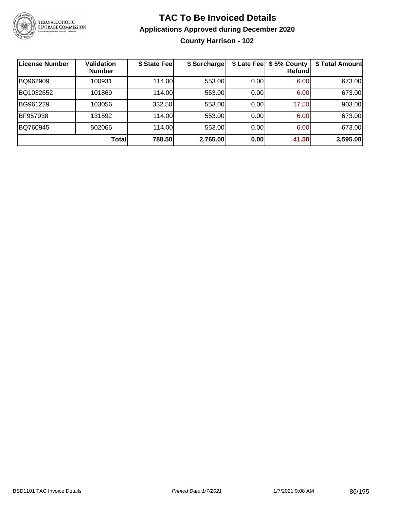

**County Harrison - 102**

| License Number | <b>Validation</b><br><b>Number</b> | \$ State Fee | \$ Surcharge | \$ Late Fee | \$5% County<br>Refundl | \$ Total Amount |
|----------------|------------------------------------|--------------|--------------|-------------|------------------------|-----------------|
| BQ962909       | 100931                             | 114.00       | 553.00       | 0.00        | 6.00                   | 673.00          |
| BQ1032652      | 101869                             | 114.00       | 553.00       | 0.00        | 6.00                   | 673.00          |
| BG961229       | 103056                             | 332.50       | 553.00       | 0.00        | 17.50                  | 903.00          |
| BF957938       | 131592                             | 114.00       | 553.00       | 0.00        | 6.00                   | 673.00          |
| BQ760945       | 502065                             | 114.00       | 553.00       | 0.00        | 6.00                   | 673.00          |
|                | <b>Total</b>                       | 788.50       | 2,765.00     | 0.00        | 41.50                  | 3,595.00        |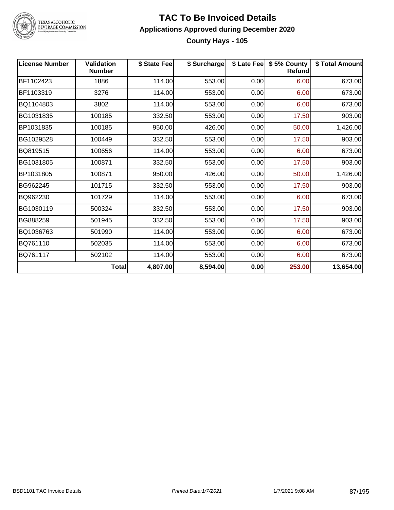

TEXAS ALCOHOLIC<br>BEVERAGE COMMISSION

#### **TAC To Be Invoiced Details Applications Approved during December 2020 County Hays - 105**

| <b>License Number</b> | Validation<br><b>Number</b> | \$ State Fee | \$ Surcharge |      | \$ Late Fee   \$5% County<br><b>Refund</b> | \$ Total Amount |
|-----------------------|-----------------------------|--------------|--------------|------|--------------------------------------------|-----------------|
| BF1102423             | 1886                        | 114.00       | 553.00       | 0.00 | 6.00                                       | 673.00          |
| BF1103319             | 3276                        | 114.00       | 553.00       | 0.00 | 6.00                                       | 673.00          |
| BQ1104803             | 3802                        | 114.00       | 553.00       | 0.00 | 6.00                                       | 673.00          |
| BG1031835             | 100185                      | 332.50       | 553.00       | 0.00 | 17.50                                      | 903.00          |
| BP1031835             | 100185                      | 950.00       | 426.00       | 0.00 | 50.00                                      | 1,426.00        |
| BG1029528             | 100449                      | 332.50       | 553.00       | 0.00 | 17.50                                      | 903.00          |
| BQ819515              | 100656                      | 114.00       | 553.00       | 0.00 | 6.00                                       | 673.00          |
| BG1031805             | 100871                      | 332.50       | 553.00       | 0.00 | 17.50                                      | 903.00          |
| BP1031805             | 100871                      | 950.00       | 426.00       | 0.00 | 50.00                                      | 1,426.00        |
| BG962245              | 101715                      | 332.50       | 553.00       | 0.00 | 17.50                                      | 903.00          |
| BQ962230              | 101729                      | 114.00       | 553.00       | 0.00 | 6.00                                       | 673.00          |
| BG1030119             | 500324                      | 332.50       | 553.00       | 0.00 | 17.50                                      | 903.00          |
| BG888259              | 501945                      | 332.50       | 553.00       | 0.00 | 17.50                                      | 903.00          |
| BQ1036763             | 501990                      | 114.00       | 553.00       | 0.00 | 6.00                                       | 673.00          |
| BQ761110              | 502035                      | 114.00       | 553.00       | 0.00 | 6.00                                       | 673.00          |
| BQ761117              | 502102                      | 114.00       | 553.00       | 0.00 | 6.00                                       | 673.00          |
|                       | Total                       | 4,807.00     | 8,594.00     | 0.00 | 253.00                                     | 13,654.00       |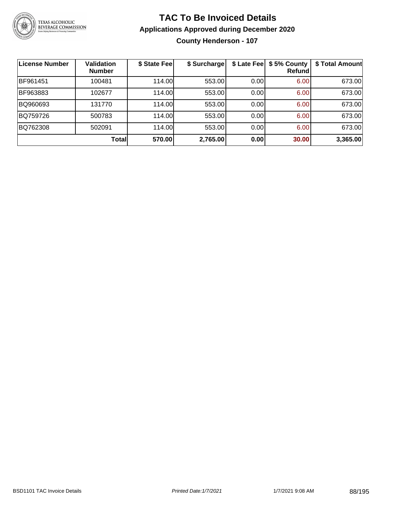

**County Henderson - 107**

| License Number | <b>Validation</b><br><b>Number</b> | \$ State Fee | \$ Surcharge | \$ Late Fee | \$5% County<br>Refundl | \$ Total Amount |
|----------------|------------------------------------|--------------|--------------|-------------|------------------------|-----------------|
| BF961451       | 100481                             | 114.00       | 553.00       | 0.00        | 6.00                   | 673.00          |
| BF963883       | 102677                             | 114.00L      | 553.00       | 0.00        | 6.00                   | 673.00          |
| BQ960693       | 131770                             | 114.00       | 553.00       | 0.00        | 6.00                   | 673.00          |
| BQ759726       | 500783                             | 114.00       | 553.00       | 0.00        | 6.00                   | 673.00          |
| BQ762308       | 502091                             | 114.00       | 553.00       | 0.00        | 6.00                   | 673.00          |
|                | <b>Total</b>                       | 570.00       | 2,765.00     | 0.00        | 30.00                  | 3,365.00        |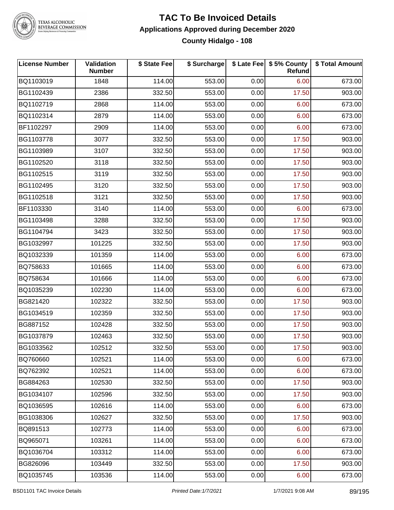

TEXAS ALCOHOLIC<br>BEVERAGE COMMISSION

#### **TAC To Be Invoiced Details Applications Approved during December 2020 County Hidalgo - 108**

| <b>License Number</b> | Validation<br><b>Number</b> | \$ State Fee | \$ Surcharge |      | \$ Late Fee   \$5% County<br><b>Refund</b> | \$ Total Amount |
|-----------------------|-----------------------------|--------------|--------------|------|--------------------------------------------|-----------------|
| BQ1103019             | 1848                        | 114.00       | 553.00       | 0.00 | 6.00                                       | 673.00          |
| BG1102439             | 2386                        | 332.50       | 553.00       | 0.00 | 17.50                                      | 903.00          |
| BQ1102719             | 2868                        | 114.00       | 553.00       | 0.00 | 6.00                                       | 673.00          |
| BQ1102314             | 2879                        | 114.00       | 553.00       | 0.00 | 6.00                                       | 673.00          |
| BF1102297             | 2909                        | 114.00       | 553.00       | 0.00 | 6.00                                       | 673.00          |
| BG1103778             | 3077                        | 332.50       | 553.00       | 0.00 | 17.50                                      | 903.00          |
| BG1103989             | 3107                        | 332.50       | 553.00       | 0.00 | 17.50                                      | 903.00          |
| BG1102520             | 3118                        | 332.50       | 553.00       | 0.00 | 17.50                                      | 903.00          |
| BG1102515             | 3119                        | 332.50       | 553.00       | 0.00 | 17.50                                      | 903.00          |
| BG1102495             | 3120                        | 332.50       | 553.00       | 0.00 | 17.50                                      | 903.00          |
| BG1102518             | 3121                        | 332.50       | 553.00       | 0.00 | 17.50                                      | 903.00          |
| BF1103330             | 3140                        | 114.00       | 553.00       | 0.00 | 6.00                                       | 673.00          |
| BG1103498             | 3288                        | 332.50       | 553.00       | 0.00 | 17.50                                      | 903.00          |
| BG1104794             | 3423                        | 332.50       | 553.00       | 0.00 | 17.50                                      | 903.00          |
| BG1032997             | 101225                      | 332.50       | 553.00       | 0.00 | 17.50                                      | 903.00          |
| BQ1032339             | 101359                      | 114.00       | 553.00       | 0.00 | 6.00                                       | 673.00          |
| BQ758633              | 101665                      | 114.00       | 553.00       | 0.00 | 6.00                                       | 673.00          |
| BQ758634              | 101666                      | 114.00       | 553.00       | 0.00 | 6.00                                       | 673.00          |
| BQ1035239             | 102230                      | 114.00       | 553.00       | 0.00 | 6.00                                       | 673.00          |
| BG821420              | 102322                      | 332.50       | 553.00       | 0.00 | 17.50                                      | 903.00          |
| BG1034519             | 102359                      | 332.50       | 553.00       | 0.00 | 17.50                                      | 903.00          |
| BG887152              | 102428                      | 332.50       | 553.00       | 0.00 | 17.50                                      | 903.00          |
| BG1037879             | 102463                      | 332.50       | 553.00       | 0.00 | 17.50                                      | 903.00          |
| BG1033562             | 102512                      | 332.50       | 553.00       | 0.00 | 17.50                                      | 903.00          |
| BQ760660              | 102521                      | 114.00       | 553.00       | 0.00 | 6.00                                       | 673.00          |
| BQ762392              | 102521                      | 114.00       | 553.00       | 0.00 | 6.00                                       | 673.00          |
| BG884263              | 102530                      | 332.50       | 553.00       | 0.00 | 17.50                                      | 903.00          |
| BG1034107             | 102596                      | 332.50       | 553.00       | 0.00 | 17.50                                      | 903.00          |
| BQ1036595             | 102616                      | 114.00       | 553.00       | 0.00 | 6.00                                       | 673.00          |
| BG1038306             | 102627                      | 332.50       | 553.00       | 0.00 | 17.50                                      | 903.00          |
| BQ891513              | 102773                      | 114.00       | 553.00       | 0.00 | 6.00                                       | 673.00          |
| BQ965071              | 103261                      | 114.00       | 553.00       | 0.00 | 6.00                                       | 673.00          |
| BQ1036704             | 103312                      | 114.00       | 553.00       | 0.00 | 6.00                                       | 673.00          |
| BG826096              | 103449                      | 332.50       | 553.00       | 0.00 | 17.50                                      | 903.00          |
| BQ1035745             | 103536                      | 114.00       | 553.00       | 0.00 | 6.00                                       | 673.00          |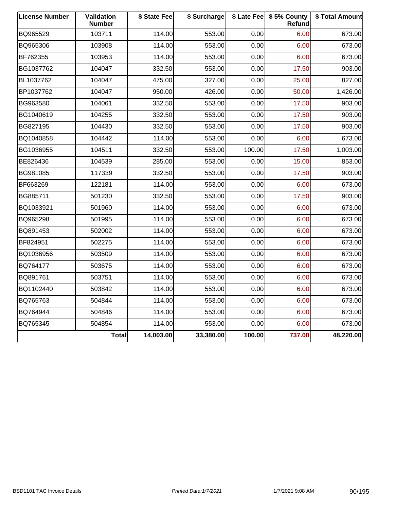| <b>License Number</b> | Validation<br><b>Number</b> | \$ State Fee | \$ Surcharge |        | \$ Late Fee   \$5% County<br>Refund | \$ Total Amount |
|-----------------------|-----------------------------|--------------|--------------|--------|-------------------------------------|-----------------|
| BQ965529              | 103711                      | 114.00       | 553.00       | 0.00   | 6.00                                | 673.00          |
| BQ965306              | 103908                      | 114.00       | 553.00       | 0.00   | 6.00                                | 673.00          |
| BF762355              | 103953                      | 114.00       | 553.00       | 0.00   | 6.00                                | 673.00          |
| BG1037762             | 104047                      | 332.50       | 553.00       | 0.00   | 17.50                               | 903.00          |
| BL1037762             | 104047                      | 475.00       | 327.00       | 0.00   | 25.00                               | 827.00          |
| BP1037762             | 104047                      | 950.00       | 426.00       | 0.00   | 50.00                               | 1,426.00        |
| BG963580              | 104061                      | 332.50       | 553.00       | 0.00   | 17.50                               | 903.00          |
| BG1040619             | 104255                      | 332.50       | 553.00       | 0.00   | 17.50                               | 903.00          |
| BG827195              | 104430                      | 332.50       | 553.00       | 0.00   | 17.50                               | 903.00          |
| BQ1040858             | 104442                      | 114.00       | 553.00       | 0.00   | 6.00                                | 673.00          |
| BG1036955             | 104511                      | 332.50       | 553.00       | 100.00 | 17.50                               | 1,003.00        |
| BE826436              | 104539                      | 285.00       | 553.00       | 0.00   | 15.00                               | 853.00          |
| BG981085              | 117339                      | 332.50       | 553.00       | 0.00   | 17.50                               | 903.00          |
| BF663269              | 122181                      | 114.00       | 553.00       | 0.00   | 6.00                                | 673.00          |
| BG885711              | 501230                      | 332.50       | 553.00       | 0.00   | 17.50                               | 903.00          |
| BQ1033921             | 501960                      | 114.00       | 553.00       | 0.00   | 6.00                                | 673.00          |
| BQ965298              | 501995                      | 114.00       | 553.00       | 0.00   | 6.00                                | 673.00          |
| BQ891453              | 502002                      | 114.00       | 553.00       | 0.00   | 6.00                                | 673.00          |
| BF824951              | 502275                      | 114.00       | 553.00       | 0.00   | 6.00                                | 673.00          |
| BQ1036956             | 503509                      | 114.00       | 553.00       | 0.00   | 6.00                                | 673.00          |
| BQ764177              | 503675                      | 114.00       | 553.00       | 0.00   | 6.00                                | 673.00          |
| BQ891761              | 503751                      | 114.00       | 553.00       | 0.00   | 6.00                                | 673.00          |
| BQ1102440             | 503842                      | 114.00       | 553.00       | 0.00   | 6.00                                | 673.00          |
| BQ765763              | 504844                      | 114.00       | 553.00       | 0.00   | 6.00                                | 673.00          |
| BQ764944              | 504846                      | 114.00       | 553.00       | 0.00   | 6.00                                | 673.00          |
| BQ765345              | 504854                      | 114.00       | 553.00       | 0.00   | 6.00                                | 673.00          |
|                       | <b>Total</b>                | 14,003.00    | 33,380.00    | 100.00 | 737.00                              | 48,220.00       |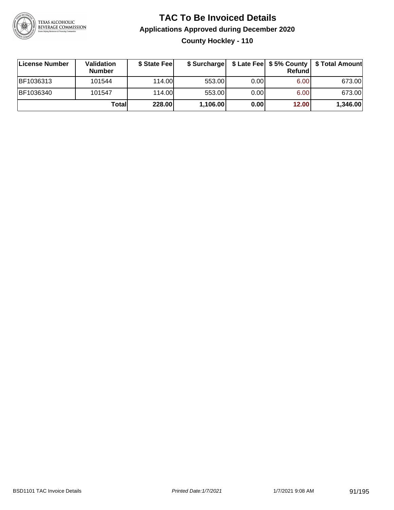

**County Hockley - 110**

| ∣License Number | <b>Validation</b><br><b>Number</b> | \$ State Fee |          |      | <b>Refund</b> | \$ Surcharge   \$ Late Fee   \$5% County   \$ Total Amount |
|-----------------|------------------------------------|--------------|----------|------|---------------|------------------------------------------------------------|
| BF1036313       | 101544                             | 114.00L      | 553.00   | 0.00 | 6.00          | 673.00                                                     |
| BF1036340       | 101547                             | 114.00L      | 553.00   | 0.00 | 6.00          | 673.00                                                     |
|                 | Total                              | 228.00       | 1,106.00 | 0.00 | 12.00         | 1,346.00                                                   |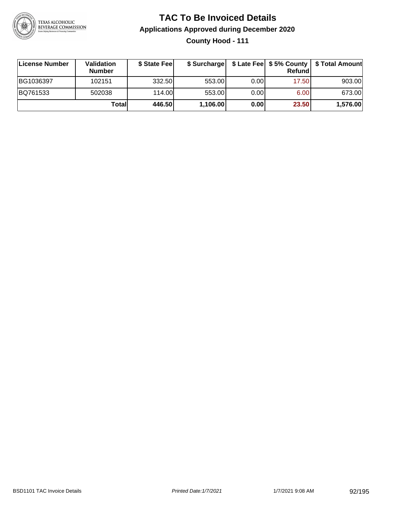

### **TAC To Be Invoiced Details Applications Approved during December 2020 County Hood - 111**

| License Number | Validation<br><b>Number</b> | \$ State Fee |          |      | <b>Refund</b> | \$ Surcharge   \$ Late Fee   \$5% County   \$ Total Amount |
|----------------|-----------------------------|--------------|----------|------|---------------|------------------------------------------------------------|
| BG1036397      | 102151                      | 332.50       | 553.00   | 0.00 | 17.50         | 903.00                                                     |
| BQ761533       | 502038                      | 114.00       | 553.00   | 0.00 | 6.00          | 673.00                                                     |
|                | Totall                      | 446.50       | 1,106.00 | 0.00 | 23.50         | 1,576.00                                                   |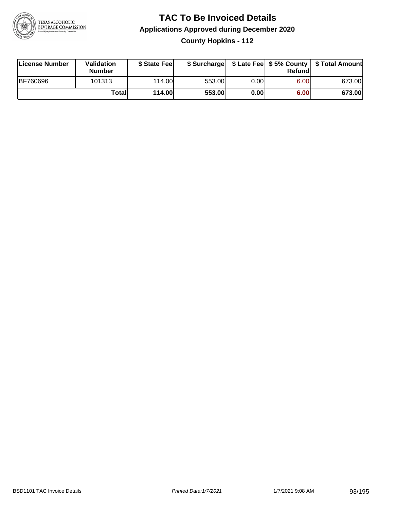

**County Hopkins - 112**

| License Number  | Validation<br><b>Number</b> | \$ State Feel | \$ Surcharge |       | Refundl | \$ Late Fee   \$5% County   \$ Total Amount |
|-----------------|-----------------------------|---------------|--------------|-------|---------|---------------------------------------------|
| <b>BF760696</b> | 101313                      | 114.00        | 553.00       | 0.001 | 6.00    | 673.00                                      |
|                 | Totall                      | <b>114.00</b> | 553.00       | 0.00  | 6.00    | 673.00                                      |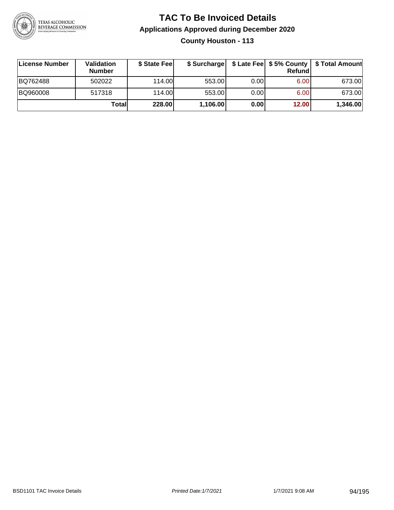

**County Houston - 113**

| ∣License Number | Validation<br><b>Number</b> | \$ State Fee | \$ Surcharge |       | <b>Refund</b> | \$ Late Fee   \$5% County   \$ Total Amount |
|-----------------|-----------------------------|--------------|--------------|-------|---------------|---------------------------------------------|
| BQ762488        | 502022                      | 114.00       | 553.00       | 0.00  | 6.00          | 673.00                                      |
| BQ960008        | 517318                      | 114.00L      | 553.00       | 0.001 | 6.00          | 673.00                                      |
|                 | Totall                      | 228.00       | 1,106.00     | 0.00  | 12.00         | 1,346.00                                    |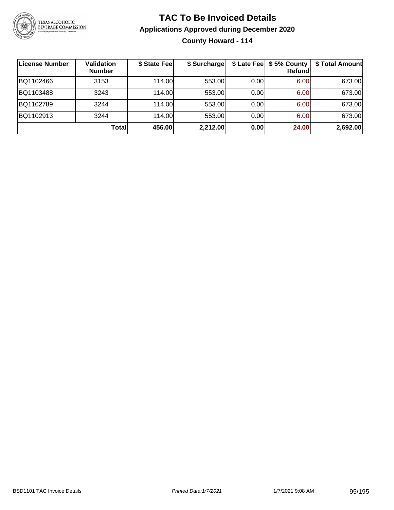

### **TAC To Be Invoiced Details Applications Approved during December 2020 County Howard - 114**

| ∣License Number | <b>Validation</b><br><b>Number</b> | \$ State Fee | \$ Surcharge |      | \$ Late Fee   \$5% County<br>Refundl | \$ Total Amount |
|-----------------|------------------------------------|--------------|--------------|------|--------------------------------------|-----------------|
| BQ1102466       | 3153                               | 114.00       | 553.00       | 0.00 | 6.00                                 | 673.00          |
| BQ1103488       | 3243                               | 114.00L      | 553.00       | 0.00 | 6.00                                 | 673.00          |
| BQ1102789       | 3244                               | 114.00       | 553.00       | 0.00 | 6.00                                 | 673.00          |
| BQ1102913       | 3244                               | 114.00L      | 553.00       | 0.00 | 6.00                                 | 673.00          |
|                 | <b>Total</b>                       | 456.00       | 2,212.00     | 0.00 | 24.00                                | 2,692.00        |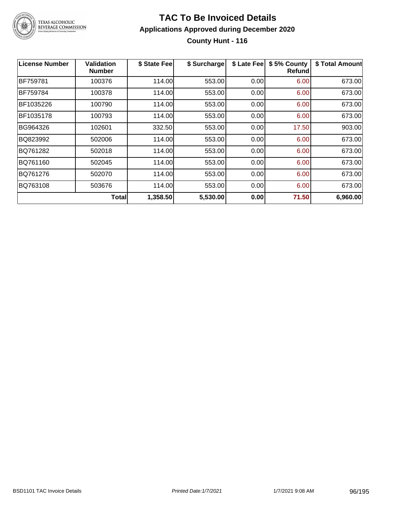

### **TAC To Be Invoiced Details Applications Approved during December 2020 County Hunt - 116**

| <b>License Number</b> | Validation<br><b>Number</b> | \$ State Fee | \$ Surcharge | \$ Late Fee | \$5% County<br>Refundl | \$ Total Amount |
|-----------------------|-----------------------------|--------------|--------------|-------------|------------------------|-----------------|
| BF759781              | 100376                      | 114.00       | 553.00       | 0.00        | 6.00                   | 673.00          |
| BF759784              | 100378                      | 114.00       | 553.00       | 0.00        | 6.00                   | 673.00          |
| BF1035226             | 100790                      | 114.00       | 553.00       | 0.00        | 6.00                   | 673.00          |
| BF1035178             | 100793                      | 114.00       | 553.00       | 0.00        | 6.00                   | 673.00          |
| BG964326              | 102601                      | 332.50       | 553.00       | 0.00        | 17.50                  | 903.00          |
| BQ823992              | 502006                      | 114.00       | 553.00       | 0.00        | 6.00                   | 673.00          |
| BQ761282              | 502018                      | 114.00       | 553.00       | 0.00        | 6.00                   | 673.00          |
| BQ761160              | 502045                      | 114.00       | 553.00       | 0.00        | 6.00                   | 673.00          |
| BQ761276              | 502070                      | 114.00       | 553.00       | 0.00        | 6.00                   | 673.00          |
| BQ763108              | 503676                      | 114.00       | 553.00       | 0.00        | 6.00                   | 673.00          |
|                       | Total                       | 1,358.50     | 5,530.00     | 0.00        | 71.50                  | 6,960.00        |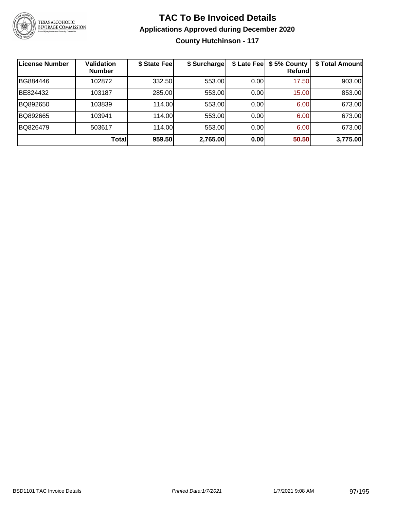

### **TAC To Be Invoiced Details Applications Approved during December 2020 County Hutchinson - 117**

| ∣License Number | <b>Validation</b><br><b>Number</b> | \$ State Feel | \$ Surcharge | \$ Late Fee | \$5% County<br>Refundl | \$ Total Amount |
|-----------------|------------------------------------|---------------|--------------|-------------|------------------------|-----------------|
| BG884446        | 102872                             | 332.50        | 553.00       | 0.00        | 17.50                  | 903.00          |
| BE824432        | 103187                             | 285.00        | 553.00       | 0.00        | 15.00                  | 853.00          |
| BQ892650        | 103839                             | 114.00        | 553.00       | 0.00        | 6.00                   | 673.00          |
| BQ892665        | 103941                             | 114.00        | 553.00       | 0.00        | 6.00                   | 673.00          |
| BQ826479        | 503617                             | 114.00L       | 553.00       | 0.00        | 6.00                   | 673.00          |
|                 | Total                              | 959.50        | 2,765.00     | 0.00        | 50.50                  | 3,775.00        |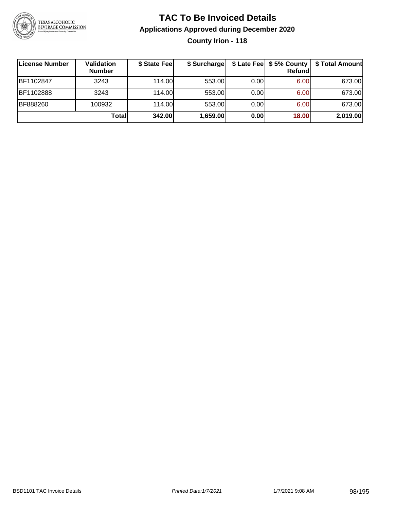

### **TAC To Be Invoiced Details Applications Approved during December 2020 County Irion - 118**

| ∣License Number | Validation<br><b>Number</b> | \$ State Fee | \$ Surcharge |      | <b>Refund</b> | \$ Late Fee   \$5% County   \$ Total Amount |
|-----------------|-----------------------------|--------------|--------------|------|---------------|---------------------------------------------|
| IBF1102847      | 3243                        | 114.00       | 553.00       | 0.00 | 6.00          | 673.00                                      |
| BF1102888       | 3243                        | 114.00       | 553.00       | 0.00 | 6.00          | 673.00                                      |
| BF888260        | 100932                      | 114.00       | 553.00       | 0.00 | 6.00          | 673.00                                      |
|                 | Total                       | 342.00       | 1,659.00     | 0.00 | 18.00         | 2,019.00                                    |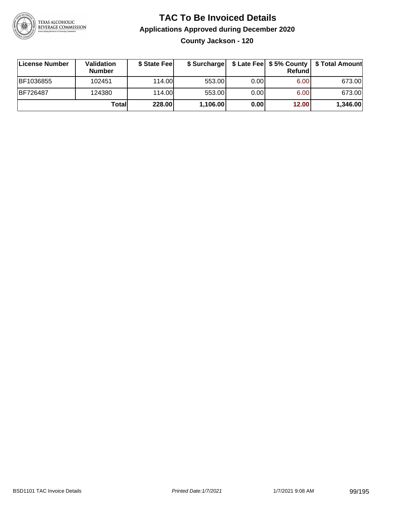

**County Jackson - 120**

| License Number | Validation<br><b>Number</b> | \$ State Fee | \$ Surcharge |       | Refundl | \$ Late Fee   \$5% County   \$ Total Amount |
|----------------|-----------------------------|--------------|--------------|-------|---------|---------------------------------------------|
| BF1036855      | 102451                      | 114.00       | 553.00       | 0.00  | 6.00    | 673.00                                      |
| BF726487       | 124380                      | 114.00       | 553.00       | 0.001 | 6.00    | 673.00                                      |
|                | Totall                      | 228.00       | 1,106.00     | 0.00  | 12.00   | 1,346.00                                    |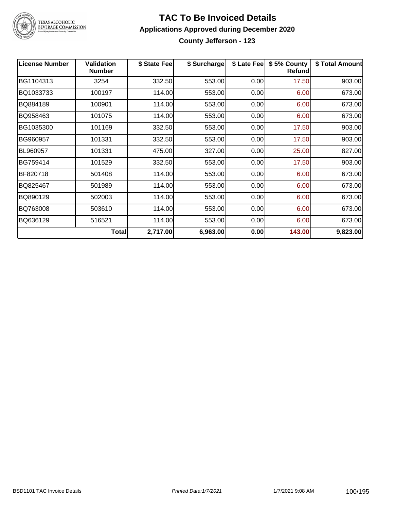

TEXAS ALCOHOLIC<br>BEVERAGE COMMISSION

#### **TAC To Be Invoiced Details Applications Approved during December 2020 County Jefferson - 123**

| <b>License Number</b> | <b>Validation</b><br>Number | \$ State Fee | \$ Surcharge | \$ Late Fee | \$5% County<br><b>Refund</b> | \$ Total Amount |
|-----------------------|-----------------------------|--------------|--------------|-------------|------------------------------|-----------------|
| BG1104313             | 3254                        | 332.50       | 553.00       | 0.00        | 17.50                        | 903.00          |
| BQ1033733             | 100197                      | 114.00       | 553.00       | 0.00        | 6.00                         | 673.00          |
| BQ884189              | 100901                      | 114.00       | 553.00       | 0.00        | 6.00                         | 673.00          |
| BQ958463              | 101075                      | 114.00       | 553.00       | 0.00        | 6.00                         | 673.00          |
| BG1035300             | 101169                      | 332.50       | 553.00       | 0.00        | 17.50                        | 903.00          |
| BG960957              | 101331                      | 332.50       | 553.00       | 0.00        | 17.50                        | 903.00          |
| BL960957              | 101331                      | 475.00       | 327.00       | 0.00        | 25.00                        | 827.00          |
| BG759414              | 101529                      | 332.50       | 553.00       | 0.00        | 17.50                        | 903.00          |
| BF820718              | 501408                      | 114.00       | 553.00       | 0.00        | 6.00                         | 673.00          |
| BQ825467              | 501989                      | 114.00       | 553.00       | 0.00        | 6.00                         | 673.00          |
| BQ890129              | 502003                      | 114.00       | 553.00       | 0.00        | 6.00                         | 673.00          |
| BQ763008              | 503610                      | 114.00       | 553.00       | 0.00        | 6.00                         | 673.00          |
| BQ636129              | 516521                      | 114.00       | 553.00       | 0.00        | 6.00                         | 673.00          |
|                       | <b>Total</b>                | 2,717.00     | 6,963.00     | 0.00        | 143.00                       | 9,823.00        |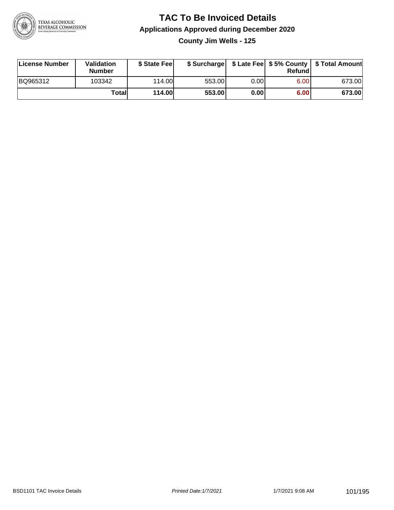

**County Jim Wells - 125**

| License Number | <b>Validation</b><br><b>Number</b> | \$ State Fee  | \$ Surcharge |      | Refundl | \$ Late Fee   \$5% County   \$ Total Amount |
|----------------|------------------------------------|---------------|--------------|------|---------|---------------------------------------------|
| BQ965312       | 103342                             | 114.00L       | 553.00       | 0.00 | 6.00    | 673.00                                      |
|                | Totall                             | <b>114.00</b> | 553.00       | 0.00 | 6.00    | 673.00                                      |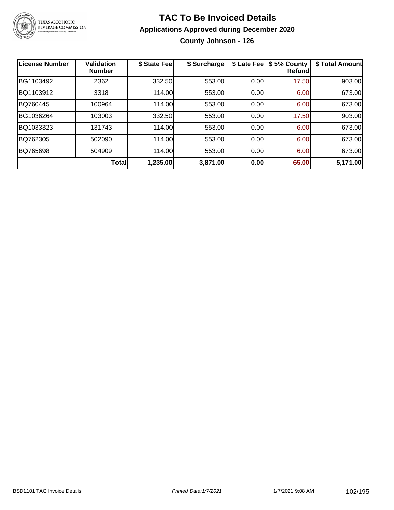

### **TAC To Be Invoiced Details Applications Approved during December 2020 County Johnson - 126**

| License Number | <b>Validation</b><br><b>Number</b> | \$ State Fee | \$ Surcharge | \$ Late Fee | \$5% County<br><b>Refund</b> | \$ Total Amount |
|----------------|------------------------------------|--------------|--------------|-------------|------------------------------|-----------------|
| BG1103492      | 2362                               | 332.50       | 553.00       | 0.00        | 17.50                        | 903.00          |
| BQ1103912      | 3318                               | 114.00       | 553.00       | 0.00        | 6.00                         | 673.00          |
| BQ760445       | 100964                             | 114.00       | 553.00       | 0.00        | 6.00                         | 673.00          |
| BG1036264      | 103003                             | 332.50       | 553.00       | 0.00        | 17.50                        | 903.00          |
| BQ1033323      | 131743                             | 114.00       | 553.00       | 0.00        | 6.00                         | 673.00          |
| BQ762305       | 502090                             | 114.00       | 553.00       | 0.00        | 6.00                         | 673.00          |
| BQ765698       | 504909                             | 114.00       | 553.00       | 0.00        | 6.00                         | 673.00          |
|                | <b>Total</b>                       | 1,235.00     | 3,871.00     | 0.00        | 65.00                        | 5,171.00        |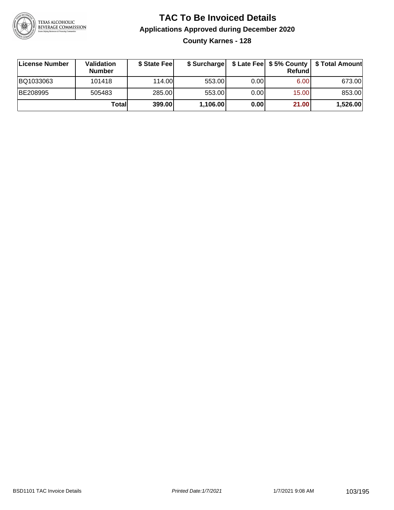

**County Karnes - 128**

| ∣License Number | Validation<br><b>Number</b> | \$ State Fee | \$ Surcharge |       | <b>Refund</b> | \$ Late Fee   \$5% County   \$ Total Amount |
|-----------------|-----------------------------|--------------|--------------|-------|---------------|---------------------------------------------|
| BQ1033063       | 101418                      | 114.00       | 553.00       | 0.00  | 6.00          | 673.00                                      |
| BE208995        | 505483                      | 285.00       | 553.00       | 0.001 | 15.00         | 853.00                                      |
|                 | Totall                      | 399.00       | 1,106.00     | 0.00  | 21.00         | 1,526.00                                    |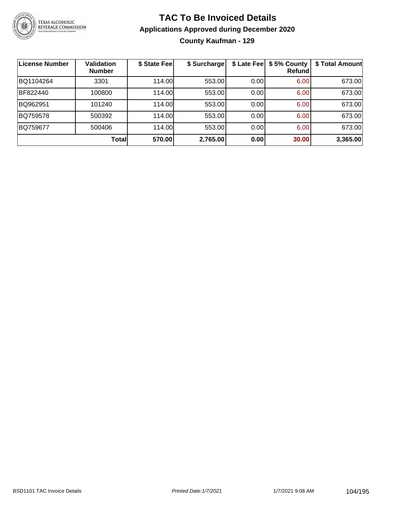

### **TAC To Be Invoiced Details Applications Approved during December 2020 County Kaufman - 129**

| License Number | <b>Validation</b><br><b>Number</b> | \$ State Fee | \$ Surcharge |      | \$ Late Fee   \$5% County<br>Refundl | \$ Total Amount |
|----------------|------------------------------------|--------------|--------------|------|--------------------------------------|-----------------|
| BQ1104264      | 3301                               | 114.00       | 553.00       | 0.00 | 6.00                                 | 673.00          |
| BF822440       | 100800                             | 114.00       | 553.00       | 0.00 | 6.00                                 | 673.00          |
| BQ962951       | 101240                             | 114.00       | 553.00       | 0.00 | 6.00                                 | 673.00          |
| BQ759578       | 500392                             | 114.00       | 553.00       | 0.00 | 6.00                                 | 673.00          |
| BQ759677       | 500406                             | 114.00       | 553.00       | 0.00 | 6.00                                 | 673.00          |
|                | <b>Total</b>                       | 570.00       | 2,765.00     | 0.00 | 30.00                                | 3,365.00        |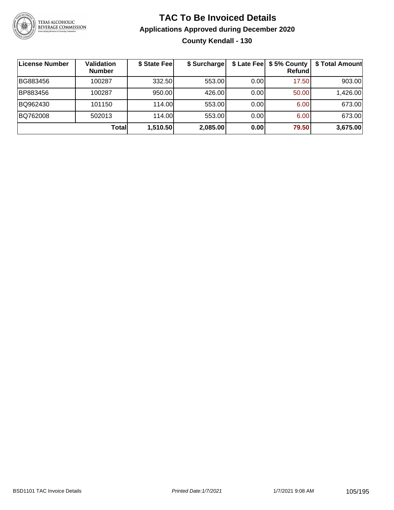

### **TAC To Be Invoiced Details Applications Approved during December 2020 County Kendall - 130**

| ∣License Number | <b>Validation</b><br><b>Number</b> | \$ State Fee | \$ Surcharge |       | \$ Late Fee   \$5% County  <br>Refundl | \$ Total Amount |
|-----------------|------------------------------------|--------------|--------------|-------|----------------------------------------|-----------------|
| BG883456        | 100287                             | 332.50       | 553.00       | 0.00  | 17.50                                  | 903.00          |
| BP883456        | 100287                             | 950.00       | 426.00       | 0.00  | 50.00                                  | 1,426.00        |
| BQ962430        | 101150                             | 114.00       | 553.00       | 0.001 | 6.00                                   | 673.00          |
| BQ762008        | 502013                             | 114.00       | 553.00       | 0.001 | 6.00                                   | 673.00          |
|                 | <b>Total</b>                       | 1,510.50     | 2,085.00     | 0.00  | 79.50                                  | 3,675.00        |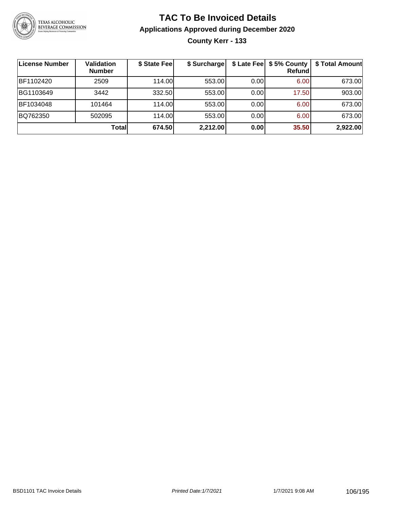

### **TAC To Be Invoiced Details Applications Approved during December 2020 County Kerr - 133**

| License Number | <b>Validation</b><br><b>Number</b> | \$ State Fee | \$ Surcharge |      | \$ Late Fee   \$5% County<br><b>Refund</b> | \$ Total Amount |
|----------------|------------------------------------|--------------|--------------|------|--------------------------------------------|-----------------|
| BF1102420      | 2509                               | 114.00       | 553.00       | 0.00 | 6.00                                       | 673.00          |
| BG1103649      | 3442                               | 332.50       | 553.00       | 0.00 | 17.50                                      | 903.00          |
| BF1034048      | 101464                             | 114.00       | 553.00       | 0.00 | 6.00                                       | 673.00          |
| BQ762350       | 502095                             | 114.00L      | 553.00       | 0.00 | 6.00                                       | 673.00          |
|                | Totall                             | 674.50       | 2,212.00     | 0.00 | 35.50                                      | 2,922.00        |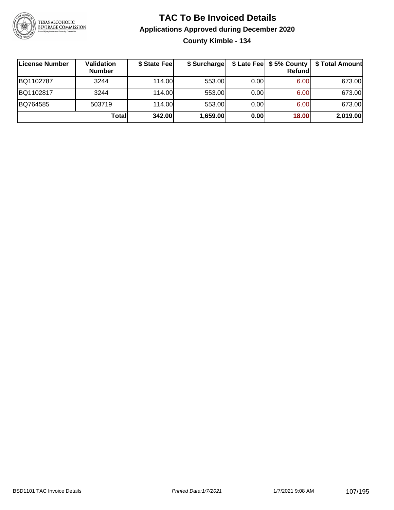

### **TAC To Be Invoiced Details Applications Approved during December 2020 County Kimble - 134**

| ∣License Number | Validation<br><b>Number</b> | \$ State Feel | \$ Surcharge |       | \$ Late Fee   \$5% County  <br>Refundl | \$ Total Amount |
|-----------------|-----------------------------|---------------|--------------|-------|----------------------------------------|-----------------|
| BQ1102787       | 3244                        | 114.00L       | 553.00       | 0.001 | 6.00                                   | 673.00          |
| BQ1102817       | 3244                        | 114.00        | 553.00       | 0.00  | 6.00                                   | 673.00          |
| BQ764585        | 503719                      | 114.00        | 553.00       | 0.00  | 6.00                                   | 673.00          |
|                 | Totall                      | 342.00        | 1,659.00     | 0.00  | 18.00                                  | 2,019.00        |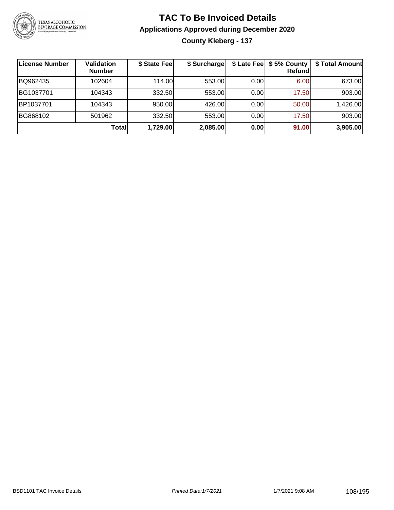

### **TAC To Be Invoiced Details Applications Approved during December 2020 County Kleberg - 137**

| License Number | <b>Validation</b><br><b>Number</b> | \$ State Fee | \$ Surcharge |      | \$ Late Fee   \$5% County  <br><b>Refund</b> | \$ Total Amount |
|----------------|------------------------------------|--------------|--------------|------|----------------------------------------------|-----------------|
| BQ962435       | 102604                             | 114.00       | 553.00       | 0.00 | 6.00                                         | 673.00          |
| BG1037701      | 104343                             | 332.50       | 553.00       | 0.00 | 17.50                                        | 903.00          |
| BP1037701      | 104343                             | 950.00       | 426.00       | 0.00 | 50.00                                        | 1,426.00        |
| BG868102       | 501962                             | 332.50       | 553.00       | 0.00 | 17.50                                        | 903.00          |
|                | Totall                             | 1,729.00     | 2,085.00     | 0.00 | 91.00                                        | 3,905.00        |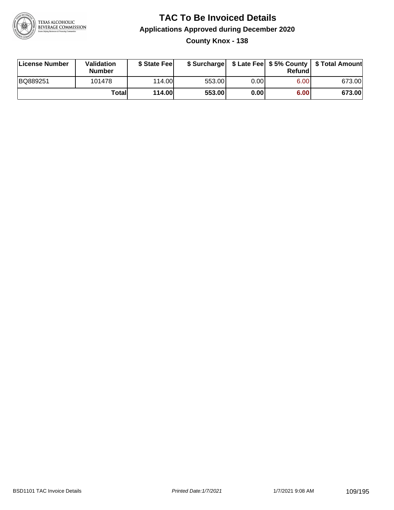

### **TAC To Be Invoiced Details Applications Approved during December 2020 County Knox - 138**

| License Number | <b>Validation</b><br><b>Number</b> | \$ State Fee  | \$ Surcharge |      | Refund | \$ Late Fee   \$5% County   \$ Total Amount |
|----------------|------------------------------------|---------------|--------------|------|--------|---------------------------------------------|
| BQ889251       | 101478                             | 114.00        | 553.00       | 0.00 | 6.00   | 673.00                                      |
|                | Totall                             | <b>114.00</b> | 553.00       | 0.00 | 6.00   | 673.00                                      |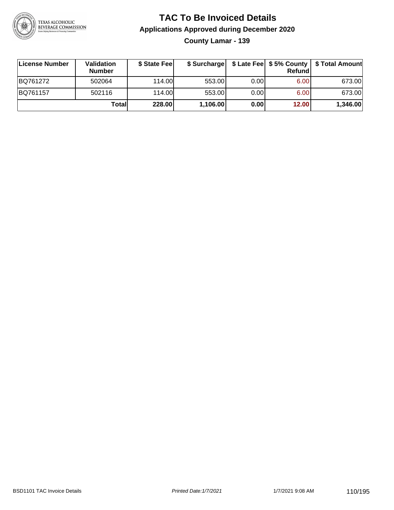

**County Lamar - 139**

| ∣License Number | Validation<br><b>Number</b> | \$ State Fee | \$ Surcharge |       | <b>Refund</b> | \$ Late Fee   \$5% County   \$ Total Amount |
|-----------------|-----------------------------|--------------|--------------|-------|---------------|---------------------------------------------|
| BQ761272        | 502064                      | 114.00       | 553.00       | 0.001 | 6.00          | 673.00                                      |
| BQ761157        | 502116                      | 114.00       | 553.00       | 0.001 | 6.00          | 673.00                                      |
|                 | Totall                      | 228.00       | 1,106.00     | 0.00  | 12.00         | 1,346.00                                    |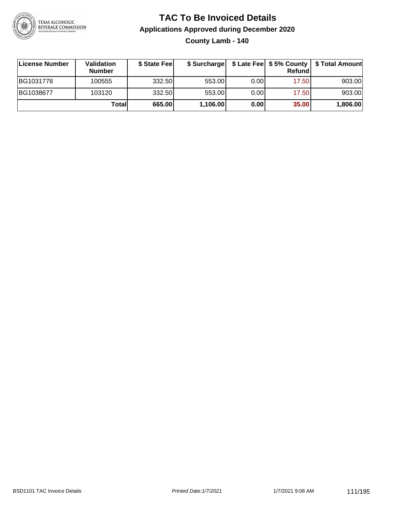

**County Lamb - 140**

| ∣License Number | Validation<br><b>Number</b> | \$ State Feel | \$ Surcharge |       | Refundl |          |
|-----------------|-----------------------------|---------------|--------------|-------|---------|----------|
| BG1031778       | 100555                      | 332.50        | 553.00       | 0.001 | 17.50   | 903.00   |
| BG1038677       | 103120                      | 332.50        | 553.00       | 0.001 | 17.50   | 903.00   |
|                 | Totall                      | 665.00        | 1,106.00     | 0.00  | 35.00   | 1,806.00 |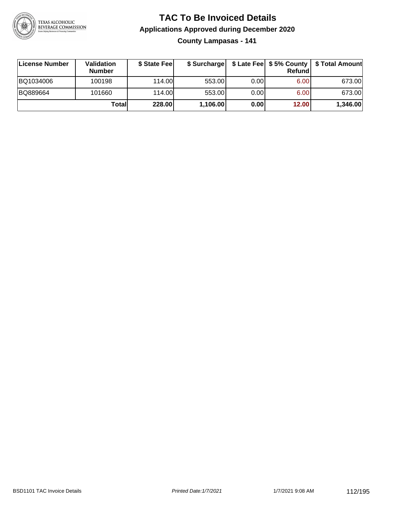

**County Lampasas - 141**

| ∣License Number | Validation<br><b>Number</b> | \$ State Fee | \$ Surcharge |       | <b>Refund</b>     | \$ Late Fee   \$5% County   \$ Total Amount |
|-----------------|-----------------------------|--------------|--------------|-------|-------------------|---------------------------------------------|
| BQ1034006       | 100198                      | 114.00       | 553.00       | 0.00  | 6.00              | 673.00                                      |
| BQ889664        | 101660                      | 114.00       | 553.00       | 0.001 | 6.00 <sub>1</sub> | 673.00                                      |
|                 | Totall                      | 228.00       | 1,106.00     | 0.00  | 12.00             | 1,346.00                                    |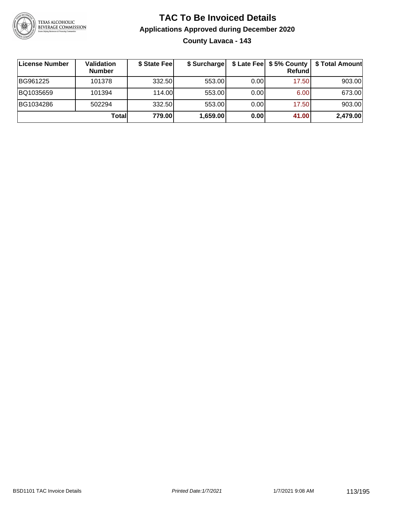

### **TAC To Be Invoiced Details Applications Approved during December 2020 County Lavaca - 143**

| License Number | Validation<br><b>Number</b> | \$ State Fee | \$ Surcharge |       | Refundl | \$ Late Fee   \$5% County   \$ Total Amount |
|----------------|-----------------------------|--------------|--------------|-------|---------|---------------------------------------------|
| BG961225       | 101378                      | 332.50       | 553.00       | 0.001 | 17.50   | 903.00                                      |
| BQ1035659      | 101394                      | 114.00       | 553.00       | 0.001 | 6.00    | 673.00                                      |
| BG1034286      | 502294                      | 332.50       | 553.00       | 0.001 | 17.50   | 903.00                                      |
|                | Totall                      | 779.00       | 1,659.00     | 0.00  | 41.00   | 2,479.00                                    |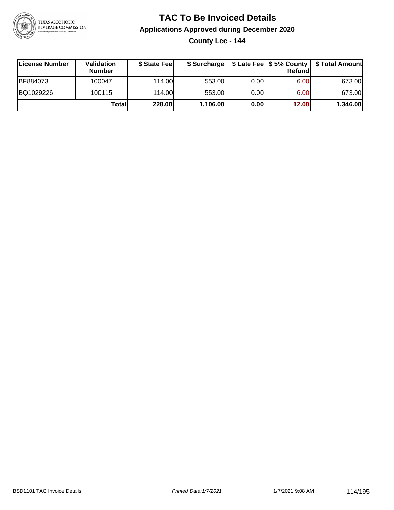

**County Lee - 144**

| License Number | <b>Validation</b><br><b>Number</b> | \$ State Feel |          |      | Refundl | \$ Surcharge   \$ Late Fee   \$5% County   \$ Total Amount |
|----------------|------------------------------------|---------------|----------|------|---------|------------------------------------------------------------|
| BF884073       | 100047                             | 114.00L       | 553.00   | 0.00 | 6.00    | 673.00                                                     |
| BQ1029226      | 100115                             | 114.00L       | 553.00   | 0.00 | 6.00    | 673.00                                                     |
|                | Totall                             | 228.00        | 1,106.00 | 0.00 | 12.00   | 1,346.00                                                   |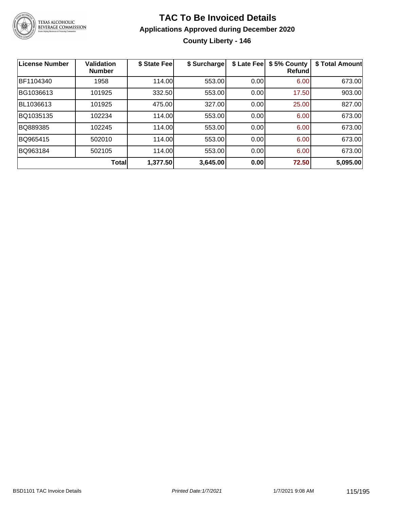

# TEXAS ALCOHOLIC<br>BEVERAGE COMMISSION

### **TAC To Be Invoiced Details Applications Approved during December 2020 County Liberty - 146**

| <b>License Number</b> | <b>Validation</b><br><b>Number</b> | \$ State Fee | \$ Surcharge | \$ Late Fee | \$5% County<br><b>Refund</b> | \$ Total Amount |
|-----------------------|------------------------------------|--------------|--------------|-------------|------------------------------|-----------------|
| BF1104340             | 1958                               | 114.00       | 553.00       | 0.00        | 6.00                         | 673.00          |
| BG1036613             | 101925                             | 332.50       | 553.00       | 0.00        | 17.50                        | 903.00          |
| BL1036613             | 101925                             | 475.00       | 327.00       | 0.00        | 25.00                        | 827.00          |
| BQ1035135             | 102234                             | 114.00       | 553.00       | 0.00        | 6.00                         | 673.00          |
| BQ889385              | 102245                             | 114.00       | 553.00       | 0.00        | 6.00                         | 673.00          |
| BQ965415              | 502010                             | 114.00       | 553.00       | 0.00        | 6.00                         | 673.00          |
| BQ963184              | 502105                             | 114.00       | 553.00       | 0.00        | 6.00                         | 673.00          |
|                       | Total                              | 1,377.50     | 3,645.00     | 0.00        | 72.50                        | 5,095.00        |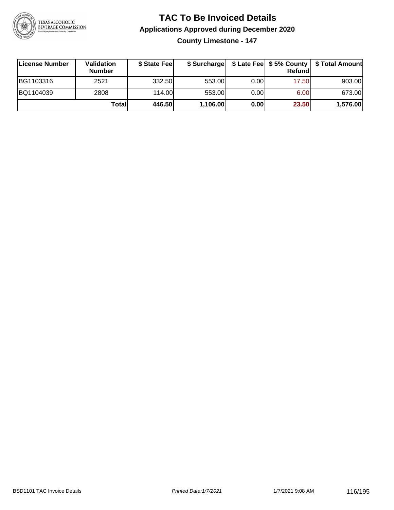

**County Limestone - 147**

| ∣License Number | <b>Validation</b><br><b>Number</b> | \$ State Fee | \$ Surcharge |       | <b>Refund</b> | \$ Late Fee   \$5% County   \$ Total Amount |
|-----------------|------------------------------------|--------------|--------------|-------|---------------|---------------------------------------------|
| BG1103316       | 2521                               | 332.50       | 553.00       | 0.001 | 17.50         | 903.00                                      |
| BQ1104039       | 2808                               | 114.00       | 553.00       | 0.001 | 6.00          | 673.00                                      |
|                 | Totall                             | 446.50       | 1,106.00     | 0.00  | 23.50         | 1,576.00                                    |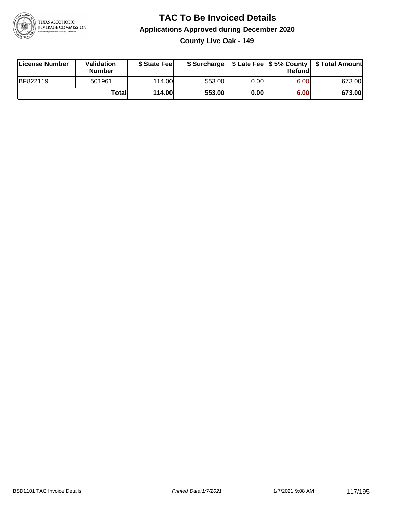

**County Live Oak - 149**

| License Number | <b>Validation</b><br>Number | \$ State Fee  | \$ Surcharge |       | Refundl | \$ Late Fee   \$5% County   \$ Total Amount |
|----------------|-----------------------------|---------------|--------------|-------|---------|---------------------------------------------|
| BF822119       | 501961                      | 114.00        | 553.00       | 0.001 | 6.00    | 673.00                                      |
|                | Totall                      | <b>114.00</b> | 553.00       | 0.00  | 6.00    | 673.00                                      |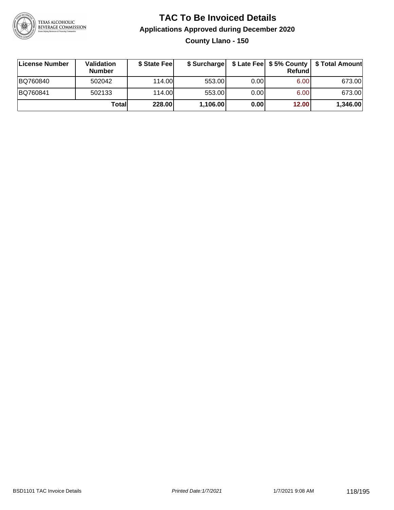

**County Llano - 150**

| License Number | <b>Validation</b><br><b>Number</b> | \$ State Fee | \$ Surcharge |       | Refundl | \$ Late Fee   \$5% County   \$ Total Amount |
|----------------|------------------------------------|--------------|--------------|-------|---------|---------------------------------------------|
| BQ760840       | 502042                             | 114.00       | 553.00       | 0.001 | 6.00    | 673.00                                      |
| BQ760841       | 502133                             | 114.00       | 553.00       | 0.001 | 6.00    | 673.00                                      |
|                | Totall                             | 228.00       | 1,106.00     | 0.00  | 12.00   | 1,346.00                                    |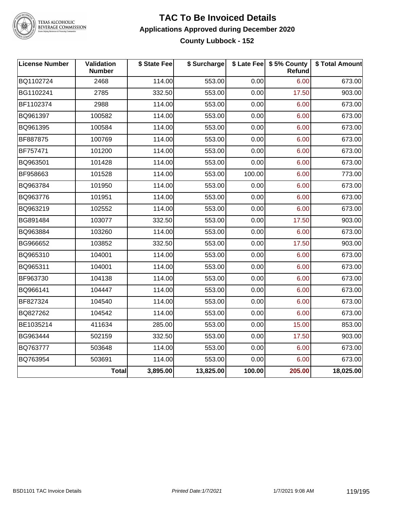

## TEXAS ALCOHOLIC<br>BEVERAGE COMMISSION

### **TAC To Be Invoiced Details Applications Approved during December 2020 County Lubbock - 152**

| <b>License Number</b> | Validation<br><b>Number</b> | \$ State Fee | \$ Surcharge |        | \$ Late Fee   \$5% County<br>Refund | \$ Total Amount |
|-----------------------|-----------------------------|--------------|--------------|--------|-------------------------------------|-----------------|
| BQ1102724             | 2468                        | 114.00       | 553.00       | 0.00   | 6.00                                | 673.00          |
| BG1102241             | 2785                        | 332.50       | 553.00       | 0.00   | 17.50                               | 903.00          |
| BF1102374             | 2988                        | 114.00       | 553.00       | 0.00   | 6.00                                | 673.00          |
| BQ961397              | 100582                      | 114.00       | 553.00       | 0.00   | 6.00                                | 673.00          |
| BQ961395              | 100584                      | 114.00       | 553.00       | 0.00   | 6.00                                | 673.00          |
| BF887875              | 100769                      | 114.00       | 553.00       | 0.00   | 6.00                                | 673.00          |
| BF757471              | 101200                      | 114.00       | 553.00       | 0.00   | 6.00                                | 673.00          |
| BQ963501              | 101428                      | 114.00       | 553.00       | 0.00   | 6.00                                | 673.00          |
| BF958663              | 101528                      | 114.00       | 553.00       | 100.00 | 6.00                                | 773.00          |
| BQ963784              | 101950                      | 114.00       | 553.00       | 0.00   | 6.00                                | 673.00          |
| BQ963776              | 101951                      | 114.00       | 553.00       | 0.00   | 6.00                                | 673.00          |
| BQ963219              | 102552                      | 114.00       | 553.00       | 0.00   | 6.00                                | 673.00          |
| BG891484              | 103077                      | 332.50       | 553.00       | 0.00   | 17.50                               | 903.00          |
| BQ963884              | 103260                      | 114.00       | 553.00       | 0.00   | 6.00                                | 673.00          |
| BG966652              | 103852                      | 332.50       | 553.00       | 0.00   | 17.50                               | 903.00          |
| BQ965310              | 104001                      | 114.00       | 553.00       | 0.00   | 6.00                                | 673.00          |
| BQ965311              | 104001                      | 114.00       | 553.00       | 0.00   | 6.00                                | 673.00          |
| BF963730              | 104138                      | 114.00       | 553.00       | 0.00   | 6.00                                | 673.00          |
| BQ966141              | 104447                      | 114.00       | 553.00       | 0.00   | 6.00                                | 673.00          |
| BF827324              | 104540                      | 114.00       | 553.00       | 0.00   | 6.00                                | 673.00          |
| BQ827262              | 104542                      | 114.00       | 553.00       | 0.00   | 6.00                                | 673.00          |
| BE1035214             | 411634                      | 285.00       | 553.00       | 0.00   | 15.00                               | 853.00          |
| BG963444              | 502159                      | 332.50       | 553.00       | 0.00   | 17.50                               | 903.00          |
| BQ763777              | 503648                      | 114.00       | 553.00       | 0.00   | 6.00                                | 673.00          |
| BQ763954              | 503691                      | 114.00       | 553.00       | 0.00   | 6.00                                | 673.00          |
|                       | Total                       | 3,895.00     | 13,825.00    | 100.00 | 205.00                              | 18,025.00       |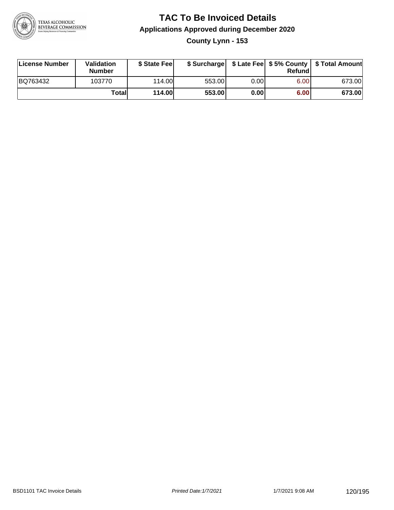

### **TAC To Be Invoiced Details Applications Approved during December 2020 County Lynn - 153**

| License Number | Validation<br><b>Number</b> | \$ State Fee  |        |      | Refund | \$ Surcharge   \$ Late Fee   \$5% County   \$ Total Amount |
|----------------|-----------------------------|---------------|--------|------|--------|------------------------------------------------------------|
| BQ763432       | 103770                      | 114.00L       | 553.00 | 0.00 | 6.00   | 673.00                                                     |
|                | Totall                      | <b>114.00</b> | 553.00 | 0.00 | 6.00   | 673.00                                                     |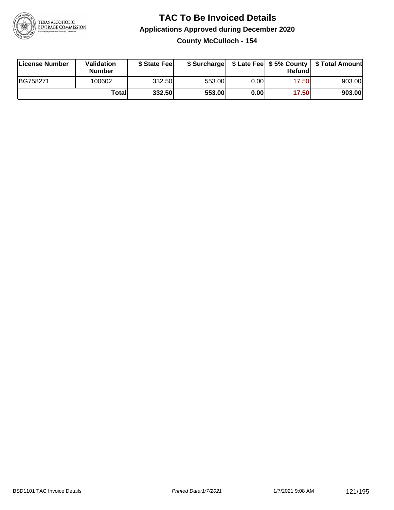

**County McCulloch - 154**

| License Number | <b>Validation</b><br><b>Number</b> | \$ State Feel | \$ Surcharge |       | Refundl | \$ Late Fee   \$5% County   \$ Total Amount |
|----------------|------------------------------------|---------------|--------------|-------|---------|---------------------------------------------|
| BG758271       | 100602                             | 332.50        | 553.00       | 0.00I | 17.50   | 903.00                                      |
|                | Totall                             | 332.50        | 553.00       | 0.00  | 17.50   | 903.00                                      |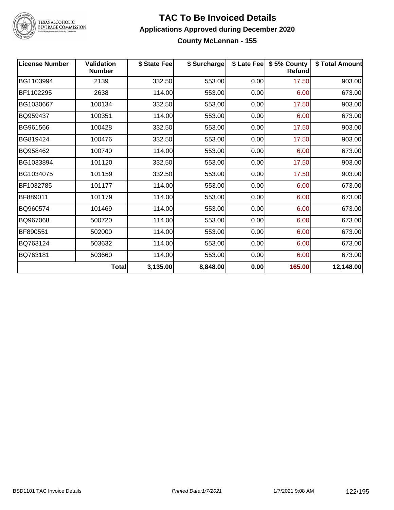

TEXAS ALCOHOLIC<br>BEVERAGE COMMISSION

### **TAC To Be Invoiced Details Applications Approved during December 2020 County McLennan - 155**

| <b>License Number</b> | <b>Validation</b><br><b>Number</b> | \$ State Fee | \$ Surcharge |      | \$ Late Fee   \$5% County<br>Refund | \$ Total Amount |
|-----------------------|------------------------------------|--------------|--------------|------|-------------------------------------|-----------------|
| BG1103994             | 2139                               | 332.50       | 553.00       | 0.00 | 17.50                               | 903.00          |
| BF1102295             | 2638                               | 114.00       | 553.00       | 0.00 | 6.00                                | 673.00          |
| BG1030667             | 100134                             | 332.50       | 553.00       | 0.00 | 17.50                               | 903.00          |
| BQ959437              | 100351                             | 114.00       | 553.00       | 0.00 | 6.00                                | 673.00          |
| BG961566              | 100428                             | 332.50       | 553.00       | 0.00 | 17.50                               | 903.00          |
| BG819424              | 100476                             | 332.50       | 553.00       | 0.00 | 17.50                               | 903.00          |
| BQ958462              | 100740                             | 114.00       | 553.00       | 0.00 | 6.00                                | 673.00          |
| BG1033894             | 101120                             | 332.50       | 553.00       | 0.00 | 17.50                               | 903.00          |
| BG1034075             | 101159                             | 332.50       | 553.00       | 0.00 | 17.50                               | 903.00          |
| BF1032785             | 101177                             | 114.00       | 553.00       | 0.00 | 6.00                                | 673.00          |
| BF889011              | 101179                             | 114.00       | 553.00       | 0.00 | 6.00                                | 673.00          |
| BQ960574              | 101469                             | 114.00       | 553.00       | 0.00 | 6.00                                | 673.00          |
| BQ967068              | 500720                             | 114.00       | 553.00       | 0.00 | 6.00                                | 673.00          |
| BF890551              | 502000                             | 114.00       | 553.00       | 0.00 | 6.00                                | 673.00          |
| BQ763124              | 503632                             | 114.00       | 553.00       | 0.00 | 6.00                                | 673.00          |
| BQ763181              | 503660                             | 114.00       | 553.00       | 0.00 | 6.00                                | 673.00          |
|                       | <b>Total</b>                       | 3,135.00     | 8,848.00     | 0.00 | 165.00                              | 12,148.00       |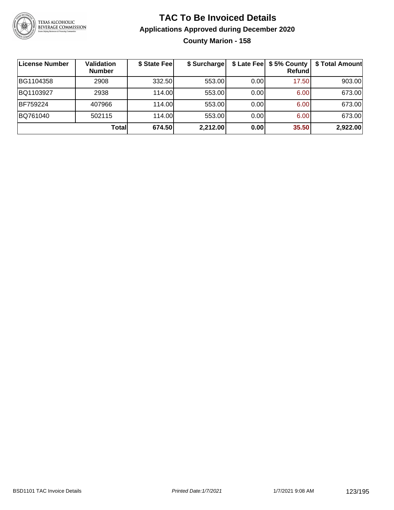

### **TAC To Be Invoiced Details Applications Approved during December 2020 County Marion - 158**

| <b>License Number</b> | Validation<br><b>Number</b> | \$ State Fee | \$ Surcharge |      | \$ Late Fee   \$5% County<br><b>Refund</b> | \$ Total Amount |
|-----------------------|-----------------------------|--------------|--------------|------|--------------------------------------------|-----------------|
| BG1104358             | 2908                        | 332.50       | 553.00       | 0.00 | 17.50                                      | 903.00          |
| BQ1103927             | 2938                        | 114.00L      | 553.00       | 0.00 | 6.00                                       | 673.00          |
| BF759224              | 407966                      | 114.00       | 553.00       | 0.00 | 6.00                                       | 673.00          |
| BQ761040              | 502115                      | 114.00       | 553.00       | 0.00 | 6.00                                       | 673.00          |
|                       | Total                       | 674.50       | 2,212.00     | 0.00 | 35.50                                      | 2,922.00        |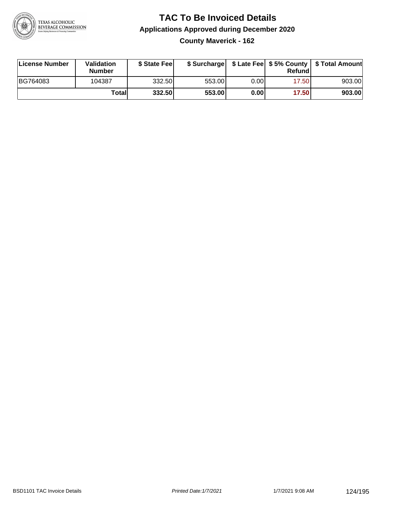

**County Maverick - 162**

| License Number | Validation<br><b>Number</b> | \$ State Feel | \$ Surcharge |      | Refundl | \$ Late Fee   \$5% County   \$ Total Amount |
|----------------|-----------------------------|---------------|--------------|------|---------|---------------------------------------------|
| BG764083       | 104387                      | 332.50        | 553.00       | 0.00 | 17.50   | 903.00                                      |
|                | Totall                      | 332.50        | 553.00       | 0.00 | 17.50   | 903.00                                      |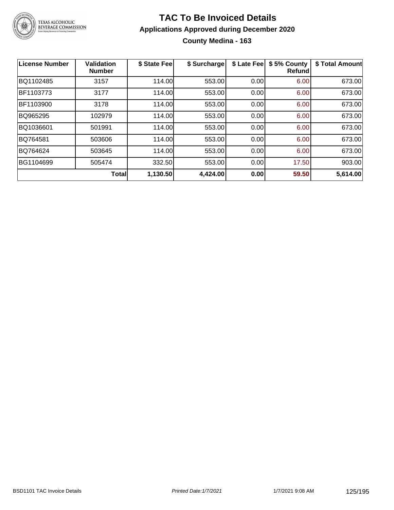

### **TAC To Be Invoiced Details Applications Approved during December 2020 County Medina - 163**

| <b>License Number</b> | Validation<br><b>Number</b> | \$ State Fee | \$ Surcharge | \$ Late Fee | \$5% County<br>Refund | \$ Total Amount |
|-----------------------|-----------------------------|--------------|--------------|-------------|-----------------------|-----------------|
| BQ1102485             | 3157                        | 114.00       | 553.00       | 0.00        | 6.00                  | 673.00          |
| BF1103773             | 3177                        | 114.00       | 553.00       | 0.00        | 6.00                  | 673.00          |
| BF1103900             | 3178                        | 114.00       | 553.00       | 0.00        | 6.00                  | 673.00          |
| BQ965295              | 102979                      | 114.00       | 553.00       | 0.00        | 6.00                  | 673.00          |
| BQ1036601             | 501991                      | 114.00       | 553.00       | 0.00        | 6.00                  | 673.00          |
| BQ764581              | 503606                      | 114.00       | 553.00       | 0.00        | 6.00                  | 673.00          |
| BQ764624              | 503645                      | 114.00       | 553.00       | 0.00        | 6.00                  | 673.00          |
| BG1104699             | 505474                      | 332.50       | 553.00       | 0.00        | 17.50                 | 903.00          |
|                       | <b>Total</b>                | 1,130.50     | 4,424.00     | 0.00        | 59.50                 | 5,614.00        |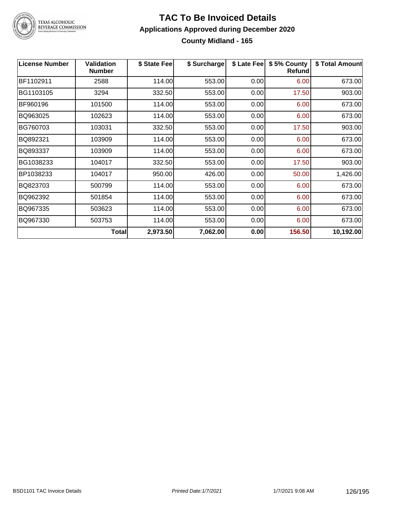

TEXAS ALCOHOLIC<br>BEVERAGE COMMISSION

### **TAC To Be Invoiced Details Applications Approved during December 2020 County Midland - 165**

| <b>License Number</b> | <b>Validation</b><br><b>Number</b> | \$ State Fee | \$ Surcharge | \$ Late Fee | \$5% County<br><b>Refund</b> | \$ Total Amount |
|-----------------------|------------------------------------|--------------|--------------|-------------|------------------------------|-----------------|
| BF1102911             | 2588                               | 114.00       | 553.00       | 0.00        | 6.00                         | 673.00          |
| BG1103105             | 3294                               | 332.50       | 553.00       | 0.00        | 17.50                        | 903.00          |
| BF960196              | 101500                             | 114.00       | 553.00       | 0.00        | 6.00                         | 673.00          |
| BQ963025              | 102623                             | 114.00       | 553.00       | 0.00        | 6.00                         | 673.00          |
| BG760703              | 103031                             | 332.50       | 553.00       | 0.00        | 17.50                        | 903.00          |
| BQ892321              | 103909                             | 114.00       | 553.00       | 0.00        | 6.00                         | 673.00          |
| BQ893337              | 103909                             | 114.00       | 553.00       | 0.00        | 6.00                         | 673.00          |
| BG1038233             | 104017                             | 332.50       | 553.00       | 0.00        | 17.50                        | 903.00          |
| BP1038233             | 104017                             | 950.00       | 426.00       | 0.00        | 50.00                        | 1,426.00        |
| BQ823703              | 500799                             | 114.00       | 553.00       | 0.00        | 6.00                         | 673.00          |
| BQ962392              | 501854                             | 114.00       | 553.00       | 0.00        | 6.00                         | 673.00          |
| BQ967335              | 503623                             | 114.00       | 553.00       | 0.00        | 6.00                         | 673.00          |
| BQ967330              | 503753                             | 114.00       | 553.00       | 0.00        | 6.00                         | 673.00          |
|                       | <b>Total</b>                       | 2,973.50     | 7,062.00     | 0.00        | 156.50                       | 10,192.00       |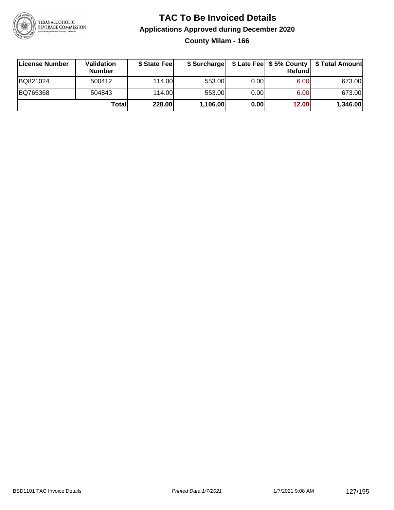

**County Milam - 166**

| ∣License Number | <b>Validation</b><br><b>Number</b> | \$ State Fee | \$ Surcharge |      | Refundl           | \$ Late Fee   \$5% County   \$ Total Amount |
|-----------------|------------------------------------|--------------|--------------|------|-------------------|---------------------------------------------|
| BQ821024        | 500412                             | 114.00       | 553.00       | 0.00 | 6.00 <sub>1</sub> | 673.00                                      |
| BQ765368        | 504843                             | 114.00       | 553.00       | 0.00 | 6.00 <sub>1</sub> | 673.00                                      |
|                 | Totall                             | 228.00       | 1,106.00     | 0.00 | 12.00             | 1,346.00                                    |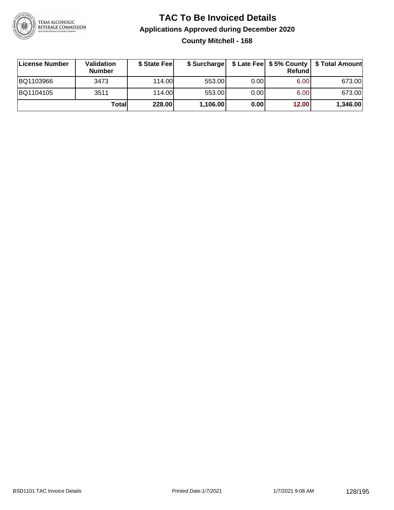

### **TAC To Be Invoiced Details Applications Approved during December 2020 County Mitchell - 168**

| License Number | <b>Validation</b><br><b>Number</b> | \$ State Fee |          |       | Refundl | \$ Surcharge   \$ Late Fee   \$5% County   \$ Total Amount |
|----------------|------------------------------------|--------------|----------|-------|---------|------------------------------------------------------------|
| BQ1103966      | 3473                               | 114.00       | 553.00   | 0.001 | 6.00    | 673.00                                                     |
| BQ1104105      | 3511                               | 114.00       | 553.00   | 0.00  | 6.00    | 673.00                                                     |
|                | Totall                             | 228.00       | 1,106.00 | 0.00  | 12.00   | 1,346.00                                                   |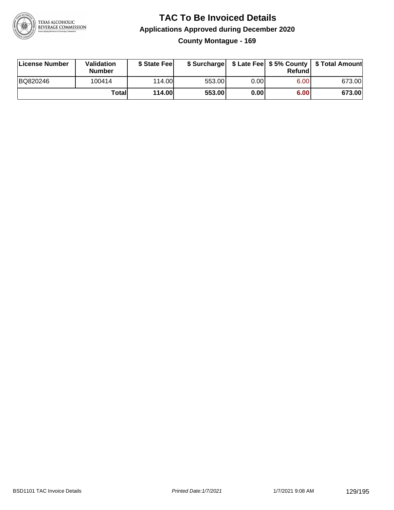

**County Montague - 169**

| License Number | Validation<br><b>Number</b> | \$ State Fee  | \$ Surcharge |      | Refundl | \$ Late Fee   \$5% County   \$ Total Amount |
|----------------|-----------------------------|---------------|--------------|------|---------|---------------------------------------------|
| BQ820246       | 100414                      | 114.00        | 553.00       | 0.00 | 6.00    | 673.00                                      |
|                | Totall                      | <b>114.00</b> | 553.00       | 0.00 | 6.00    | 673.00                                      |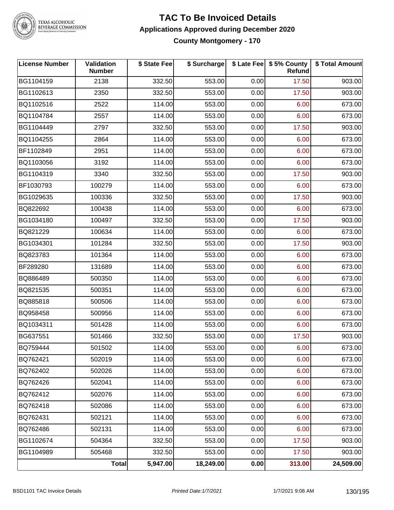

TEXAS ALCOHOLIC<br>BEVERAGE COMMISSION

### **TAC To Be Invoiced Details Applications Approved during December 2020 County Montgomery - 170**

| <b>License Number</b> | Validation<br><b>Number</b> | \$ State Fee | \$ Surcharge |      | \$ Late Fee   \$5% County<br>Refund | \$ Total Amount |
|-----------------------|-----------------------------|--------------|--------------|------|-------------------------------------|-----------------|
| BG1104159             | 2138                        | 332.50       | 553.00       | 0.00 | 17.50                               | 903.00          |
| BG1102613             | 2350                        | 332.50       | 553.00       | 0.00 | 17.50                               | 903.00          |
| BQ1102516             | 2522                        | 114.00       | 553.00       | 0.00 | 6.00                                | 673.00          |
| BQ1104784             | 2557                        | 114.00       | 553.00       | 0.00 | 6.00                                | 673.00          |
| BG1104449             | 2797                        | 332.50       | 553.00       | 0.00 | 17.50                               | 903.00          |
| BQ1104255             | 2864                        | 114.00       | 553.00       | 0.00 | 6.00                                | 673.00          |
| BF1102849             | 2951                        | 114.00       | 553.00       | 0.00 | 6.00                                | 673.00          |
| BQ1103056             | 3192                        | 114.00       | 553.00       | 0.00 | 6.00                                | 673.00          |
| BG1104319             | 3340                        | 332.50       | 553.00       | 0.00 | 17.50                               | 903.00          |
| BF1030793             | 100279                      | 114.00       | 553.00       | 0.00 | 6.00                                | 673.00          |
| BG1029635             | 100336                      | 332.50       | 553.00       | 0.00 | 17.50                               | 903.00          |
| BQ822692              | 100438                      | 114.00       | 553.00       | 0.00 | 6.00                                | 673.00          |
| BG1034180             | 100497                      | 332.50       | 553.00       | 0.00 | 17.50                               | 903.00          |
| BQ821229              | 100634                      | 114.00       | 553.00       | 0.00 | 6.00                                | 673.00          |
| BG1034301             | 101284                      | 332.50       | 553.00       | 0.00 | 17.50                               | 903.00          |
| BQ823783              | 101364                      | 114.00       | 553.00       | 0.00 | 6.00                                | 673.00          |
| BF289280              | 131689                      | 114.00       | 553.00       | 0.00 | 6.00                                | 673.00          |
| BQ886489              | 500350                      | 114.00       | 553.00       | 0.00 | 6.00                                | 673.00          |
| BQ821535              | 500351                      | 114.00       | 553.00       | 0.00 | 6.00                                | 673.00          |
| BQ885818              | 500506                      | 114.00       | 553.00       | 0.00 | 6.00                                | 673.00          |
| BQ958458              | 500956                      | 114.00       | 553.00       | 0.00 | 6.00                                | 673.00          |
| BQ1034311             | 501428                      | 114.00       | 553.00       | 0.00 | 6.00                                | 673.00          |
| BG637551              | 501466                      | 332.50       | 553.00       | 0.00 | 17.50                               | 903.00          |
| BQ759444              | 501502                      | 114.00       | 553.00       | 0.00 | 6.00                                | 673.00          |
| BQ762421              | 502019                      | 114.00       | 553.00       | 0.00 | 6.00                                | 673.00          |
| BQ762402              | 502026                      | 114.00       | 553.00       | 0.00 | 6.00                                | 673.00          |
| BQ762426              | 502041                      | 114.00       | 553.00       | 0.00 | 6.00                                | 673.00          |
| BQ762412              | 502076                      | 114.00       | 553.00       | 0.00 | 6.00                                | 673.00          |
| BQ762418              | 502086                      | 114.00       | 553.00       | 0.00 | 6.00                                | 673.00          |
| BQ762431              | 502121                      | 114.00       | 553.00       | 0.00 | 6.00                                | 673.00          |
| BQ762486              | 502131                      | 114.00       | 553.00       | 0.00 | 6.00                                | 673.00          |
| BG1102674             | 504364                      | 332.50       | 553.00       | 0.00 | 17.50                               | 903.00          |
| BG1104989             | 505468                      | 332.50       | 553.00       | 0.00 | 17.50                               | 903.00          |
|                       | <b>Total</b>                | 5,947.00     | 18,249.00    | 0.00 | 313.00                              | 24,509.00       |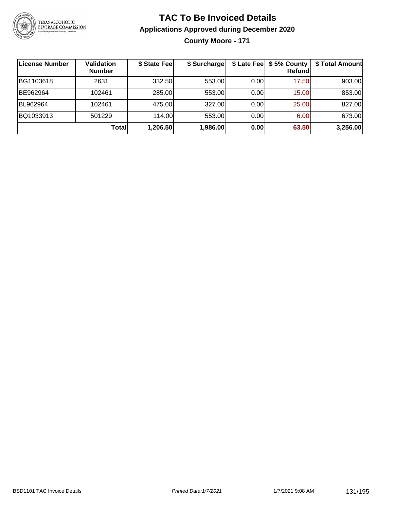

### **TAC To Be Invoiced Details Applications Approved during December 2020 County Moore - 171**

| ∣License Number | <b>Validation</b><br><b>Number</b> | \$ State Fee | \$ Surcharge |      | \$ Late Fee   \$5% County<br>Refundl | \$ Total Amount |
|-----------------|------------------------------------|--------------|--------------|------|--------------------------------------|-----------------|
| BG1103618       | 2631                               | 332.50       | 553.00       | 0.00 | 17.50                                | 903.00          |
| BE962964        | 102461                             | 285.00       | 553.00       | 0.00 | 15.00                                | 853.00          |
| BL962964        | 102461                             | 475.00       | 327.00       | 0.00 | 25.00                                | 827.00          |
| BQ1033913       | 501229                             | 114.00L      | 553.00       | 0.00 | 6.00                                 | 673.00          |
|                 | <b>Total</b>                       | 1,206.50     | 1,986.00     | 0.00 | 63.50                                | 3,256.00        |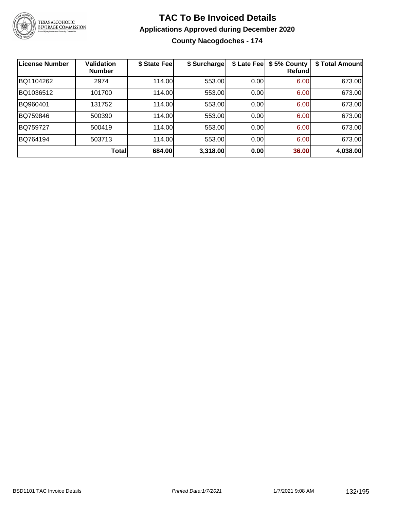

**County Nacogdoches - 174**

| License Number | <b>Validation</b><br><b>Number</b> | \$ State Feel | \$ Surcharge | \$ Late Fee | \$5% County<br>Refundl | \$ Total Amount |
|----------------|------------------------------------|---------------|--------------|-------------|------------------------|-----------------|
| BQ1104262      | 2974                               | 114.00        | 553.00       | 0.00        | 6.00                   | 673.00          |
| BQ1036512      | 101700                             | 114.00        | 553.00       | 0.00        | 6.00                   | 673.00          |
| BQ960401       | 131752                             | 114.00        | 553.00       | 0.00        | 6.00                   | 673.00          |
| BQ759846       | 500390                             | 114.00        | 553.00       | 0.00        | 6.00                   | 673.00          |
| BQ759727       | 500419                             | 114.00        | 553.00       | 0.00        | 6.00                   | 673.00          |
| BQ764194       | 503713                             | 114.00        | 553.00       | 0.00        | 6.00                   | 673.00          |
|                | <b>Total</b>                       | 684.00        | 3,318.00     | 0.00        | 36.00                  | 4,038.00        |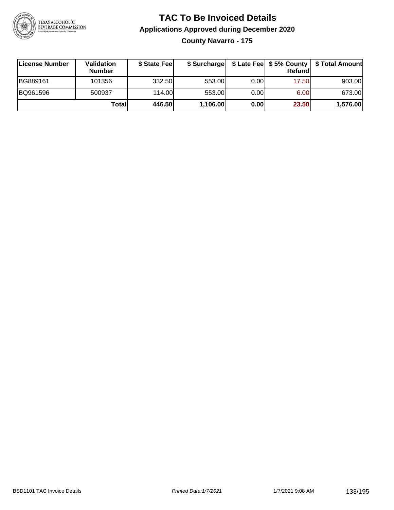

**County Navarro - 175**

| ∣License Number | Validation<br><b>Number</b> | \$ State Fee | \$ Surcharge |       | Refundl | \$ Late Fee   \$5% County   \$ Total Amount |
|-----------------|-----------------------------|--------------|--------------|-------|---------|---------------------------------------------|
| BG889161        | 101356                      | 332.50       | 553.00       | 0.00  | 17.50   | 903.00                                      |
| BQ961596        | 500937                      | 114.00L      | 553.00       | 0.001 | 6.00    | 673.00                                      |
|                 | Totall                      | 446.50       | 1,106.00     | 0.00  | 23.50   | 1,576.00                                    |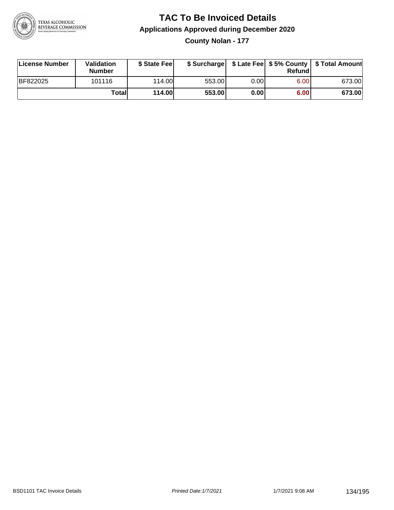

**County Nolan - 177**

| License Number | <b>Validation</b><br><b>Number</b> | \$ State Feel | \$ Surcharge |      | Refundl |        |
|----------------|------------------------------------|---------------|--------------|------|---------|--------|
| BF822025       | 101116                             | 114.00L       | 553.00       | 0.00 | 6.00    | 673.00 |
|                | Totall                             | 114.00        | 553.00       | 0.00 | 6.00    | 673.00 |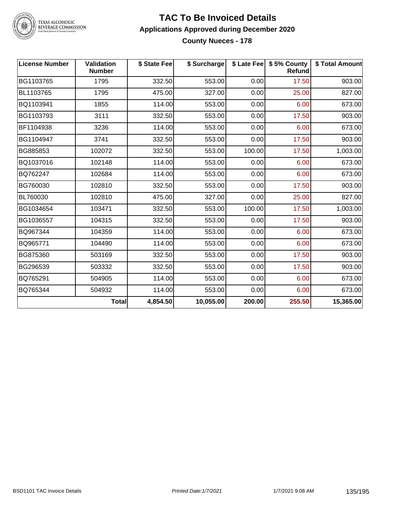

TEXAS ALCOHOLIC<br>BEVERAGE COMMISSION

### **TAC To Be Invoiced Details Applications Approved during December 2020 County Nueces - 178**

| <b>License Number</b> | <b>Validation</b><br><b>Number</b> | \$ State Fee | \$ Surcharge |        | \$ Late Fee   \$5% County<br><b>Refund</b> | \$ Total Amount |
|-----------------------|------------------------------------|--------------|--------------|--------|--------------------------------------------|-----------------|
| BG1103765             | 1795                               | 332.50       | 553.00       | 0.00   | 17.50                                      | 903.00          |
| BL1103765             | 1795                               | 475.00       | 327.00       | 0.00   | 25.00                                      | 827.00          |
| BQ1103941             | 1855                               | 114.00       | 553.00       | 0.00   | 6.00                                       | 673.00          |
| BG1103793             | 3111                               | 332.50       | 553.00       | 0.00   | 17.50                                      | 903.00          |
| BF1104938             | 3236                               | 114.00       | 553.00       | 0.00   | 6.00                                       | 673.00          |
| BG1104947             | 3741                               | 332.50       | 553.00       | 0.00   | 17.50                                      | 903.00          |
| BG885853              | 102072                             | 332.50       | 553.00       | 100.00 | 17.50                                      | 1,003.00        |
| BQ1037016             | 102148                             | 114.00       | 553.00       | 0.00   | 6.00                                       | 673.00          |
| BQ762247              | 102684                             | 114.00       | 553.00       | 0.00   | 6.00                                       | 673.00          |
| BG760030              | 102810                             | 332.50       | 553.00       | 0.00   | 17.50                                      | 903.00          |
| BL760030              | 102810                             | 475.00       | 327.00       | 0.00   | 25.00                                      | 827.00          |
| BG1034654             | 103471                             | 332.50       | 553.00       | 100.00 | 17.50                                      | 1,003.00        |
| BG1036557             | 104315                             | 332.50       | 553.00       | 0.00   | 17.50                                      | 903.00          |
| BQ967344              | 104359                             | 114.00       | 553.00       | 0.00   | 6.00                                       | 673.00          |
| BQ965771              | 104490                             | 114.00       | 553.00       | 0.00   | 6.00                                       | 673.00          |
| BG875360              | 503169                             | 332.50       | 553.00       | 0.00   | 17.50                                      | 903.00          |
| BG296539              | 503332                             | 332.50       | 553.00       | 0.00   | 17.50                                      | 903.00          |
| BQ765291              | 504905                             | 114.00       | 553.00       | 0.00   | 6.00                                       | 673.00          |
| BQ765344              | 504932                             | 114.00       | 553.00       | 0.00   | 6.00                                       | 673.00          |
|                       | Total                              | 4,854.50     | 10,055.00    | 200.00 | 255.50                                     | 15,365.00       |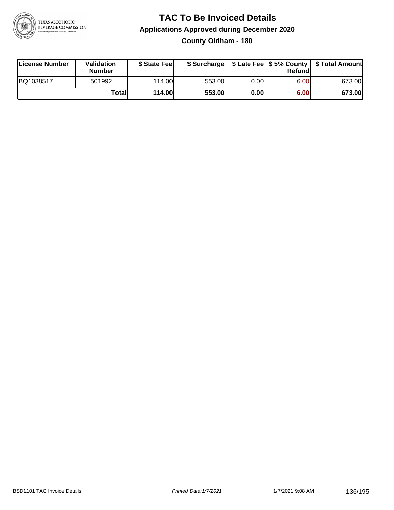

### **TAC To Be Invoiced Details Applications Approved during December 2020 County Oldham - 180**

| License Number | Validation<br><b>Number</b> | \$ State Fee  |        |      | Refund | \$ Surcharge   \$ Late Fee   \$5% County   \$ Total Amount |
|----------------|-----------------------------|---------------|--------|------|--------|------------------------------------------------------------|
| BQ1038517      | 501992                      | 114.00        | 553.00 | 0.00 | 6.00   | 673.00                                                     |
|                | Totall                      | <b>114.00</b> | 553.00 | 0.00 | 6.00   | 673.00                                                     |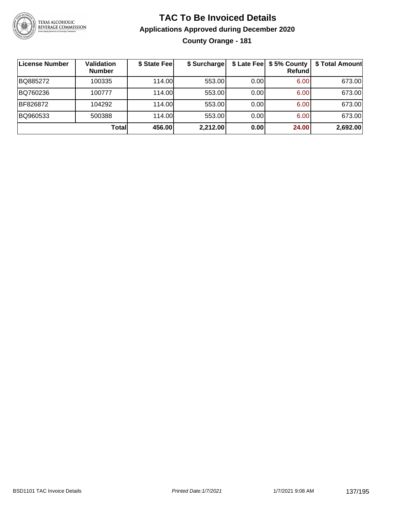

### **TAC To Be Invoiced Details Applications Approved during December 2020 County Orange - 181**

| <b>License Number</b> | <b>Validation</b><br><b>Number</b> | \$ State Fee | \$ Surcharge |      | \$ Late Fee   \$5% County<br><b>Refund</b> | \$ Total Amount |
|-----------------------|------------------------------------|--------------|--------------|------|--------------------------------------------|-----------------|
| BQ885272              | 100335                             | 114.00L      | 553.00       | 0.00 | 6.00                                       | 673.00          |
| BQ760236              | 100777                             | 114.00L      | 553.00       | 0.00 | 6.00                                       | 673.00          |
| BF826872              | 104292                             | 114.00       | 553.00       | 0.00 | 6.00                                       | 673.00          |
| BQ960533              | 500388                             | 114.00L      | 553.00       | 0.00 | 6.00                                       | 673.00          |
|                       | Totall                             | 456.00       | 2,212.00     | 0.00 | 24.00                                      | 2,692.00        |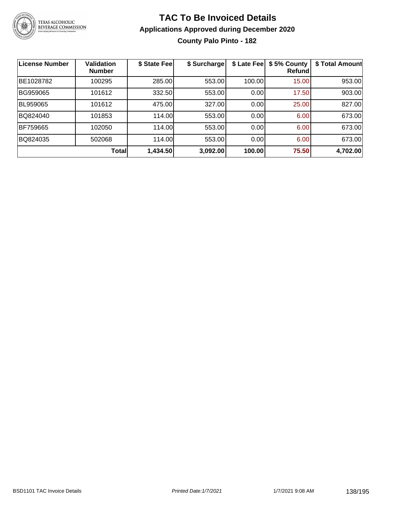

### **TAC To Be Invoiced Details Applications Approved during December 2020 County Palo Pinto - 182**

| License Number | <b>Validation</b><br><b>Number</b> | \$ State Fee | \$ Surcharge | \$ Late Fee | \$5% County<br>Refundl | \$ Total Amount |
|----------------|------------------------------------|--------------|--------------|-------------|------------------------|-----------------|
| BE1028782      | 100295                             | 285.00       | 553.00       | 100.00      | 15.00                  | 953.00          |
| BG959065       | 101612                             | 332.50       | 553.00       | 0.00        | 17.50                  | 903.00          |
| BL959065       | 101612                             | 475.00       | 327.00       | 0.00        | 25.00                  | 827.00          |
| BQ824040       | 101853                             | 114.00       | 553.00       | 0.00        | 6.00                   | 673.00          |
| BF759665       | 102050                             | 114.00       | 553.00       | 0.00        | 6.00                   | 673.00          |
| BQ824035       | 502068                             | 114.00       | 553.00       | 0.00        | 6.00                   | 673.00          |
|                | Total                              | 1,434.50     | 3,092.00     | 100.00      | 75.50                  | 4,702.00        |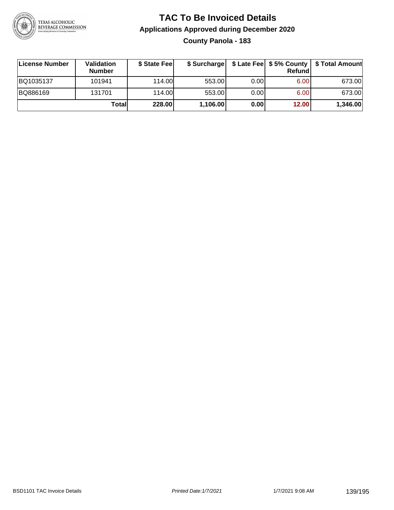

### **TAC To Be Invoiced Details Applications Approved during December 2020 County Panola - 183**

| License Number | Validation<br><b>Number</b> | \$ State Feel | \$ Surcharge |      | Refundl | \$ Late Fee   \$5% County   \$ Total Amount |
|----------------|-----------------------------|---------------|--------------|------|---------|---------------------------------------------|
| BQ1035137      | 101941                      | 114.00L       | 553.00       | 0.00 | 6.00    | 673.00                                      |
| BQ886169       | 131701                      | 114.00L       | 553.00       | 0.00 | 6.00    | 673.00                                      |
|                | Total                       | 228.00        | 1,106.00     | 0.00 | 12.00   | 1,346.00                                    |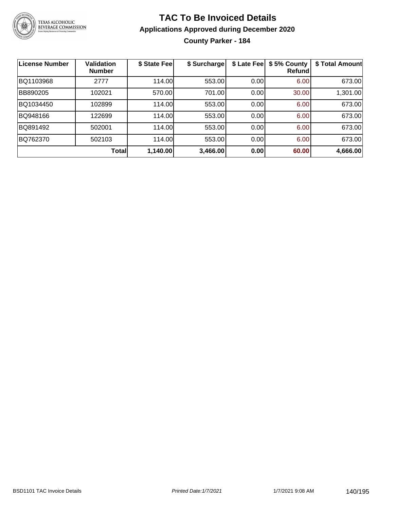

### **TAC To Be Invoiced Details Applications Approved during December 2020 County Parker - 184**

| <b>License Number</b> | Validation<br><b>Number</b> | \$ State Fee | \$ Surcharge | \$ Late Fee | \$5% County<br>Refundl | \$ Total Amount |
|-----------------------|-----------------------------|--------------|--------------|-------------|------------------------|-----------------|
| BQ1103968             | 2777                        | 114.00       | 553.00       | 0.00        | 6.00                   | 673.00          |
| BB890205              | 102021                      | 570.00       | 701.00       | 0.00        | 30.00                  | 1,301.00        |
| BQ1034450             | 102899                      | 114.00       | 553.00       | 0.00        | 6.00                   | 673.00          |
| BQ948166              | 122699                      | 114.00       | 553.00       | 0.00        | 6.00                   | 673.00          |
| BQ891492              | 502001                      | 114.00       | 553.00       | 0.00        | 6.00                   | 673.00          |
| BQ762370              | 502103                      | 114.00       | 553.00       | 0.00        | 6.00                   | 673.00          |
|                       | <b>Total</b>                | 1,140.00     | 3,466.00     | 0.00        | 60.00                  | 4,666.00        |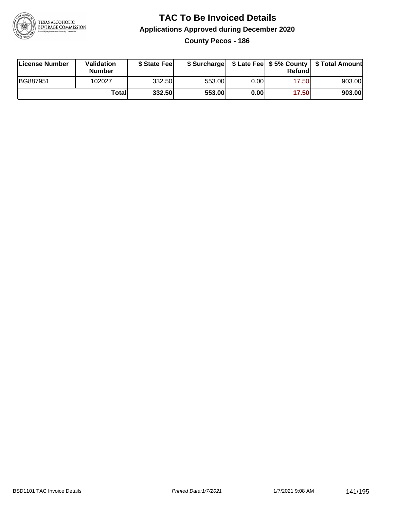

**County Pecos - 186**

| License Number | Validation<br><b>Number</b> | \$ State Feel |        |       | Refundl | \$ Surcharge   \$ Late Fee   \$5% County   \$ Total Amount |
|----------------|-----------------------------|---------------|--------|-------|---------|------------------------------------------------------------|
| BG887951       | 102027                      | 332.50        | 553.00 | 0.001 | 17.50   | 903.00                                                     |
|                | Totall                      | 332.50        | 553.00 | 0.00  | 17.50   | 903.00                                                     |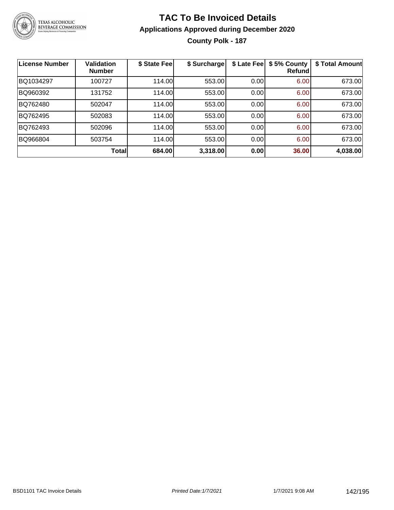

### **TAC To Be Invoiced Details Applications Approved during December 2020 County Polk - 187**

| <b>License Number</b> | <b>Validation</b><br><b>Number</b> | \$ State Fee | \$ Surcharge | \$ Late Fee | \$5% County<br>Refundl | \$ Total Amount |
|-----------------------|------------------------------------|--------------|--------------|-------------|------------------------|-----------------|
| BQ1034297             | 100727                             | 114.00       | 553.00       | 0.00        | 6.00                   | 673.00          |
| BQ960392              | 131752                             | 114.00       | 553.00       | 0.00        | 6.00                   | 673.00          |
| BQ762480              | 502047                             | 114.00       | 553.00       | 0.00        | 6.00                   | 673.00          |
| BQ762495              | 502083                             | 114.00       | 553.00       | 0.00        | 6.00                   | 673.00          |
| BQ762493              | 502096                             | 114.00       | 553.00       | 0.00        | 6.00                   | 673.00          |
| BQ966804              | 503754                             | 114.00       | 553.00       | 0.00        | 6.00                   | 673.00          |
|                       | <b>Total</b>                       | 684.00       | 3,318.00     | 0.00        | 36.00                  | 4,038.00        |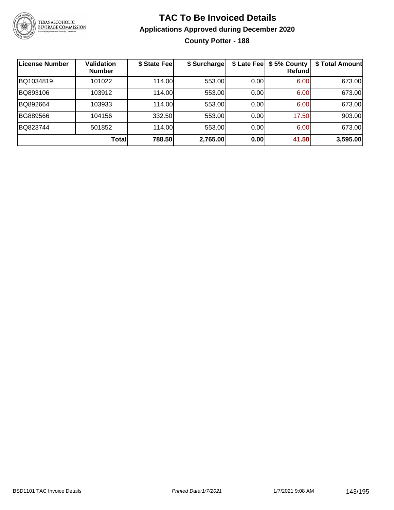

### **TAC To Be Invoiced Details Applications Approved during December 2020 County Potter - 188**

| License Number | <b>Validation</b><br><b>Number</b> | \$ State Fee | \$ Surcharge | \$ Late Fee | \$5% County<br>Refundl | \$ Total Amount |
|----------------|------------------------------------|--------------|--------------|-------------|------------------------|-----------------|
| BQ1034819      | 101022                             | 114.00       | 553.00       | 0.00        | 6.00                   | 673.00          |
| BQ893106       | 103912                             | 114.00       | 553.00       | 0.00        | 6.00                   | 673.00          |
| BQ892664       | 103933                             | 114.00       | 553.00       | 0.00        | 6.00                   | 673.00          |
| BG889566       | 104156                             | 332.50       | 553.00       | 0.00        | 17.50                  | 903.00          |
| BQ823744       | 501852                             | 114.00       | 553.00       | 0.00        | 6.00                   | 673.00          |
|                | <b>Total</b>                       | 788.50       | 2,765.00     | 0.00        | 41.50                  | 3,595.00        |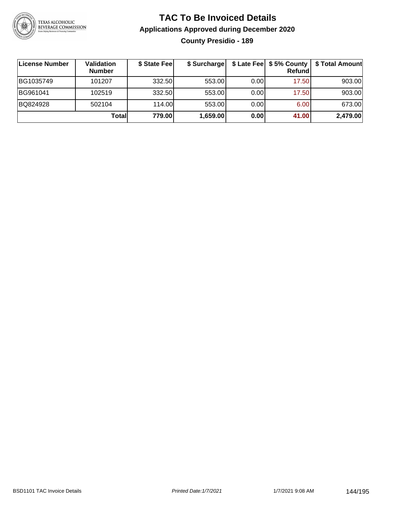

### **TAC To Be Invoiced Details Applications Approved during December 2020 County Presidio - 189**

| ∣License Number | <b>Validation</b><br><b>Number</b> | \$ State Fee | \$ Surcharge |      | \$ Late Fee   \$5% County<br>Refundl | \$ Total Amount |
|-----------------|------------------------------------|--------------|--------------|------|--------------------------------------|-----------------|
| BG1035749       | 101207                             | 332.50       | 553.00       | 0.00 | 17.50                                | 903.00          |
| BG961041        | 102519                             | 332.50       | 553.00       | 0.00 | 17.50                                | 903.00          |
| BQ824928        | 502104                             | 114.00       | 553.00       | 0.00 | 6.00                                 | 673.00          |
|                 | Totall                             | 779.00       | 1,659.00     | 0.00 | 41.00                                | 2,479.00        |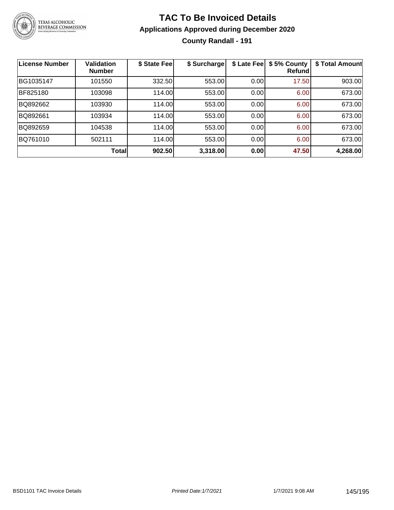

### **TAC To Be Invoiced Details Applications Approved during December 2020 County Randall - 191**

| <b>License Number</b> | <b>Validation</b><br><b>Number</b> | \$ State Fee | \$ Surcharge | \$ Late Fee | \$5% County<br>Refundl | \$ Total Amount |
|-----------------------|------------------------------------|--------------|--------------|-------------|------------------------|-----------------|
| BG1035147             | 101550                             | 332.50       | 553.00       | 0.00        | 17.50                  | 903.00          |
| BF825180              | 103098                             | 114.00       | 553.00       | 0.00        | 6.00                   | 673.00          |
| BQ892662              | 103930                             | 114.00       | 553.00       | 0.00        | 6.00                   | 673.00          |
| BQ892661              | 103934                             | 114.00       | 553.00       | 0.00        | 6.00                   | 673.00          |
| BQ892659              | 104538                             | 114.00       | 553.00       | 0.00        | 6.00                   | 673.00          |
| BQ761010              | 502111                             | 114.00       | 553.00       | 0.00        | 6.00                   | 673.00          |
|                       | <b>Total</b>                       | 902.50       | 3,318.00     | 0.00        | 47.50                  | 4,268.00        |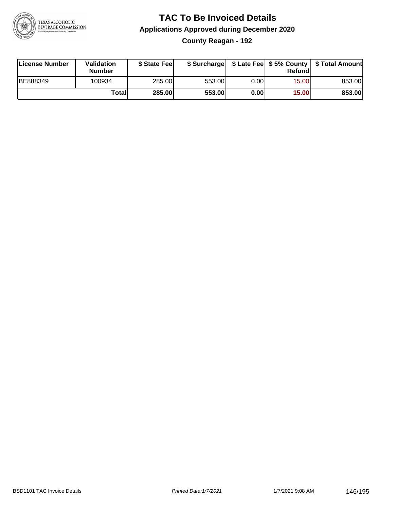

#### **TAC To Be Invoiced Details Applications Approved during December 2020 County Reagan - 192**

| License Number | Validation<br><b>Number</b> | \$ State Fee  |        |       | Refund | \$ Surcharge   \$ Late Fee   \$5% County   \$ Total Amount |
|----------------|-----------------------------|---------------|--------|-------|--------|------------------------------------------------------------|
| BE888349       | 100934                      | 285.00        | 553.00 | 0.001 | 15.00  | 853.00                                                     |
|                | Totall                      | <b>285.00</b> | 553.00 | 0.00  | 15.00  | 853.00                                                     |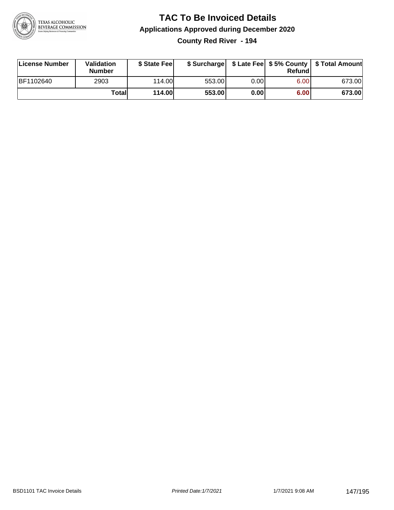

**County Red River - 194**

| License Number | Validation<br><b>Number</b> | \$ State Fee  | \$ Surcharge |      | Refundl | \$ Late Fee   \$5% County   \$ Total Amount |
|----------------|-----------------------------|---------------|--------------|------|---------|---------------------------------------------|
| BF1102640      | 2903                        | 114.00        | 553.00       | 0.00 | 6.00    | 673.00                                      |
|                | Totall                      | <b>114.00</b> | 553.00       | 0.00 | 6.00    | 673.00                                      |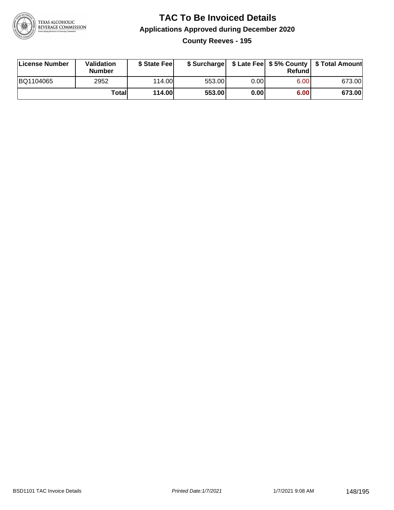

**County Reeves - 195**

| License Number | <b>Validation</b><br>Number | \$ State Feel | \$ Surcharge |       | Refundl | \$ Late Fee   \$5% County   \$ Total Amount |
|----------------|-----------------------------|---------------|--------------|-------|---------|---------------------------------------------|
| BQ1104065      | 2952                        | 114.00        | 553.00       | 0.001 | 6.00    | 673.00                                      |
|                | Totall                      | 114.00        | 553.00       | 0.00  | 6.00    | 673.00                                      |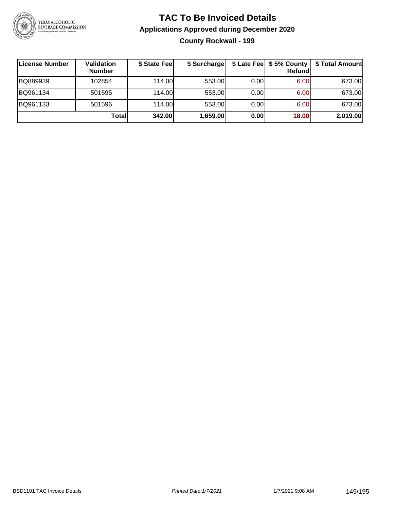

### **TAC To Be Invoiced Details Applications Approved during December 2020 County Rockwall - 199**

| License Number | Validation<br><b>Number</b> | \$ State Fee | \$ Surcharge |      | \$ Late Fee   \$5% County<br>Refundl | \$ Total Amount |
|----------------|-----------------------------|--------------|--------------|------|--------------------------------------|-----------------|
| BQ889939       | 102854                      | 114.00       | 553.00       | 0.00 | 6.00                                 | 673.00          |
| BQ961134       | 501595                      | 114.00       | 553.00       | 0.00 | 6.00                                 | 673.00          |
| BQ961133       | 501596                      | 114.00       | 553.00       | 0.00 | 6.00                                 | 673.00          |
|                | Totall                      | 342.00       | 1,659.00     | 0.00 | 18.00                                | 2,019.00        |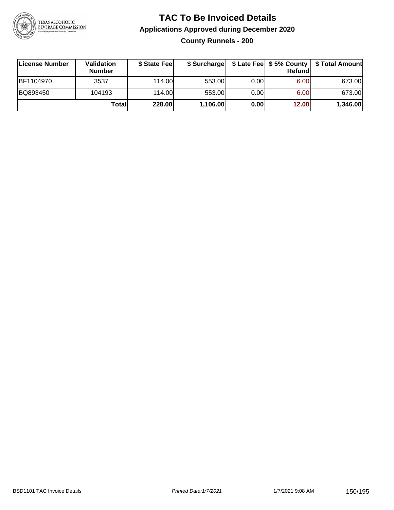

**County Runnels - 200**

| License Number | Validation<br><b>Number</b> | \$ State Fee | \$ Surcharge |       | Refundl           | \$ Late Fee   \$5% County   \$ Total Amount |
|----------------|-----------------------------|--------------|--------------|-------|-------------------|---------------------------------------------|
| BF1104970      | 3537                        | 114.00       | 553.00       | 0.00  | 6.00 <sub>1</sub> | 673.00                                      |
| BQ893450       | 104193                      | 114.00       | 553.00       | 0.001 | 6.00 <sub>1</sub> | 673.00                                      |
|                | Totall                      | 228.00       | 1,106.00     | 0.00  | 12.00             | 1,346.00                                    |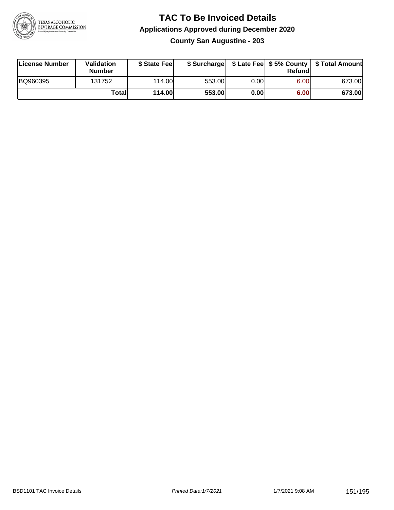

**County San Augustine - 203**

| License Number | <b>Validation</b><br><b>Number</b> | \$ State Fee  | \$ Surcharge |       | Refundl |        |
|----------------|------------------------------------|---------------|--------------|-------|---------|--------|
| BQ960395       | 131752                             | 114.00L       | 553.00       | 0.001 | 6.00    | 673.00 |
|                | Totall                             | <b>114.00</b> | 553.00       | 0.00  | 6.00    | 673.00 |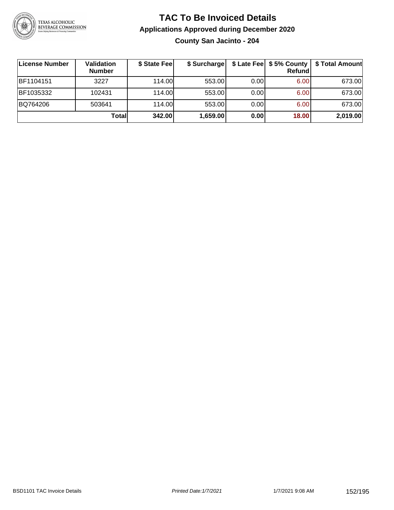

**County San Jacinto - 204**

| ∣License Number | Validation<br><b>Number</b> | \$ State Feel | \$ Surcharge |      | <b>Refund</b>     | \$ Late Fee   \$5% County   \$ Total Amount |
|-----------------|-----------------------------|---------------|--------------|------|-------------------|---------------------------------------------|
| BF1104151       | 3227                        | 114.00        | 553.00       | 0.00 | 6.00              | 673.00                                      |
| BF1035332       | 102431                      | 114.00        | 553.00       | 0.00 | 6.00              | 673.00                                      |
| BQ764206        | 503641                      | 114.00        | 553.00       | 0.00 | 6.00 <sub>1</sub> | 673.00                                      |
|                 | Totall                      | 342.00        | 1,659.00     | 0.00 | 18.00             | 2,019.00                                    |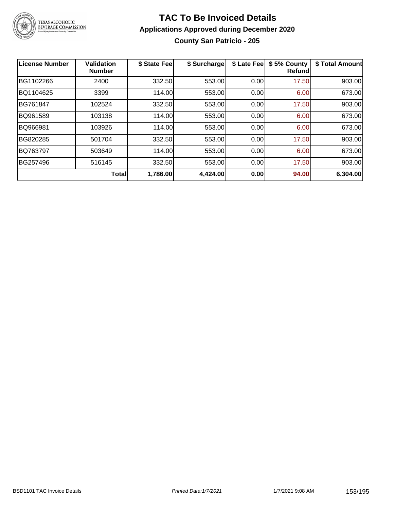

#### **TAC To Be Invoiced Details Applications Approved during December 2020 County San Patricio - 205**

| <b>License Number</b> | <b>Validation</b><br><b>Number</b> | \$ State Fee | \$ Surcharge | \$ Late Fee | \$5% County<br><b>Refund</b> | \$ Total Amount |
|-----------------------|------------------------------------|--------------|--------------|-------------|------------------------------|-----------------|
| BG1102266             | 2400                               | 332.50       | 553.00       | 0.00        | 17.50                        | 903.00          |
| BQ1104625             | 3399                               | 114.00       | 553.00       | 0.00        | 6.00                         | 673.00          |
| BG761847              | 102524                             | 332.50       | 553.00       | 0.00        | 17.50                        | 903.00          |
| BQ961589              | 103138                             | 114.00       | 553.00       | 0.00        | 6.00                         | 673.00          |
| BQ966981              | 103926                             | 114.00       | 553.00       | 0.00        | 6.00                         | 673.00          |
| BG820285              | 501704                             | 332.50       | 553.00       | 0.00        | 17.50                        | 903.00          |
| BQ763797              | 503649                             | 114.00       | 553.00       | 0.00        | 6.00                         | 673.00          |
| BG257496              | 516145                             | 332.50       | 553.00       | 0.00        | 17.50                        | 903.00          |
|                       | <b>Total</b>                       | 1,786.00     | 4,424.00     | 0.00        | 94.00                        | 6,304.00        |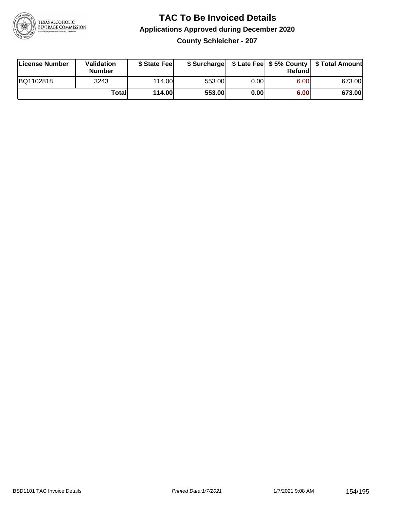

**County Schleicher - 207**

| License Number | <b>Validation</b><br>Number | \$ State Feel | \$ Surcharge |       | Refundl | \$ Late Fee   \$5% County   \$ Total Amount |
|----------------|-----------------------------|---------------|--------------|-------|---------|---------------------------------------------|
| BQ1102818      | 3243                        | 114.00        | 553.00       | 0.001 | 6.00    | 673.00                                      |
|                | Totall                      | <b>114.00</b> | 553.00       | 0.00  | 6.00    | 673.00                                      |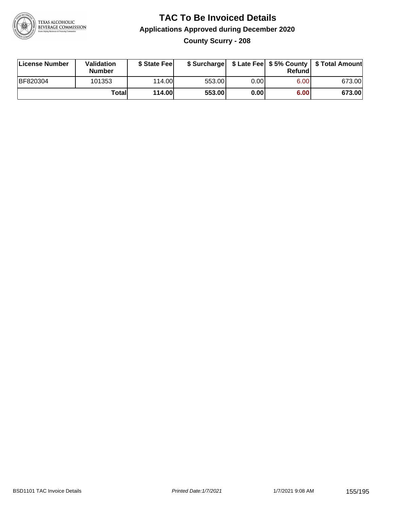

### **TAC To Be Invoiced Details Applications Approved during December 2020 County Scurry - 208**

| License Number  | Validation<br><b>Number</b> | \$ State Feel |        |      | Refund | \$ Surcharge   \$ Late Fee   \$5% County   \$ Total Amount |
|-----------------|-----------------------------|---------------|--------|------|--------|------------------------------------------------------------|
| <b>BF820304</b> | 101353                      | 114.00        | 553.00 | 0.00 | 6.00   | 673.00                                                     |
|                 | Totall                      | <b>114.00</b> | 553.00 | 0.00 | 6.00   | 673.00                                                     |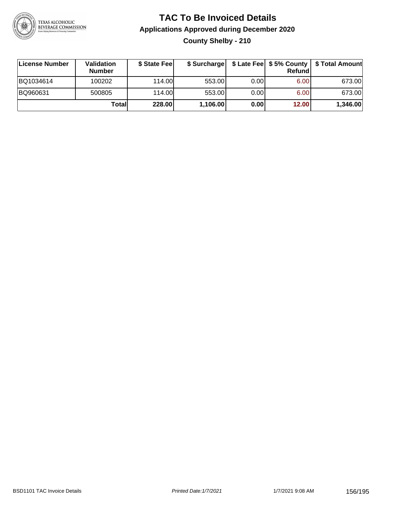

### **TAC To Be Invoiced Details Applications Approved during December 2020 County Shelby - 210**

| License Number | <b>Validation</b><br><b>Number</b> | \$ State Feel |          |       | Refundl | \$ Surcharge   \$ Late Fee   \$5% County   \$ Total Amount |
|----------------|------------------------------------|---------------|----------|-------|---------|------------------------------------------------------------|
| BQ1034614      | 100202                             | 114.00        | 553.00   | 0.001 | 6.00    | 673.00                                                     |
| BQ960631       | 500805                             | 114.00        | 553.00   | 0.001 | 6.00    | 673.00                                                     |
|                | Totall                             | 228.00        | 1,106.00 | 0.00  | 12.00   | 1,346.00                                                   |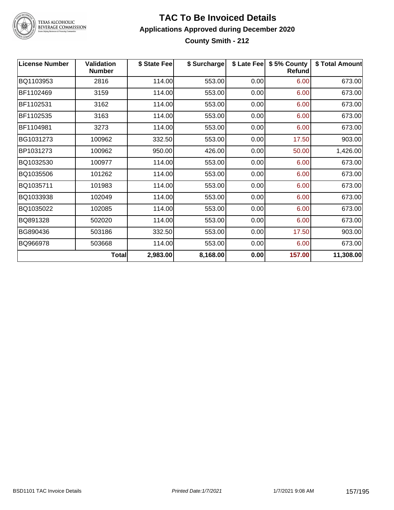

### TEXAS ALCOHOLIC<br>BEVERAGE COMMISSION

#### **TAC To Be Invoiced Details Applications Approved during December 2020 County Smith - 212**

| <b>License Number</b> | <b>Validation</b><br><b>Number</b> | \$ State Fee | \$ Surcharge | \$ Late Fee | \$5% County<br>Refund | \$ Total Amount |
|-----------------------|------------------------------------|--------------|--------------|-------------|-----------------------|-----------------|
| BQ1103953             | 2816                               | 114.00       | 553.00       | 0.00        | 6.00                  | 673.00          |
| BF1102469             | 3159                               | 114.00       | 553.00       | 0.00        | 6.00                  | 673.00          |
| BF1102531             | 3162                               | 114.00       | 553.00       | 0.00        | 6.00                  | 673.00          |
| BF1102535             | 3163                               | 114.00       | 553.00       | 0.00        | 6.00                  | 673.00          |
| BF1104981             | 3273                               | 114.00       | 553.00       | 0.00        | 6.00                  | 673.00          |
| BG1031273             | 100962                             | 332.50       | 553.00       | 0.00        | 17.50                 | 903.00          |
| BP1031273             | 100962                             | 950.00       | 426.00       | 0.00        | 50.00                 | 1,426.00        |
| BQ1032530             | 100977                             | 114.00       | 553.00       | 0.00        | 6.00                  | 673.00          |
| BQ1035506             | 101262                             | 114.00       | 553.00       | 0.00        | 6.00                  | 673.00          |
| BQ1035711             | 101983                             | 114.00       | 553.00       | 0.00        | 6.00                  | 673.00          |
| BQ1033938             | 102049                             | 114.00       | 553.00       | 0.00        | 6.00                  | 673.00          |
| BQ1035022             | 102085                             | 114.00       | 553.00       | 0.00        | 6.00                  | 673.00          |
| BQ891328              | 502020                             | 114.00       | 553.00       | 0.00        | 6.00                  | 673.00          |
| BG890436              | 503186                             | 332.50       | 553.00       | 0.00        | 17.50                 | 903.00          |
| BQ966978              | 503668                             | 114.00       | 553.00       | 0.00        | 6.00                  | 673.00          |
|                       | Total                              | 2,983.00     | 8,168.00     | 0.00        | 157.00                | 11,308.00       |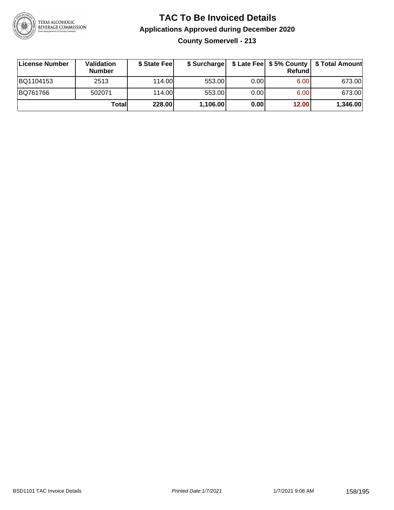

**County Somervell - 213**

| ∣License Number | Validation<br><b>Number</b> | \$ State Fee | \$ Surcharge |       | <b>Refund</b>     | \$ Late Fee   \$5% County   \$ Total Amount |
|-----------------|-----------------------------|--------------|--------------|-------|-------------------|---------------------------------------------|
| BQ1104153       | 2513                        | 114.00       | 553.00       | 0.00  | 6.00              | 673.00                                      |
| BQ761766        | 502071                      | 114.00L      | 553.00       | 0.001 | 6.00 <sub>1</sub> | 673.00                                      |
|                 | Totall                      | 228.00       | 1,106.00     | 0.00  | 12.00             | 1,346.00                                    |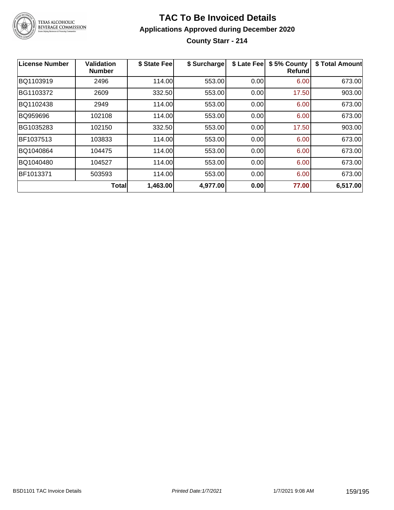

### **TAC To Be Invoiced Details Applications Approved during December 2020 County Starr - 214**

| <b>License Number</b> | Validation<br><b>Number</b> | \$ State Fee | \$ Surcharge | \$ Late Fee | \$5% County<br><b>Refund</b> | \$ Total Amount |
|-----------------------|-----------------------------|--------------|--------------|-------------|------------------------------|-----------------|
| BQ1103919             | 2496                        | 114.00       | 553.00       | 0.00        | 6.00                         | 673.00          |
| BG1103372             | 2609                        | 332.50       | 553.00       | 0.00        | 17.50                        | 903.00          |
| BQ1102438             | 2949                        | 114.00       | 553.00       | 0.00        | 6.00                         | 673.00          |
| BQ959696              | 102108                      | 114.00       | 553.00       | 0.00        | 6.00                         | 673.00          |
| BG1035283             | 102150                      | 332.50       | 553.00       | 0.00        | 17.50                        | 903.00          |
| BF1037513             | 103833                      | 114.00       | 553.00       | 0.00        | 6.00                         | 673.00          |
| BQ1040864             | 104475                      | 114.00       | 553.00       | 0.00        | 6.00                         | 673.00          |
| BQ1040480             | 104527                      | 114.00       | 553.00       | 0.00        | 6.00                         | 673.00          |
| BF1013371             | 503593                      | 114.00       | 553.00       | 0.00        | 6.00                         | 673.00          |
|                       | <b>Total</b>                | 1,463.00     | 4,977.00     | 0.00        | 77.00                        | 6,517.00        |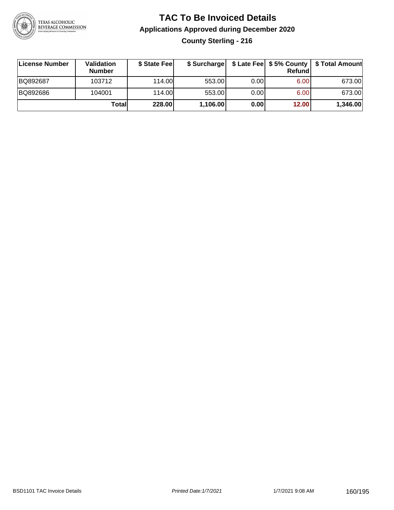

### **TAC To Be Invoiced Details Applications Approved during December 2020 County Sterling - 216**

| License Number | <b>Validation</b><br><b>Number</b> | \$ State Feel |          |       | <b>Refund</b> | \$ Surcharge   \$ Late Fee   \$5% County   \$ Total Amount |
|----------------|------------------------------------|---------------|----------|-------|---------------|------------------------------------------------------------|
| BQ892687       | 103712                             | 114.00L       | 553.00   | 0.001 | 6.00          | 673.00                                                     |
| BQ892686       | 104001                             | 114.00L       | 553.00   | 0.001 | 6.00          | 673.00                                                     |
|                | Totall                             | 228.00        | 1,106.00 | 0.00  | 12.00         | 1,346.00                                                   |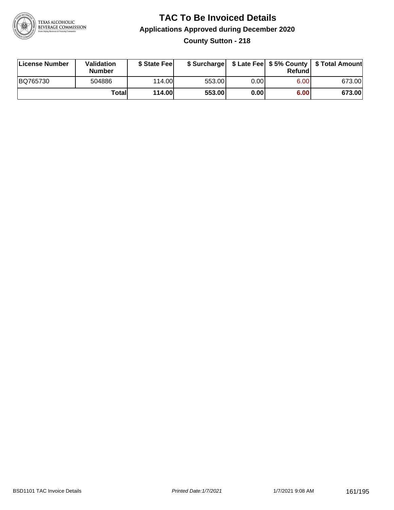

#### **TAC To Be Invoiced Details Applications Approved during December 2020 County Sutton - 218**

| <b>License Number</b> | <b>Validation</b><br><b>Number</b> | \$ State Fee  |        |       | Refundl | \$ Surcharge   \$ Late Fee   \$5% County   \$ Total Amount |
|-----------------------|------------------------------------|---------------|--------|-------|---------|------------------------------------------------------------|
| BQ765730              | 504886                             | 114.00L       | 553.00 | 0.001 | 6.00    | 673.00                                                     |
|                       | Total                              | <b>114.00</b> | 553.00 | 0.00  | 6.00    | 673.00                                                     |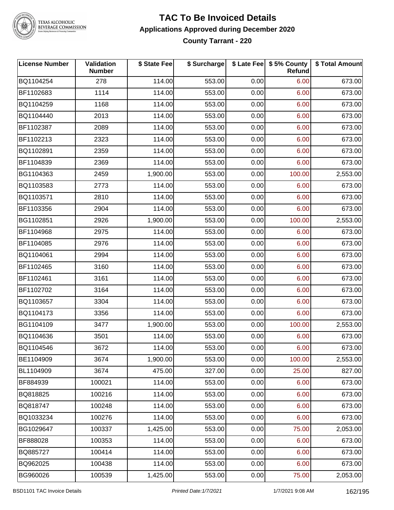

TEXAS ALCOHOLIC<br>BEVERAGE COMMISSION

#### **TAC To Be Invoiced Details Applications Approved during December 2020 County Tarrant - 220**

| <b>License Number</b> | Validation<br><b>Number</b> | \$ State Fee | \$ Surcharge |      | \$ Late Fee   \$5% County<br>Refund | \$ Total Amount |
|-----------------------|-----------------------------|--------------|--------------|------|-------------------------------------|-----------------|
| BQ1104254             | 278                         | 114.00       | 553.00       | 0.00 | 6.00                                | 673.00          |
| BF1102683             | 1114                        | 114.00       | 553.00       | 0.00 | 6.00                                | 673.00          |
| BQ1104259             | 1168                        | 114.00       | 553.00       | 0.00 | 6.00                                | 673.00          |
| BQ1104440             | 2013                        | 114.00       | 553.00       | 0.00 | 6.00                                | 673.00          |
| BF1102387             | 2089                        | 114.00       | 553.00       | 0.00 | 6.00                                | 673.00          |
| BF1102213             | 2323                        | 114.00       | 553.00       | 0.00 | 6.00                                | 673.00          |
| BQ1102891             | 2359                        | 114.00       | 553.00       | 0.00 | 6.00                                | 673.00          |
| BF1104839             | 2369                        | 114.00       | 553.00       | 0.00 | 6.00                                | 673.00          |
| BG1104363             | 2459                        | 1,900.00     | 553.00       | 0.00 | 100.00                              | 2,553.00        |
| BQ1103583             | 2773                        | 114.00       | 553.00       | 0.00 | 6.00                                | 673.00          |
| BQ1103571             | 2810                        | 114.00       | 553.00       | 0.00 | 6.00                                | 673.00          |
| BF1103356             | 2904                        | 114.00       | 553.00       | 0.00 | 6.00                                | 673.00          |
| BG1102851             | 2926                        | 1,900.00     | 553.00       | 0.00 | 100.00                              | 2,553.00        |
| BF1104968             | 2975                        | 114.00       | 553.00       | 0.00 | 6.00                                | 673.00          |
| BF1104085             | 2976                        | 114.00       | 553.00       | 0.00 | 6.00                                | 673.00          |
| BQ1104061             | 2994                        | 114.00       | 553.00       | 0.00 | 6.00                                | 673.00          |
| BF1102465             | 3160                        | 114.00       | 553.00       | 0.00 | 6.00                                | 673.00          |
| BF1102461             | 3161                        | 114.00       | 553.00       | 0.00 | 6.00                                | 673.00          |
| BF1102702             | 3164                        | 114.00       | 553.00       | 0.00 | 6.00                                | 673.00          |
| BQ1103657             | 3304                        | 114.00       | 553.00       | 0.00 | 6.00                                | 673.00          |
| BQ1104173             | 3356                        | 114.00       | 553.00       | 0.00 | 6.00                                | 673.00          |
| BG1104109             | 3477                        | 1,900.00     | 553.00       | 0.00 | 100.00                              | 2,553.00        |
| BQ1104636             | 3501                        | 114.00       | 553.00       | 0.00 | 6.00                                | 673.00          |
| BQ1104546             | 3672                        | 114.00       | 553.00       | 0.00 | 6.00                                | 673.00          |
| BE1104909             | 3674                        | 1,900.00     | 553.00       | 0.00 | 100.00                              | 2,553.00        |
| BL1104909             | 3674                        | 475.00       | 327.00       | 0.00 | 25.00                               | 827.00          |
| BF884939              | 100021                      | 114.00       | 553.00       | 0.00 | 6.00                                | 673.00          |
| BQ818825              | 100216                      | 114.00       | 553.00       | 0.00 | 6.00                                | 673.00          |
| BQ818747              | 100248                      | 114.00       | 553.00       | 0.00 | 6.00                                | 673.00          |
| BQ1033234             | 100276                      | 114.00       | 553.00       | 0.00 | 6.00                                | 673.00          |
| BG1029647             | 100337                      | 1,425.00     | 553.00       | 0.00 | 75.00                               | 2,053.00        |
| BF888028              | 100353                      | 114.00       | 553.00       | 0.00 | 6.00                                | 673.00          |
| BQ885727              | 100414                      | 114.00       | 553.00       | 0.00 | 6.00                                | 673.00          |
| BQ962025              | 100438                      | 114.00       | 553.00       | 0.00 | 6.00                                | 673.00          |
| BG960026              | 100539                      | 1,425.00     | 553.00       | 0.00 | 75.00                               | 2,053.00        |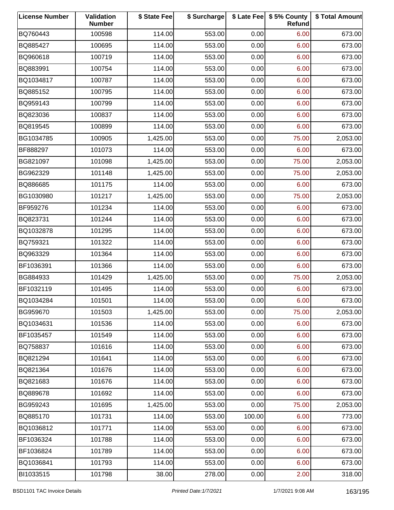| <b>License Number</b> | Validation<br><b>Number</b> | \$ State Fee | \$ Surcharge |        | \$ Late Fee   \$5% County<br>Refund | \$ Total Amount |
|-----------------------|-----------------------------|--------------|--------------|--------|-------------------------------------|-----------------|
| BQ760443              | 100598                      | 114.00       | 553.00       | 0.00   | 6.00                                | 673.00          |
| BQ885427              | 100695                      | 114.00       | 553.00       | 0.00   | 6.00                                | 673.00          |
| BQ960618              | 100719                      | 114.00       | 553.00       | 0.00   | 6.00                                | 673.00          |
| BQ883991              | 100754                      | 114.00       | 553.00       | 0.00   | 6.00                                | 673.00          |
| BQ1034817             | 100787                      | 114.00       | 553.00       | 0.00   | 6.00                                | 673.00          |
| BQ885152              | 100795                      | 114.00       | 553.00       | 0.00   | 6.00                                | 673.00          |
| BQ959143              | 100799                      | 114.00       | 553.00       | 0.00   | 6.00                                | 673.00          |
| BQ823036              | 100837                      | 114.00       | 553.00       | 0.00   | 6.00                                | 673.00          |
| BQ819545              | 100899                      | 114.00       | 553.00       | 0.00   | 6.00                                | 673.00          |
| BG1034785             | 100905                      | 1,425.00     | 553.00       | 0.00   | 75.00                               | 2,053.00        |
| BF888297              | 101073                      | 114.00       | 553.00       | 0.00   | 6.00                                | 673.00          |
| BG821097              | 101098                      | 1,425.00     | 553.00       | 0.00   | 75.00                               | 2,053.00        |
| BG962329              | 101148                      | 1,425.00     | 553.00       | 0.00   | 75.00                               | 2,053.00        |
| BQ886685              | 101175                      | 114.00       | 553.00       | 0.00   | 6.00                                | 673.00          |
| BG1030980             | 101217                      | 1,425.00     | 553.00       | 0.00   | 75.00                               | 2,053.00        |
| BF959276              | 101234                      | 114.00       | 553.00       | 0.00   | 6.00                                | 673.00          |
| BQ823731              | 101244                      | 114.00       | 553.00       | 0.00   | 6.00                                | 673.00          |
| BQ1032878             | 101295                      | 114.00       | 553.00       | 0.00   | 6.00                                | 673.00          |
| BQ759321              | 101322                      | 114.00       | 553.00       | 0.00   | 6.00                                | 673.00          |
| BQ963329              | 101364                      | 114.00       | 553.00       | 0.00   | 6.00                                | 673.00          |
| BF1036391             | 101366                      | 114.00       | 553.00       | 0.00   | 6.00                                | 673.00          |
| BG884933              | 101429                      | 1,425.00     | 553.00       | 0.00   | 75.00                               | 2,053.00        |
| BF1032119             | 101495                      | 114.00       | 553.00       | 0.00   | 6.00                                | 673.00          |
| BQ1034284             | 101501                      | 114.00       | 553.00       | 0.00   | 6.00                                | 673.00          |
| BG959670              | 101503                      | 1,425.00     | 553.00       | 0.00   | 75.00                               | 2,053.00        |
| BQ1034631             | 101536                      | 114.00       | 553.00       | 0.00   | 6.00                                | 673.00          |
| BF1035457             | 101549                      | 114.00       | 553.00       | 0.00   | 6.00                                | 673.00          |
| BQ758837              | 101616                      | 114.00       | 553.00       | 0.00   | 6.00                                | 673.00          |
| BQ821294              | 101641                      | 114.00       | 553.00       | 0.00   | 6.00                                | 673.00          |
| BQ821364              | 101676                      | 114.00       | 553.00       | 0.00   | 6.00                                | 673.00          |
| BQ821683              | 101676                      | 114.00       | 553.00       | 0.00   | 6.00                                | 673.00          |
| BQ889678              | 101692                      | 114.00       | 553.00       | 0.00   | 6.00                                | 673.00          |
| BG959243              | 101695                      | 1,425.00     | 553.00       | 0.00   | 75.00                               | 2,053.00        |
| BQ885170              | 101731                      | 114.00       | 553.00       | 100.00 | 6.00                                | 773.00          |
| BQ1036812             | 101771                      | 114.00       | 553.00       | 0.00   | 6.00                                | 673.00          |
| BF1036324             | 101788                      | 114.00       | 553.00       | 0.00   | 6.00                                | 673.00          |
| BF1036824             | 101789                      | 114.00       | 553.00       | 0.00   | 6.00                                | 673.00          |
| BQ1036841             | 101793                      | 114.00       | 553.00       | 0.00   | 6.00                                | 673.00          |
| BI1033515             | 101798                      | 38.00        | 278.00       | 0.00   | 2.00                                | 318.00          |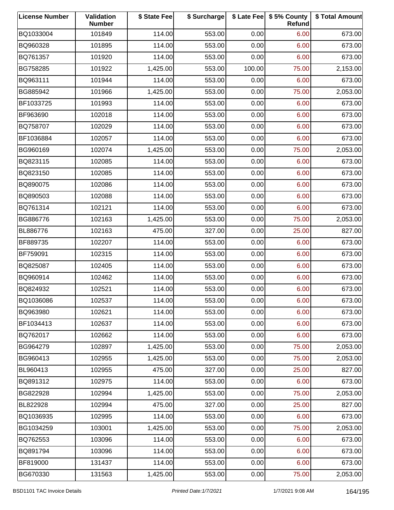| <b>License Number</b> | Validation<br><b>Number</b> | \$ State Fee | \$ Surcharge |        | \$ Late Fee   \$5% County<br>Refund | \$ Total Amount |
|-----------------------|-----------------------------|--------------|--------------|--------|-------------------------------------|-----------------|
| BQ1033004             | 101849                      | 114.00       | 553.00       | 0.00   | 6.00                                | 673.00          |
| BQ960328              | 101895                      | 114.00       | 553.00       | 0.00   | 6.00                                | 673.00          |
| BQ761357              | 101920                      | 114.00       | 553.00       | 0.00   | 6.00                                | 673.00          |
| BG758285              | 101922                      | 1,425.00     | 553.00       | 100.00 | 75.00                               | 2,153.00        |
| BQ963111              | 101944                      | 114.00       | 553.00       | 0.00   | 6.00                                | 673.00          |
| BG885942              | 101966                      | 1,425.00     | 553.00       | 0.00   | 75.00                               | 2,053.00        |
| BF1033725             | 101993                      | 114.00       | 553.00       | 0.00   | 6.00                                | 673.00          |
| BF963690              | 102018                      | 114.00       | 553.00       | 0.00   | 6.00                                | 673.00          |
| BQ758707              | 102029                      | 114.00       | 553.00       | 0.00   | 6.00                                | 673.00          |
| BF1036884             | 102057                      | 114.00       | 553.00       | 0.00   | 6.00                                | 673.00          |
| BG960169              | 102074                      | 1,425.00     | 553.00       | 0.00   | 75.00                               | 2,053.00        |
| BQ823115              | 102085                      | 114.00       | 553.00       | 0.00   | 6.00                                | 673.00          |
| BQ823150              | 102085                      | 114.00       | 553.00       | 0.00   | 6.00                                | 673.00          |
| BQ890075              | 102086                      | 114.00       | 553.00       | 0.00   | 6.00                                | 673.00          |
| BQ890503              | 102088                      | 114.00       | 553.00       | 0.00   | 6.00                                | 673.00          |
| BQ761314              | 102121                      | 114.00       | 553.00       | 0.00   | 6.00                                | 673.00          |
| BG886776              | 102163                      | 1,425.00     | 553.00       | 0.00   | 75.00                               | 2,053.00        |
| BL886776              | 102163                      | 475.00       | 327.00       | 0.00   | 25.00                               | 827.00          |
| BF889735              | 102207                      | 114.00       | 553.00       | 0.00   | 6.00                                | 673.00          |
| BF759091              | 102315                      | 114.00       | 553.00       | 0.00   | 6.00                                | 673.00          |
| BQ825087              | 102405                      | 114.00       | 553.00       | 0.00   | 6.00                                | 673.00          |
| BQ960914              | 102462                      | 114.00       | 553.00       | 0.00   | 6.00                                | 673.00          |
| BQ824932              | 102521                      | 114.00       | 553.00       | 0.00   | 6.00                                | 673.00          |
| BQ1036086             | 102537                      | 114.00       | 553.00       | 0.00   | 6.00                                | 673.00          |
| BQ963980              | 102621                      | 114.00       | 553.00       | 0.00   | 6.00                                | 673.00          |
| BF1034413             | 102637                      | 114.00       | 553.00       | 0.00   | 6.00                                | 673.00          |
| BQ762017              | 102662                      | 114.00       | 553.00       | 0.00   | 6.00                                | 673.00          |
| BG964279              | 102897                      | 1,425.00     | 553.00       | 0.00   | 75.00                               | 2,053.00        |
| BG960413              | 102955                      | 1,425.00     | 553.00       | 0.00   | 75.00                               | 2,053.00        |
| BL960413              | 102955                      | 475.00       | 327.00       | 0.00   | 25.00                               | 827.00          |
| BQ891312              | 102975                      | 114.00       | 553.00       | 0.00   | 6.00                                | 673.00          |
| BG822928              | 102994                      | 1,425.00     | 553.00       | 0.00   | 75.00                               | 2,053.00        |
| BL822928              | 102994                      | 475.00       | 327.00       | 0.00   | 25.00                               | 827.00          |
| BQ1036935             | 102995                      | 114.00       | 553.00       | 0.00   | 6.00                                | 673.00          |
| BG1034259             | 103001                      | 1,425.00     | 553.00       | 0.00   | 75.00                               | 2,053.00        |
| BQ762553              | 103096                      | 114.00       | 553.00       | 0.00   | 6.00                                | 673.00          |
| BQ891794              | 103096                      | 114.00       | 553.00       | 0.00   | 6.00                                | 673.00          |
| BF819000              | 131437                      | 114.00       | 553.00       | 0.00   | 6.00                                | 673.00          |
| BG670330              | 131563                      | 1,425.00     | 553.00       | 0.00   | 75.00                               | 2,053.00        |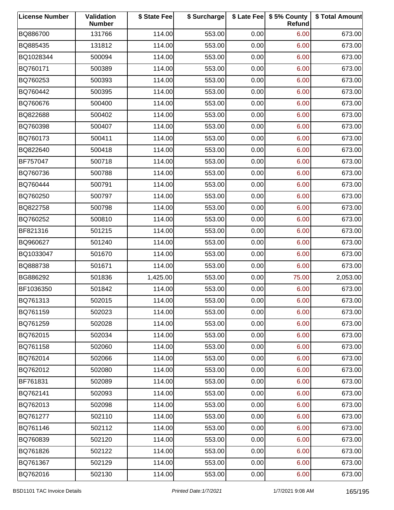| <b>License Number</b> | Validation<br><b>Number</b> | \$ State Fee | \$ Surcharge |      | \$ Late Fee   \$5% County<br>Refund | \$ Total Amount |
|-----------------------|-----------------------------|--------------|--------------|------|-------------------------------------|-----------------|
| BQ886700              | 131766                      | 114.00       | 553.00       | 0.00 | 6.00                                | 673.00          |
| BQ885435              | 131812                      | 114.00       | 553.00       | 0.00 | 6.00                                | 673.00          |
| BQ1028344             | 500094                      | 114.00       | 553.00       | 0.00 | 6.00                                | 673.00          |
| BQ760171              | 500389                      | 114.00       | 553.00       | 0.00 | 6.00                                | 673.00          |
| BQ760253              | 500393                      | 114.00       | 553.00       | 0.00 | 6.00                                | 673.00          |
| BQ760442              | 500395                      | 114.00       | 553.00       | 0.00 | 6.00                                | 673.00          |
| BQ760676              | 500400                      | 114.00       | 553.00       | 0.00 | 6.00                                | 673.00          |
| BQ822688              | 500402                      | 114.00       | 553.00       | 0.00 | 6.00                                | 673.00          |
| BQ760398              | 500407                      | 114.00       | 553.00       | 0.00 | 6.00                                | 673.00          |
| BQ760173              | 500411                      | 114.00       | 553.00       | 0.00 | 6.00                                | 673.00          |
| BQ822640              | 500418                      | 114.00       | 553.00       | 0.00 | 6.00                                | 673.00          |
| BF757047              | 500718                      | 114.00       | 553.00       | 0.00 | 6.00                                | 673.00          |
| BQ760736              | 500788                      | 114.00       | 553.00       | 0.00 | 6.00                                | 673.00          |
| BQ760444              | 500791                      | 114.00       | 553.00       | 0.00 | 6.00                                | 673.00          |
| BQ760250              | 500797                      | 114.00       | 553.00       | 0.00 | 6.00                                | 673.00          |
| BQ822758              | 500798                      | 114.00       | 553.00       | 0.00 | 6.00                                | 673.00          |
| BQ760252              | 500810                      | 114.00       | 553.00       | 0.00 | 6.00                                | 673.00          |
| BF821316              | 501215                      | 114.00       | 553.00       | 0.00 | 6.00                                | 673.00          |
| BQ960627              | 501240                      | 114.00       | 553.00       | 0.00 | 6.00                                | 673.00          |
| BQ1033047             | 501670                      | 114.00       | 553.00       | 0.00 | 6.00                                | 673.00          |
| BQ888738              | 501671                      | 114.00       | 553.00       | 0.00 | 6.00                                | 673.00          |
| BG886292              | 501836                      | 1,425.00     | 553.00       | 0.00 | 75.00                               | 2,053.00        |
| BF1036350             | 501842                      | 114.00       | 553.00       | 0.00 | 6.00                                | 673.00          |
| BQ761313              | 502015                      | 114.00       | 553.00       | 0.00 | 6.00                                | 673.00          |
| BQ761159              | 502023                      | 114.00       | 553.00       | 0.00 | 6.00                                | 673.00          |
| BQ761259              | 502028                      | 114.00       | 553.00       | 0.00 | 6.00                                | 673.00          |
| BQ762015              | 502034                      | 114.00       | 553.00       | 0.00 | 6.00                                | 673.00          |
| BQ761158              | 502060                      | 114.00       | 553.00       | 0.00 | 6.00                                | 673.00          |
| BQ762014              | 502066                      | 114.00       | 553.00       | 0.00 | 6.00                                | 673.00          |
| BQ762012              | 502080                      | 114.00       | 553.00       | 0.00 | 6.00                                | 673.00          |
| BF761831              | 502089                      | 114.00       | 553.00       | 0.00 | 6.00                                | 673.00          |
| BQ762141              | 502093                      | 114.00       | 553.00       | 0.00 | 6.00                                | 673.00          |
| BQ762013              | 502098                      | 114.00       | 553.00       | 0.00 | 6.00                                | 673.00          |
| BQ761277              | 502110                      | 114.00       | 553.00       | 0.00 | 6.00                                | 673.00          |
| BQ761146              | 502112                      | 114.00       | 553.00       | 0.00 | 6.00                                | 673.00          |
| BQ760839              | 502120                      | 114.00       | 553.00       | 0.00 | 6.00                                | 673.00          |
| BQ761826              | 502122                      | 114.00       | 553.00       | 0.00 | 6.00                                | 673.00          |
| BQ761367              | 502129                      | 114.00       | 553.00       | 0.00 | 6.00                                | 673.00          |
| BQ762016              | 502130                      | 114.00       | 553.00       | 0.00 | 6.00                                | 673.00          |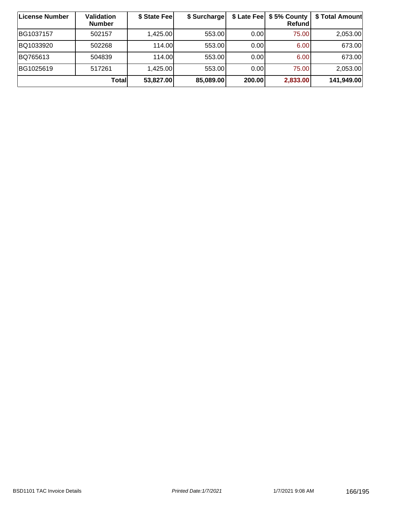| License Number | <b>Validation</b><br><b>Number</b> | \$ State Fee | \$ Surcharge |        | \$ Late Fee   \$5% County<br>Refundl | \$ Total Amount |
|----------------|------------------------------------|--------------|--------------|--------|--------------------------------------|-----------------|
| BG1037157      | 502157                             | 1,425.00     | 553.00       | 0.00   | 75.00                                | 2,053.00        |
| BQ1033920      | 502268                             | 114.00       | 553.00       | 0.00   | 6.00                                 | 673.00          |
| BQ765613       | 504839                             | 114.00       | 553.00       | 0.00   | 6.00                                 | 673.00          |
| BG1025619      | 517261                             | 1,425.00     | 553.00       | 0.00   | 75.00                                | 2,053.00        |
|                | Totall                             | 53,827.00    | 85,089.00    | 200.00 | 2,833.00                             | 141,949.00      |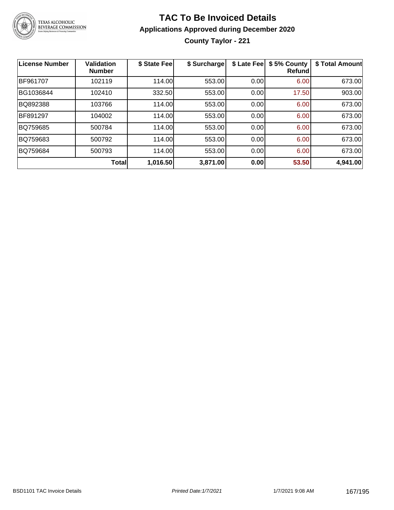

**County Taylor - 221**

| License Number | <b>Validation</b><br><b>Number</b> | \$ State Fee | \$ Surcharge | \$ Late Fee | \$5% County<br>Refundl | \$ Total Amount |
|----------------|------------------------------------|--------------|--------------|-------------|------------------------|-----------------|
| BF961707       | 102119                             | 114.00       | 553.00       | 0.00        | 6.00                   | 673.00          |
| BG1036844      | 102410                             | 332.50       | 553.00       | 0.00        | 17.50                  | 903.00          |
| BQ892388       | 103766                             | 114.00       | 553.00       | 0.00        | 6.00                   | 673.00          |
| BF891297       | 104002                             | 114.00       | 553.00       | 0.00        | 6.00                   | 673.00          |
| BQ759685       | 500784                             | 114.00       | 553.00       | 0.00        | 6.00                   | 673.00          |
| BQ759683       | 500792                             | 114.00       | 553.00       | 0.00        | 6.00                   | 673.00          |
| BQ759684       | 500793                             | 114.00       | 553.00       | 0.00        | 6.00                   | 673.00          |
|                | <b>Total</b>                       | 1,016.50     | 3,871.00     | 0.00        | 53.50                  | 4,941.00        |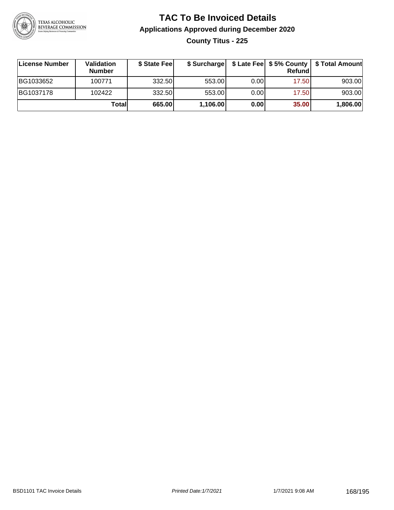

### **TAC To Be Invoiced Details Applications Approved during December 2020 County Titus - 225**

| License Number | Validation<br><b>Number</b> | \$ State Feel |          |      | Refund | \$ Surcharge   \$ Late Fee   \$5% County   \$ Total Amount |
|----------------|-----------------------------|---------------|----------|------|--------|------------------------------------------------------------|
| BG1033652      | 100771                      | 332.50        | 553.00   | 0.00 | 17.50  | 903.00                                                     |
| BG1037178      | 102422                      | 332.50        | 553.00   | 0.00 | 17.50  | 903.00                                                     |
|                | Totall                      | 665.00        | 1,106.00 | 0.00 | 35.00  | 1,806.00                                                   |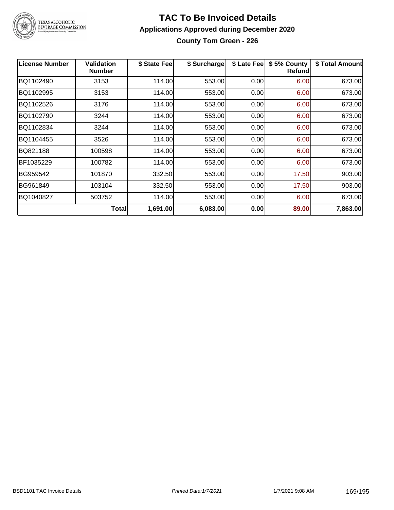

TEXAS ALCOHOLIC<br>BEVERAGE COMMISSION

#### **TAC To Be Invoiced Details Applications Approved during December 2020 County Tom Green - 226**

| <b>License Number</b> | <b>Validation</b><br><b>Number</b> | \$ State Fee | \$ Surcharge | \$ Late Fee | \$5% County<br><b>Refund</b> | \$ Total Amount |
|-----------------------|------------------------------------|--------------|--------------|-------------|------------------------------|-----------------|
| BQ1102490             | 3153                               | 114.00       | 553.00       | 0.00        | 6.00                         | 673.00          |
| BQ1102995             | 3153                               | 114.00       | 553.00       | 0.00        | 6.00                         | 673.00          |
| BQ1102526             | 3176                               | 114.00       | 553.00       | 0.00        | 6.00                         | 673.00          |
| BQ1102790             | 3244                               | 114.00       | 553.00       | 0.00        | 6.00                         | 673.00          |
| BQ1102834             | 3244                               | 114.00       | 553.00       | 0.00        | 6.00                         | 673.00          |
| BQ1104455             | 3526                               | 114.00       | 553.00       | 0.00        | 6.00                         | 673.00          |
| BQ821188              | 100598                             | 114.00       | 553.00       | 0.00        | 6.00                         | 673.00          |
| BF1035229             | 100782                             | 114.00       | 553.00       | 0.00        | 6.00                         | 673.00          |
| BG959542              | 101870                             | 332.50       | 553.00       | 0.00        | 17.50                        | 903.00          |
| BG961849              | 103104                             | 332.50       | 553.00       | 0.00        | 17.50                        | 903.00          |
| BQ1040827             | 503752                             | 114.00       | 553.00       | 0.00        | 6.00                         | 673.00          |
|                       | Total                              | 1,691.00     | 6,083.00     | 0.00        | 89.00                        | 7,863.00        |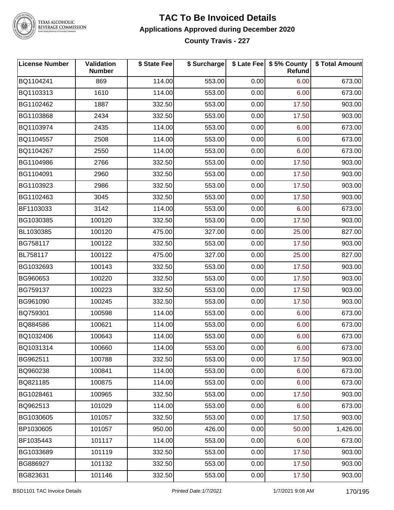

TEXAS ALCOHOLIC<br>BEVERAGE COMMISSION

#### **TAC To Be Invoiced Details Applications Approved during December 2020 County Travis - 227**

| <b>License Number</b> | Validation<br><b>Number</b> | \$ State Fee | \$ Surcharge |      | \$ Late Fee   \$5% County<br>Refund | \$ Total Amount |
|-----------------------|-----------------------------|--------------|--------------|------|-------------------------------------|-----------------|
| BQ1104241             | 869                         | 114.00       | 553.00       | 0.00 | 6.00                                | 673.00          |
| BQ1103313             | 1610                        | 114.00       | 553.00       | 0.00 | 6.00                                | 673.00          |
| BG1102462             | 1887                        | 332.50       | 553.00       | 0.00 | 17.50                               | 903.00          |
| BG1103868             | 2434                        | 332.50       | 553.00       | 0.00 | 17.50                               | 903.00          |
| BQ1103974             | 2435                        | 114.00       | 553.00       | 0.00 | 6.00                                | 673.00          |
| BQ1104557             | 2508                        | 114.00       | 553.00       | 0.00 | 6.00                                | 673.00          |
| BQ1104267             | 2550                        | 114.00       | 553.00       | 0.00 | 6.00                                | 673.00          |
| BG1104986             | 2766                        | 332.50       | 553.00       | 0.00 | 17.50                               | 903.00          |
| BG1104091             | 2960                        | 332.50       | 553.00       | 0.00 | 17.50                               | 903.00          |
| BG1103923             | 2986                        | 332.50       | 553.00       | 0.00 | 17.50                               | 903.00          |
| BG1102463             | 3045                        | 332.50       | 553.00       | 0.00 | 17.50                               | 903.00          |
| BF1103033             | 3142                        | 114.00       | 553.00       | 0.00 | 6.00                                | 673.00          |
| BG1030385             | 100120                      | 332.50       | 553.00       | 0.00 | 17.50                               | 903.00          |
| BL1030385             | 100120                      | 475.00       | 327.00       | 0.00 | 25.00                               | 827.00          |
| BG758117              | 100122                      | 332.50       | 553.00       | 0.00 | 17.50                               | 903.00          |
| BL758117              | 100122                      | 475.00       | 327.00       | 0.00 | 25.00                               | 827.00          |
| BG1032693             | 100143                      | 332.50       | 553.00       | 0.00 | 17.50                               | 903.00          |
| BG960653              | 100220                      | 332.50       | 553.00       | 0.00 | 17.50                               | 903.00          |
| BG759137              | 100223                      | 332.50       | 553.00       | 0.00 | 17.50                               | 903.00          |
| BG961090              | 100245                      | 332.50       | 553.00       | 0.00 | 17.50                               | 903.00          |
| BQ759301              | 100598                      | 114.00       | 553.00       | 0.00 | 6.00                                | 673.00          |
| BQ884586              | 100621                      | 114.00       | 553.00       | 0.00 | 6.00                                | 673.00          |
| BQ1032406             | 100643                      | 114.00       | 553.00       | 0.00 | 6.00                                | 673.00          |
| BQ1031314             | 100660                      | 114.00       | 553.00       | 0.00 | 6.00                                | 673.00          |
| BG962511              | 100788                      | 332.50       | 553.00       | 0.00 | 17.50                               | 903.00          |
| BQ960238              | 100841                      | 114.00       | 553.00       | 0.00 | 6.00                                | 673.00          |
| BQ821185              | 100875                      | 114.00       | 553.00       | 0.00 | 6.00                                | 673.00          |
| BG1028461             | 100965                      | 332.50       | 553.00       | 0.00 | 17.50                               | 903.00          |
| BQ962513              | 101029                      | 114.00       | 553.00       | 0.00 | 6.00                                | 673.00          |
| BG1030605             | 101057                      | 332.50       | 553.00       | 0.00 | 17.50                               | 903.00          |
| BP1030605             | 101057                      | 950.00       | 426.00       | 0.00 | 50.00                               | 1,426.00        |
| BF1035443             | 101117                      | 114.00       | 553.00       | 0.00 | 6.00                                | 673.00          |
| BG1033689             | 101119                      | 332.50       | 553.00       | 0.00 | 17.50                               | 903.00          |
| BG886927              | 101132                      | 332.50       | 553.00       | 0.00 | 17.50                               | 903.00          |
| BG823631              | 101146                      | 332.50       | 553.00       | 0.00 | 17.50                               | 903.00          |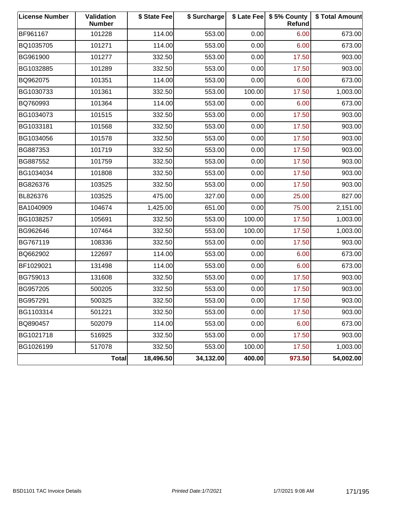| <b>License Number</b> | Validation<br><b>Number</b> | \$ State Fee | \$ Surcharge |        | \$ Late Fee   \$5% County<br><b>Refund</b> | \$ Total Amount |
|-----------------------|-----------------------------|--------------|--------------|--------|--------------------------------------------|-----------------|
| BF961167              | 101228                      | 114.00       | 553.00       | 0.00   | 6.00                                       | 673.00          |
| BQ1035705             | 101271                      | 114.00       | 553.00       | 0.00   | 6.00                                       | 673.00          |
| BG961900              | 101277                      | 332.50       | 553.00       | 0.00   | 17.50                                      | 903.00          |
| BG1032885             | 101289                      | 332.50       | 553.00       | 0.00   | 17.50                                      | 903.00          |
| BQ962075              | 101351                      | 114.00       | 553.00       | 0.00   | 6.00                                       | 673.00          |
| BG1030733             | 101361                      | 332.50       | 553.00       | 100.00 | 17.50                                      | 1,003.00        |
| BQ760993              | 101364                      | 114.00       | 553.00       | 0.00   | 6.00                                       | 673.00          |
| BG1034073             | 101515                      | 332.50       | 553.00       | 0.00   | 17.50                                      | 903.00          |
| BG1033181             | 101568                      | 332.50       | 553.00       | 0.00   | 17.50                                      | 903.00          |
| BG1034056             | 101578                      | 332.50       | 553.00       | 0.00   | 17.50                                      | 903.00          |
| BG887353              | 101719                      | 332.50       | 553.00       | 0.00   | 17.50                                      | 903.00          |
| BG887552              | 101759                      | 332.50       | 553.00       | 0.00   | 17.50                                      | 903.00          |
| BG1034034             | 101808                      | 332.50       | 553.00       | 0.00   | 17.50                                      | 903.00          |
| BG826376              | 103525                      | 332.50       | 553.00       | 0.00   | 17.50                                      | 903.00          |
| BL826376              | 103525                      | 475.00       | 327.00       | 0.00   | 25.00                                      | 827.00          |
| BA1040909             | 104674                      | 1,425.00     | 651.00       | 0.00   | 75.00                                      | 2,151.00        |
| BG1038257             | 105691                      | 332.50       | 553.00       | 100.00 | 17.50                                      | 1,003.00        |
| BG962646              | 107464                      | 332.50       | 553.00       | 100.00 | 17.50                                      | 1,003.00        |
| BG767119              | 108336                      | 332.50       | 553.00       | 0.00   | 17.50                                      | 903.00          |
| BQ662902              | 122697                      | 114.00       | 553.00       | 0.00   | 6.00                                       | 673.00          |
| BF1029021             | 131498                      | 114.00       | 553.00       | 0.00   | 6.00                                       | 673.00          |
| BG759013              | 131608                      | 332.50       | 553.00       | 0.00   | 17.50                                      | 903.00          |
| BG957205              | 500205                      | 332.50       | 553.00       | 0.00   | 17.50                                      | 903.00          |
| BG957291              | 500325                      | 332.50       | 553.00       | 0.00   | 17.50                                      | 903.00          |
| BG1103314             | 501221                      | 332.50       | 553.00       | 0.00   | 17.50                                      | 903.00          |
| BQ890457              | 502079                      | 114.00       | 553.00       | 0.00   | 6.00                                       | 673.00          |
| BG1021718             | 516925                      | 332.50       | 553.00       | 0.00   | 17.50                                      | 903.00          |
| BG1026199             | 517078                      | 332.50       | 553.00       | 100.00 | 17.50                                      | 1,003.00        |
|                       | <b>Total</b>                | 18,496.50    | 34,132.00    | 400.00 | 973.50                                     | 54,002.00       |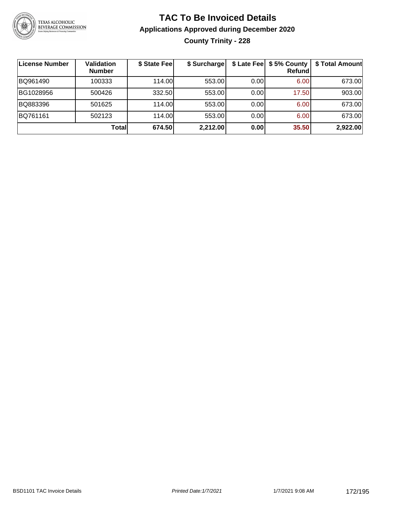

### **TAC To Be Invoiced Details Applications Approved during December 2020 County Trinity - 228**

| License Number | <b>Validation</b><br><b>Number</b> | \$ State Fee | \$ Surcharge |      | \$ Late Fee   \$5% County  <br><b>Refund</b> | \$ Total Amount |
|----------------|------------------------------------|--------------|--------------|------|----------------------------------------------|-----------------|
| BQ961490       | 100333                             | 114.00L      | 553.00       | 0.00 | 6.00                                         | 673.00          |
| BG1028956      | 500426                             | 332.50       | 553.00       | 0.00 | 17.50                                        | 903.00          |
| BQ883396       | 501625                             | 114.00       | 553.00       | 0.00 | 6.00                                         | 673.00          |
| BQ761161       | 502123                             | 114.00L      | 553.00       | 0.00 | 6.00                                         | 673.00          |
|                | Totall                             | 674.50       | 2,212.00     | 0.00 | 35.50                                        | 2,922.00        |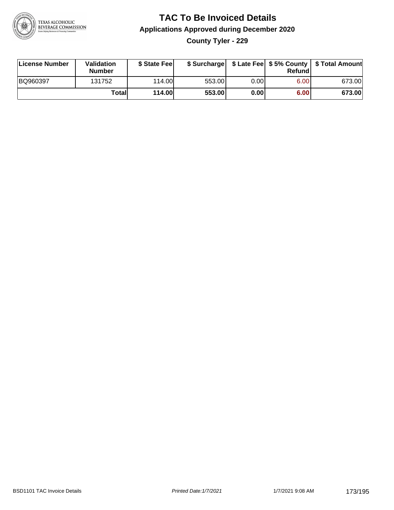

**County Tyler - 229**

| License Number | <b>Validation</b><br>Number | \$ State Feel | \$ Surcharge |       | Refundl | \$ Late Fee   \$5% County   \$ Total Amount |
|----------------|-----------------------------|---------------|--------------|-------|---------|---------------------------------------------|
| BQ960397       | 131752                      | 114.00        | 553.00       | 0.001 | 6.00    | 673.00                                      |
|                | Totall                      | 114.00        | 553.00       | 0.00  | 6.00    | 673.00                                      |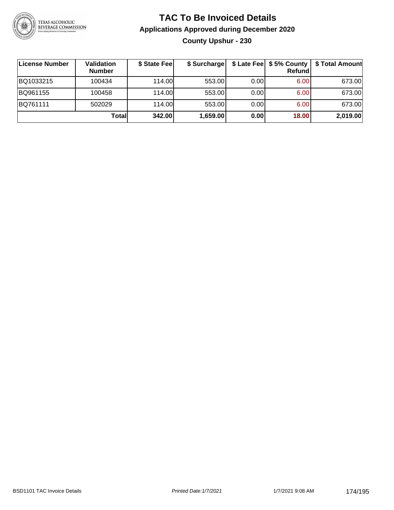

### **TAC To Be Invoiced Details Applications Approved during December 2020 County Upshur - 230**

| ∣License Number | Validation<br><b>Number</b> | \$ State Fee | \$ Surcharge |      | \$ Late Fee   \$5% County  <br>Refund | \$ Total Amount |
|-----------------|-----------------------------|--------------|--------------|------|---------------------------------------|-----------------|
| BQ1033215       | 100434                      | 114.00       | 553.00       | 0.00 | 6.00                                  | 673.00          |
| BQ961155        | 100458                      | 114.00       | 553.00       | 0.00 | 6.00                                  | 673.00          |
| BQ761111        | 502029                      | 114.00       | 553.00       | 0.00 | 6.00                                  | 673.00          |
|                 | Totall                      | 342.00       | 1,659.00     | 0.00 | 18.00                                 | 2,019.00        |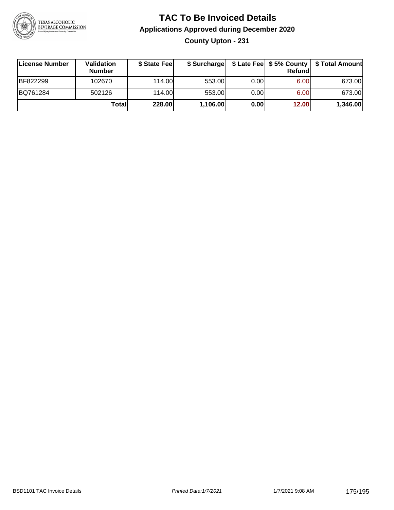

**County Upton - 231**

| License Number | Validation<br><b>Number</b> | \$ State Fee | \$ Surcharge |       | Refundl           | \$ Late Fee   \$5% County   \$ Total Amount |
|----------------|-----------------------------|--------------|--------------|-------|-------------------|---------------------------------------------|
| BF822299       | 102670                      | 114.00       | 553.00       | 0.00  | 6.00 <sub>1</sub> | 673.00                                      |
| BQ761284       | 502126                      | 114.00L      | 553.00       | 0.001 | 6.00 <sub>1</sub> | 673.00                                      |
|                | Totall                      | 228.00       | 1,106.00     | 0.00  | 12.00             | 1,346.00                                    |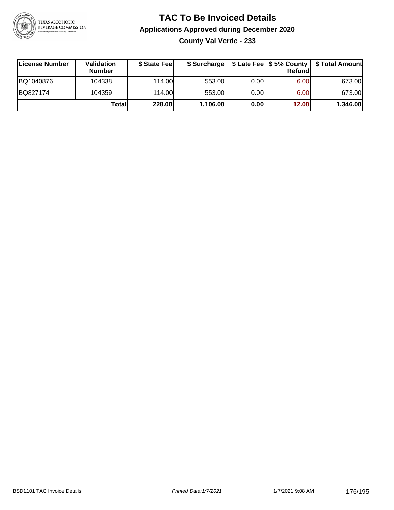

**County Val Verde - 233**

| License Number | Validation<br><b>Number</b> | \$ State Fee | \$ Surcharge |       | Refundl |          |
|----------------|-----------------------------|--------------|--------------|-------|---------|----------|
| BQ1040876      | 104338                      | 114.00L      | 553.00       | 0.001 | 6.00    | 673.00   |
| BQ827174       | 104359                      | 114.00L      | 553.00       | 0.00  | 6.00    | 673.00   |
|                | Totall                      | 228.00       | 1,106.00     | 0.00  | 12.00   | 1,346.00 |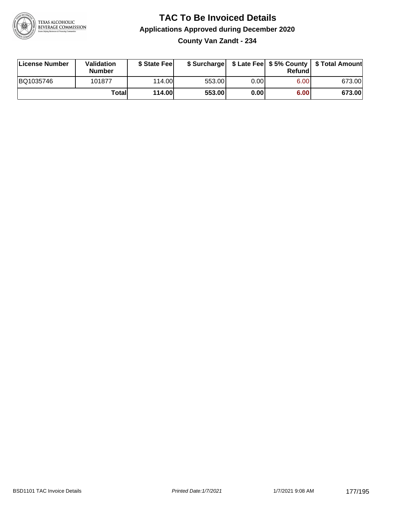

**County Van Zandt - 234**

| License Number | Validation<br><b>Number</b> | \$ State Fee  | \$ Surcharge |      | Refundl | \$ Late Fee   \$5% County   \$ Total Amount |
|----------------|-----------------------------|---------------|--------------|------|---------|---------------------------------------------|
| BQ1035746      | 101877                      | 114.00        | 553.00       | 0.00 | 6.00    | 673.00                                      |
|                | Totall                      | <b>114.00</b> | 553.00       | 0.00 | 6.00    | 673.00                                      |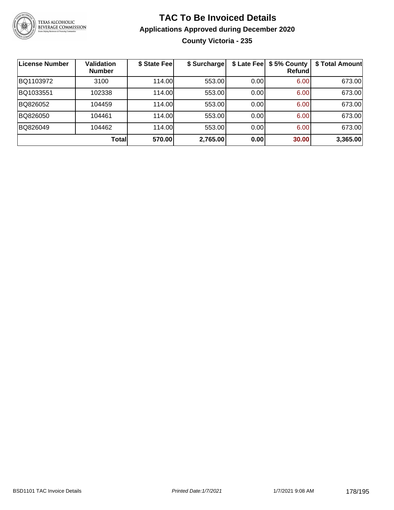

### **TAC To Be Invoiced Details Applications Approved during December 2020 County Victoria - 235**

| License Number | <b>Validation</b><br><b>Number</b> | \$ State Fee | \$ Surcharge |      | \$ Late Fee   \$5% County<br><b>Refund</b> | \$ Total Amount |
|----------------|------------------------------------|--------------|--------------|------|--------------------------------------------|-----------------|
| BQ1103972      | 3100                               | 114.00       | 553.00       | 0.00 | 6.00                                       | 673.00          |
| BQ1033551      | 102338                             | 114.00       | 553.00       | 0.00 | 6.00                                       | 673.00          |
| BQ826052       | 104459                             | 114.00       | 553.00       | 0.00 | 6.00                                       | 673.00          |
| BQ826050       | 104461                             | 114.00       | 553.00       | 0.00 | 6.00                                       | 673.00          |
| BQ826049       | 104462                             | 114.00       | 553.00       | 0.00 | 6.00                                       | 673.00          |
|                | <b>Total</b>                       | 570.00       | 2,765.00     | 0.00 | 30.00                                      | 3,365.00        |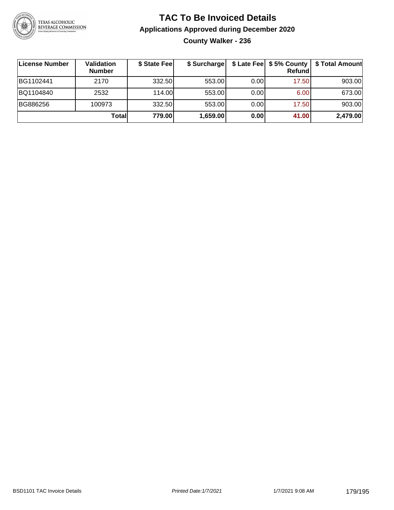

### **TAC To Be Invoiced Details Applications Approved during December 2020 County Walker - 236**

| License Number | <b>Validation</b><br><b>Number</b> | \$ State Fee | \$ Surcharge |      | \$ Late Fee   \$5% County  <br>Refund | \$ Total Amount |
|----------------|------------------------------------|--------------|--------------|------|---------------------------------------|-----------------|
| BG1102441      | 2170                               | 332.50       | 553.00       | 0.00 | 17.50                                 | 903.00          |
| BQ1104840      | 2532                               | 114.00       | 553.00       | 0.00 | 6.00                                  | 673.00          |
| BG886256       | 100973                             | 332.50       | 553.00       | 0.00 | 17.50                                 | 903.00          |
|                | Totall                             | 779.00       | 1,659.00     | 0.00 | 41.00                                 | 2,479.00        |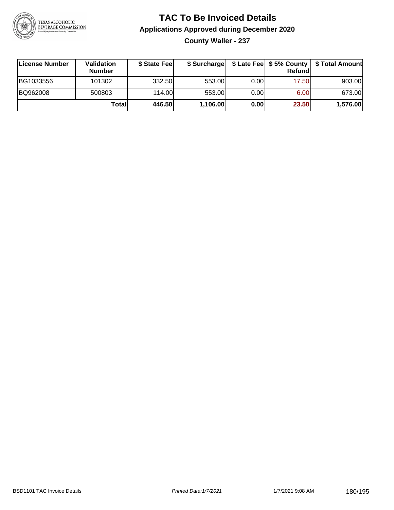

**County Waller - 237**

| ∣License Number | <b>Validation</b><br><b>Number</b> | \$ State Fee | \$ Surcharge |       | <b>Refund</b> | \$ Late Fee   \$5% County   \$ Total Amount |
|-----------------|------------------------------------|--------------|--------------|-------|---------------|---------------------------------------------|
| BG1033556       | 101302                             | 332.50       | 553.00       | 0.001 | 17.50         | 903.00                                      |
| BQ962008        | 500803                             | 114.00       | 553.00       | 0.001 | 6.00          | 673.00                                      |
|                 | Totall                             | 446.50       | 1,106.00     | 0.00  | 23.50         | 1,576.00                                    |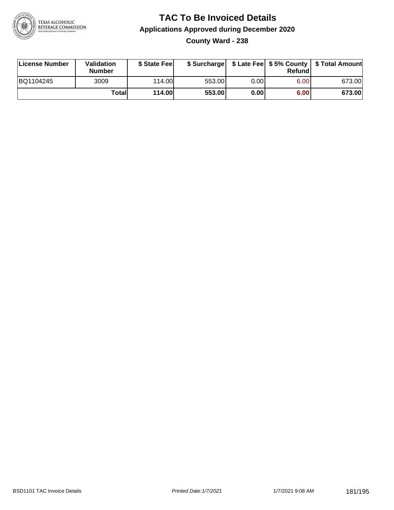

**County Ward - 238**

| License Number | Validation<br><b>Number</b> | \$ State Feel |        |       | Refundl | \$ Surcharge   \$ Late Fee   \$5% County   \$ Total Amount |
|----------------|-----------------------------|---------------|--------|-------|---------|------------------------------------------------------------|
| BQ1104245      | 3009                        | 114.00        | 553.00 | 0.001 | 6.00    | 673.00                                                     |
|                | Totall                      | <b>114.00</b> | 553.00 | 0.00  | 6.00    | 673.00                                                     |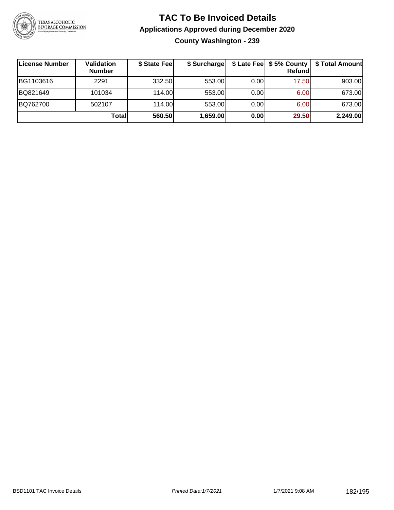

### **TAC To Be Invoiced Details Applications Approved during December 2020 County Washington - 239**

| License Number | Validation<br><b>Number</b> | \$ State Feel | \$ Surcharge |      | \$ Late Fee   \$5% County  <br>Refund | \$ Total Amount |
|----------------|-----------------------------|---------------|--------------|------|---------------------------------------|-----------------|
| BG1103616      | 2291                        | 332.50        | 553.00       | 0.00 | 17.50                                 | 903.00          |
| BQ821649       | 101034                      | 114.00        | 553.00       | 0.00 | 6.00                                  | 673.00          |
| BQ762700       | 502107                      | 114.00        | 553.00       | 0.00 | 6.00                                  | 673.00          |
|                | Totall                      | 560.50        | 1,659.00     | 0.00 | 29.50                                 | 2,249.00        |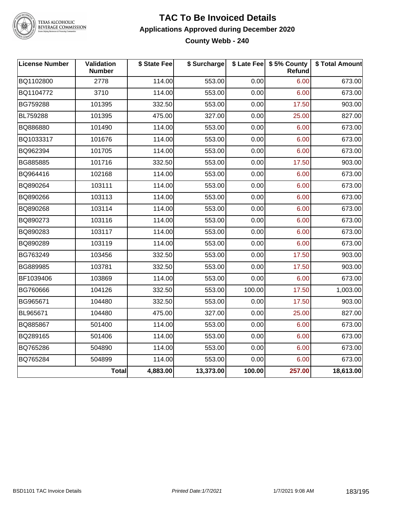

TEXAS ALCOHOLIC<br>BEVERAGE COMMISSION

### **TAC To Be Invoiced Details Applications Approved during December 2020 County Webb - 240**

| <b>License Number</b> | Validation<br><b>Number</b> | \$ State Fee | \$ Surcharge |        | \$ Late Fee   \$5% County<br>Refund | \$ Total Amount |
|-----------------------|-----------------------------|--------------|--------------|--------|-------------------------------------|-----------------|
| BQ1102800             | 2778                        | 114.00       | 553.00       | 0.00   | 6.00                                | 673.00          |
| BQ1104772             | 3710                        | 114.00       | 553.00       | 0.00   | 6.00                                | 673.00          |
| BG759288              | 101395                      | 332.50       | 553.00       | 0.00   | 17.50                               | 903.00          |
| BL759288              | 101395                      | 475.00       | 327.00       | 0.00   | 25.00                               | 827.00          |
| BQ886880              | 101490                      | 114.00       | 553.00       | 0.00   | 6.00                                | 673.00          |
| BQ1033317             | 101676                      | 114.00       | 553.00       | 0.00   | 6.00                                | 673.00          |
| BQ962394              | 101705                      | 114.00       | 553.00       | 0.00   | 6.00                                | 673.00          |
| BG885885              | 101716                      | 332.50       | 553.00       | 0.00   | 17.50                               | 903.00          |
| BQ964416              | 102168                      | 114.00       | 553.00       | 0.00   | 6.00                                | 673.00          |
| BQ890264              | 103111                      | 114.00       | 553.00       | 0.00   | 6.00                                | 673.00          |
| BQ890266              | 103113                      | 114.00       | 553.00       | 0.00   | 6.00                                | 673.00          |
| BQ890268              | 103114                      | 114.00       | 553.00       | 0.00   | 6.00                                | 673.00          |
| BQ890273              | 103116                      | 114.00       | 553.00       | 0.00   | 6.00                                | 673.00          |
| BQ890283              | 103117                      | 114.00       | 553.00       | 0.00   | 6.00                                | 673.00          |
| BQ890289              | 103119                      | 114.00       | 553.00       | 0.00   | 6.00                                | 673.00          |
| BG763249              | 103456                      | 332.50       | 553.00       | 0.00   | 17.50                               | 903.00          |
| BG889985              | 103781                      | 332.50       | 553.00       | 0.00   | 17.50                               | 903.00          |
| BF1039406             | 103869                      | 114.00       | 553.00       | 0.00   | 6.00                                | 673.00          |
| BG760666              | 104126                      | 332.50       | 553.00       | 100.00 | 17.50                               | 1,003.00        |
| BG965671              | 104480                      | 332.50       | 553.00       | 0.00   | 17.50                               | 903.00          |
| BL965671              | 104480                      | 475.00       | 327.00       | 0.00   | 25.00                               | 827.00          |
| BQ885867              | 501400                      | 114.00       | 553.00       | 0.00   | 6.00                                | 673.00          |
| BQ289165              | 501406                      | 114.00       | 553.00       | 0.00   | 6.00                                | 673.00          |
| BQ765286              | 504890                      | 114.00       | 553.00       | 0.00   | 6.00                                | 673.00          |
| BQ765284              | 504899                      | 114.00       | 553.00       | 0.00   | 6.00                                | 673.00          |
|                       | <b>Total</b>                | 4,883.00     | 13,373.00    | 100.00 | 257.00                              | 18,613.00       |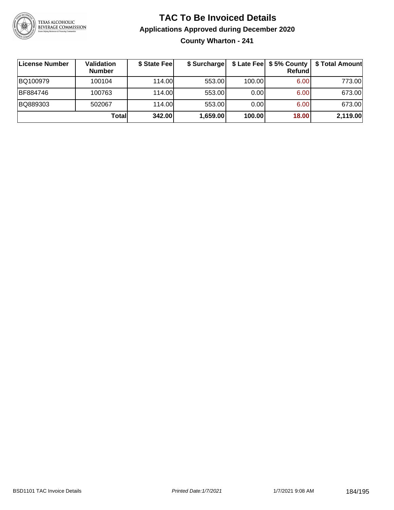

## **TAC To Be Invoiced Details Applications Approved during December 2020 County Wharton - 241**

| License Number | Validation<br><b>Number</b> | \$ State Fee | \$ Surcharge |        | $$$ Late Fee $$$ \$ 5% County $ $<br>Refundl | \$ Total Amount |
|----------------|-----------------------------|--------------|--------------|--------|----------------------------------------------|-----------------|
| BQ100979       | 100104                      | 114.00       | 553.00       | 100.00 | 6.00                                         | 773.00          |
| BF884746       | 100763                      | 114.00       | 553.00       | 0.00   | 6.00                                         | 673.00          |
| BQ889303       | 502067                      | 114.00       | 553.00       | 0.00   | 6.00                                         | 673.00          |
|                | Totall                      | 342.00       | 1,659.00     | 100.00 | 18.00                                        | 2,119.00        |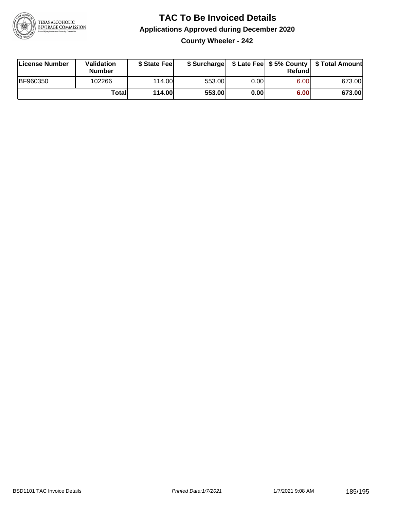

**County Wheeler - 242**

| License Number  | Validation<br><b>Number</b> | \$ State Fee  | \$ Surcharge |      | Refundl | \$ Late Fee   \$5% County   \$ Total Amount |
|-----------------|-----------------------------|---------------|--------------|------|---------|---------------------------------------------|
| <b>BF960350</b> | 102266                      | 114.00        | 553.00       | 0.00 | 6.00    | 673.00                                      |
|                 | Totall                      | <b>114.00</b> | 553.00       | 0.00 | 6.00    | 673.00                                      |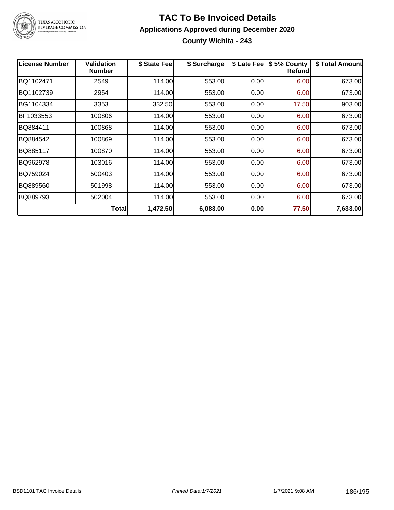

TEXAS ALCOHOLIC<br>BEVERAGE COMMISSION

### **TAC To Be Invoiced Details Applications Approved during December 2020 County Wichita - 243**

| <b>License Number</b> | <b>Validation</b><br><b>Number</b> | \$ State Fee | \$ Surcharge | \$ Late Fee | \$5% County<br>Refund | \$ Total Amount |
|-----------------------|------------------------------------|--------------|--------------|-------------|-----------------------|-----------------|
| BQ1102471             | 2549                               | 114.00       | 553.00       | 0.00        | 6.00                  | 673.00          |
| BQ1102739             | 2954                               | 114.00       | 553.00       | 0.00        | 6.00                  | 673.00          |
| BG1104334             | 3353                               | 332.50       | 553.00       | 0.00        | 17.50                 | 903.00          |
| BF1033553             | 100806                             | 114.00       | 553.00       | 0.00        | 6.00                  | 673.00          |
| BQ884411              | 100868                             | 114.00       | 553.00       | 0.00        | 6.00                  | 673.00          |
| BQ884542              | 100869                             | 114.00       | 553.00       | 0.00        | 6.00                  | 673.00          |
| BQ885117              | 100870                             | 114.00       | 553.00       | 0.00        | 6.00                  | 673.00          |
| BQ962978              | 103016                             | 114.00       | 553.00       | 0.00        | 6.00                  | 673.00          |
| BQ759024              | 500403                             | 114.00       | 553.00       | 0.00        | 6.00                  | 673.00          |
| BQ889560              | 501998                             | 114.00       | 553.00       | 0.00        | 6.00                  | 673.00          |
| BQ889793              | 502004                             | 114.00       | 553.00       | 0.00        | 6.00                  | 673.00          |
|                       | <b>Total</b>                       | 1,472.50     | 6,083.00     | 0.00        | 77.50                 | 7,633.00        |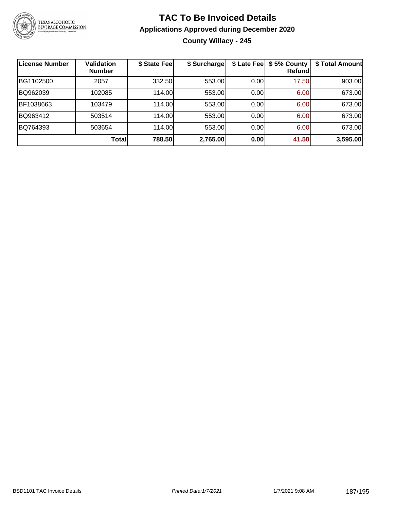

## **TAC To Be Invoiced Details Applications Approved during December 2020 County Willacy - 245**

| License Number | <b>Validation</b><br><b>Number</b> | \$ State Feel | \$ Surcharge | \$ Late Fee | \$5% County<br>Refundl | \$ Total Amount |
|----------------|------------------------------------|---------------|--------------|-------------|------------------------|-----------------|
| BG1102500      | 2057                               | 332.50        | 553.00       | 0.00        | 17.50                  | 903.00          |
| BQ962039       | 102085                             | 114.00        | 553.00       | 0.00        | 6.00                   | 673.00          |
| BF1038663      | 103479                             | 114.00L       | 553.00       | 0.00        | 6.00                   | 673.00          |
| BQ963412       | 503514                             | 114.00        | 553.00       | 0.00        | 6.00                   | 673.00          |
| BQ764393       | 503654                             | 114.00L       | 553.00       | 0.00        | 6.00                   | 673.00          |
|                | Total                              | 788.50        | 2,765.00     | 0.00        | 41.50                  | 3,595.00        |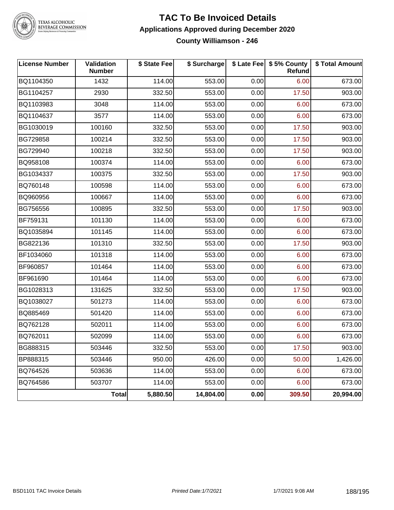

TEXAS ALCOHOLIC<br>BEVERAGE COMMISSION

### **TAC To Be Invoiced Details Applications Approved during December 2020 County Williamson - 246**

| <b>License Number</b> | Validation<br><b>Number</b> | \$ State Fee | \$ Surcharge |      | \$ Late Fee   \$5% County<br><b>Refund</b> | \$ Total Amount |
|-----------------------|-----------------------------|--------------|--------------|------|--------------------------------------------|-----------------|
| BQ1104350             | 1432                        | 114.00       | 553.00       | 0.00 | 6.00                                       | 673.00          |
| BG1104257             | 2930                        | 332.50       | 553.00       | 0.00 | 17.50                                      | 903.00          |
| BQ1103983             | 3048                        | 114.00       | 553.00       | 0.00 | 6.00                                       | 673.00          |
| BQ1104637             | 3577                        | 114.00       | 553.00       | 0.00 | 6.00                                       | 673.00          |
| BG1030019             | 100160                      | 332.50       | 553.00       | 0.00 | 17.50                                      | 903.00          |
| BG729858              | 100214                      | 332.50       | 553.00       | 0.00 | 17.50                                      | 903.00          |
| BG729940              | 100218                      | 332.50       | 553.00       | 0.00 | 17.50                                      | 903.00          |
| BQ958108              | 100374                      | 114.00       | 553.00       | 0.00 | 6.00                                       | 673.00          |
| BG1034337             | 100375                      | 332.50       | 553.00       | 0.00 | 17.50                                      | 903.00          |
| BQ760148              | 100598                      | 114.00       | 553.00       | 0.00 | 6.00                                       | 673.00          |
| BQ960956              | 100667                      | 114.00       | 553.00       | 0.00 | 6.00                                       | 673.00          |
| BG756556              | 100895                      | 332.50       | 553.00       | 0.00 | 17.50                                      | 903.00          |
| BF759131              | 101130                      | 114.00       | 553.00       | 0.00 | 6.00                                       | 673.00          |
| BQ1035894             | 101145                      | 114.00       | 553.00       | 0.00 | 6.00                                       | 673.00          |
| BG822136              | 101310                      | 332.50       | 553.00       | 0.00 | 17.50                                      | 903.00          |
| BF1034060             | 101318                      | 114.00       | 553.00       | 0.00 | 6.00                                       | 673.00          |
| BF960857              | 101464                      | 114.00       | 553.00       | 0.00 | 6.00                                       | 673.00          |
| BF961690              | 101464                      | 114.00       | 553.00       | 0.00 | 6.00                                       | 673.00          |
| BG1028313             | 131625                      | 332.50       | 553.00       | 0.00 | 17.50                                      | 903.00          |
| BQ1038027             | 501273                      | 114.00       | 553.00       | 0.00 | 6.00                                       | 673.00          |
| BQ885469              | 501420                      | 114.00       | 553.00       | 0.00 | 6.00                                       | 673.00          |
| BQ762128              | 502011                      | 114.00       | 553.00       | 0.00 | 6.00                                       | 673.00          |
| BQ762011              | 502099                      | 114.00       | 553.00       | 0.00 | 6.00                                       | 673.00          |
| BG888315              | 503446                      | 332.50       | 553.00       | 0.00 | 17.50                                      | 903.00          |
| BP888315              | 503446                      | 950.00       | 426.00       | 0.00 | 50.00                                      | 1,426.00        |
| BQ764526              | 503636                      | 114.00       | 553.00       | 0.00 | 6.00                                       | 673.00          |
| BQ764586              | 503707                      | 114.00       | 553.00       | 0.00 | 6.00                                       | 673.00          |
|                       | Total                       | 5,880.50     | 14,804.00    | 0.00 | 309.50                                     | 20,994.00       |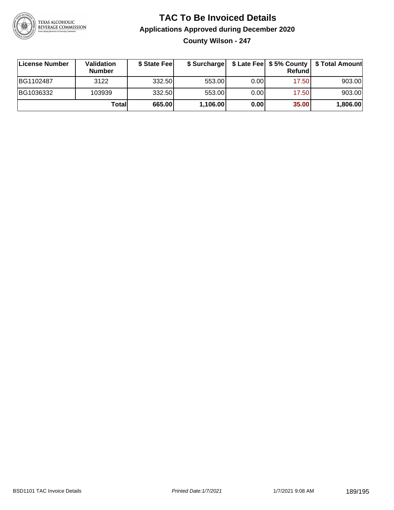

**County Wilson - 247**

| License Number | Validation<br><b>Number</b> | \$ State Feel |          |      | Refundl | \$ Surcharge   \$ Late Fee   \$5% County   \$ Total Amount |
|----------------|-----------------------------|---------------|----------|------|---------|------------------------------------------------------------|
| BG1102487      | 3122                        | 332.50        | 553.00   | 0.00 | 17.50   | 903.00                                                     |
| BG1036332      | 103939                      | 332.50        | 553.00   | 0.00 | 17.50   | 903.00                                                     |
|                | Totall                      | 665.00        | 1,106.00 | 0.00 | 35.00   | 1,806.00                                                   |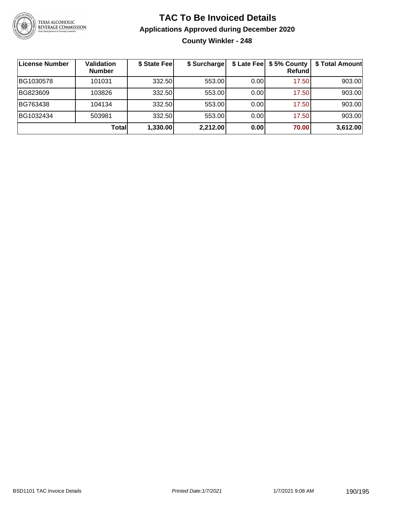

## **TAC To Be Invoiced Details Applications Approved during December 2020 County Winkler - 248**

| License Number | <b>Validation</b><br><b>Number</b> | \$ State Fee | \$ Surcharge |      | \$ Late Fee   \$5% County<br><b>Refund</b> | \$ Total Amount |
|----------------|------------------------------------|--------------|--------------|------|--------------------------------------------|-----------------|
| BG1030578      | 101031                             | 332.50       | 553.00       | 0.00 | 17.50                                      | 903.00          |
| BG823609       | 103826                             | 332.50       | 553.00       | 0.00 | 17.50                                      | 903.00          |
| BG763438       | 104134                             | 332.50       | 553.00       | 0.00 | 17.50                                      | 903.00          |
| BG1032434      | 503981                             | 332.50       | 553.00       | 0.00 | 17.50                                      | 903.00          |
|                | Total                              | 1,330.00     | 2,212.00     | 0.00 | 70.00                                      | 3,612.00        |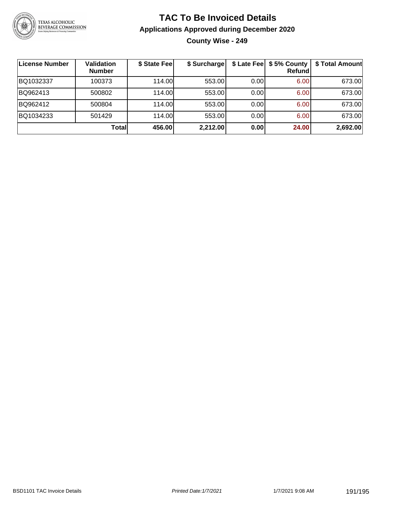

## **TAC To Be Invoiced Details Applications Approved during December 2020 County Wise - 249**

| License Number | <b>Validation</b><br><b>Number</b> | \$ State Fee | \$ Surcharge |      | \$ Late Fee   \$5% County<br>Refundl | \$ Total Amount |
|----------------|------------------------------------|--------------|--------------|------|--------------------------------------|-----------------|
| BQ1032337      | 100373                             | 114.00       | 553.00       | 0.00 | 6.00                                 | 673.00          |
| BQ962413       | 500802                             | 114.00       | 553.00       | 0.00 | 6.00                                 | 673.00          |
| BQ962412       | 500804                             | 114.00       | 553.00       | 0.00 | 6.00                                 | 673.00          |
| BQ1034233      | 501429                             | 114.00       | 553.00       | 0.00 | 6.00                                 | 673.00          |
|                | Total                              | 456.00       | 2,212.00     | 0.00 | 24.00                                | 2,692.00        |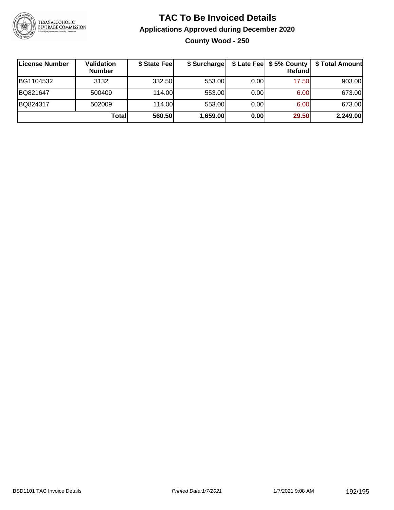

## **TAC To Be Invoiced Details Applications Approved during December 2020 County Wood - 250**

| License Number | Validation<br><b>Number</b> | \$ State Fee | \$ Surcharge |       | Refund | \$ Late Fee   \$5% County   \$ Total Amount |
|----------------|-----------------------------|--------------|--------------|-------|--------|---------------------------------------------|
| BG1104532      | 3132                        | 332.50       | 553.00       | 0.001 | 17.50  | 903.00                                      |
| BQ821647       | 500409                      | 114.00       | 553.00       | 0.001 | 6.00   | 673.00                                      |
| BQ824317       | 502009                      | 114.00       | 553.00       | 0.001 | 6.00   | 673.00                                      |
|                | Totall                      | 560.50       | 1,659.00     | 0.00  | 29.50  | 2,249.00                                    |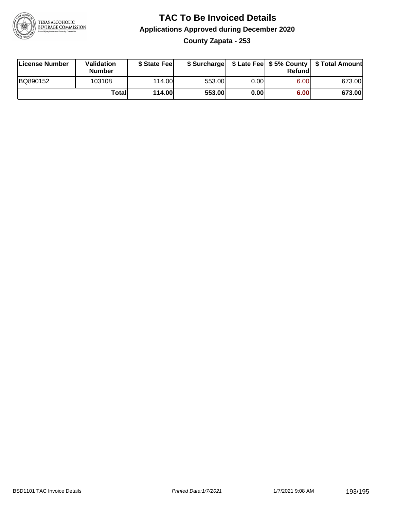

**County Zapata - 253**

| License Number | <b>Validation</b><br>Number | \$ State Feel | \$ Surcharge |       | Refundl | \$ Late Fee   \$5% County   \$ Total Amount |
|----------------|-----------------------------|---------------|--------------|-------|---------|---------------------------------------------|
| BQ890152       | 103108                      | 114.00        | 553.00       | 0.001 | 6.00    | 673.00                                      |
|                | Totall                      | <b>114.00</b> | 553.00       | 0.00  | 6.00    | 673.00                                      |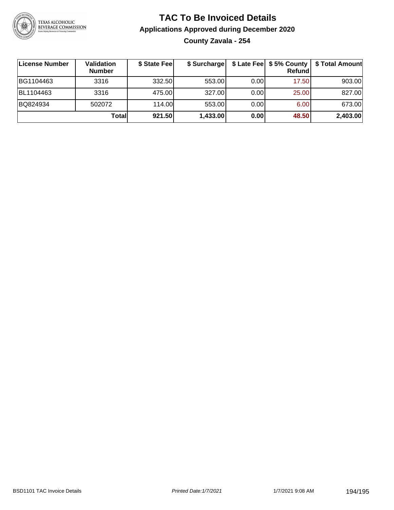

## **TAC To Be Invoiced Details Applications Approved during December 2020 County Zavala - 254**

| License Number | Validation<br><b>Number</b> | \$ State Fee | \$ Surcharge |       | \$ Late Fee   \$5% County<br>Refundl | \$ Total Amount |
|----------------|-----------------------------|--------------|--------------|-------|--------------------------------------|-----------------|
| BG1104463      | 3316                        | 332.50       | 553.00       | 0.001 | 17.50                                | 903.00          |
| BL1104463      | 3316                        | 475.00       | 327.00       | 0.00  | 25.00                                | 827.00          |
| BQ824934       | 502072                      | 114.00       | 553.00       | 0.00  | 6.00                                 | 673.00          |
|                | Total                       | 921.50       | 1,433.00     | 0.00  | 48.50                                | 2,403.00        |